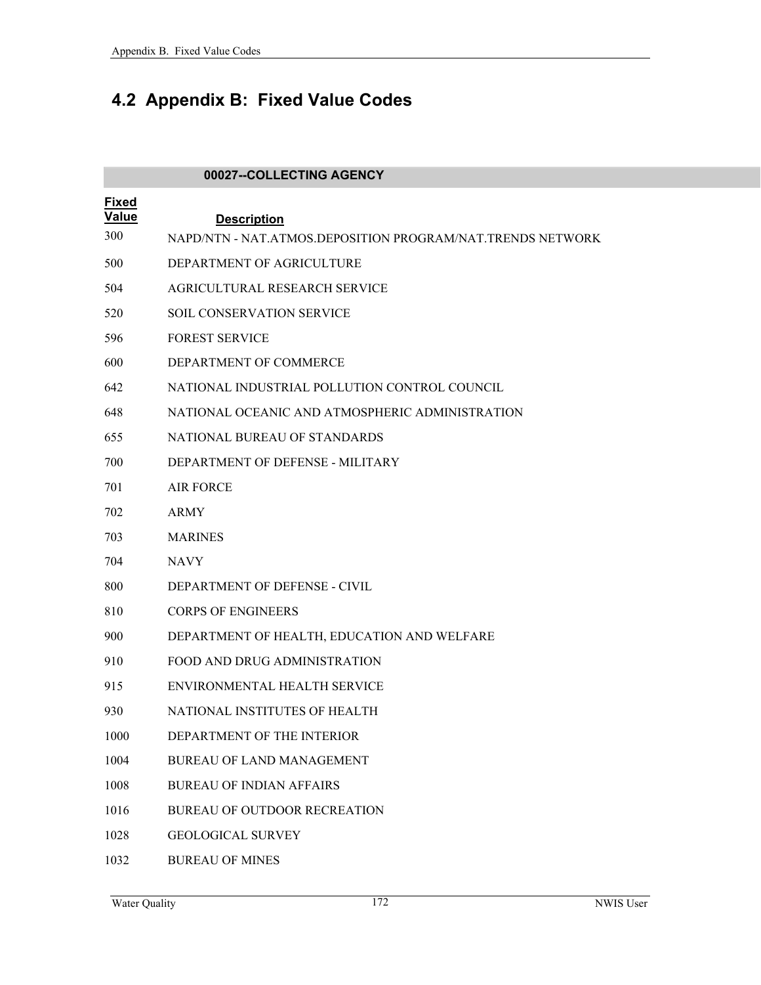## **4.2 Appendix B: Fixed Value Codes**

|                       | 00027--COLLECTING AGENCY                                   |
|-----------------------|------------------------------------------------------------|
| <b>Fixed</b><br>Value | <b>Description</b>                                         |
| 300                   | NAPD/NTN - NAT.ATMOS.DEPOSITION PROGRAM/NAT.TRENDS NETWORK |
| 500                   | DEPARTMENT OF AGRICULTURE                                  |
| 504                   | AGRICULTURAL RESEARCH SERVICE                              |
| 520                   | SOIL CONSERVATION SERVICE                                  |
| 596                   | <b>FOREST SERVICE</b>                                      |
| 600                   | DEPARTMENT OF COMMERCE                                     |
| 642                   | NATIONAL INDUSTRIAL POLLUTION CONTROL COUNCIL              |
| 648                   | NATIONAL OCEANIC AND ATMOSPHERIC ADMINISTRATION            |
| 655                   | NATIONAL BUREAU OF STANDARDS                               |
| 700                   | DEPARTMENT OF DEFENSE - MILITARY                           |
| 701                   | <b>AIR FORCE</b>                                           |
| 702                   | <b>ARMY</b>                                                |
| 703                   | <b>MARINES</b>                                             |
| 704                   | <b>NAVY</b>                                                |
| 800                   | DEPARTMENT OF DEFENSE - CIVIL                              |
| 810                   | <b>CORPS OF ENGINEERS</b>                                  |
| 900                   | DEPARTMENT OF HEALTH, EDUCATION AND WELFARE                |
| 910                   | FOOD AND DRUG ADMINISTRATION                               |
| 915                   | ENVIRONMENTAL HEALTH SERVICE                               |
| 930                   | NATIONAL INSTITUTES OF HEALTH                              |
| 1000                  | DEPARTMENT OF THE INTERIOR                                 |
| 1004                  | <b>BUREAU OF LAND MANAGEMENT</b>                           |
| 1008                  | <b>BUREAU OF INDIAN AFFAIRS</b>                            |
| 1016                  | <b>BUREAU OF OUTDOOR RECREATION</b>                        |
| 1028                  | <b>GEOLOGICAL SURVEY</b>                                   |
| 1032                  | <b>BUREAU OF MINES</b>                                     |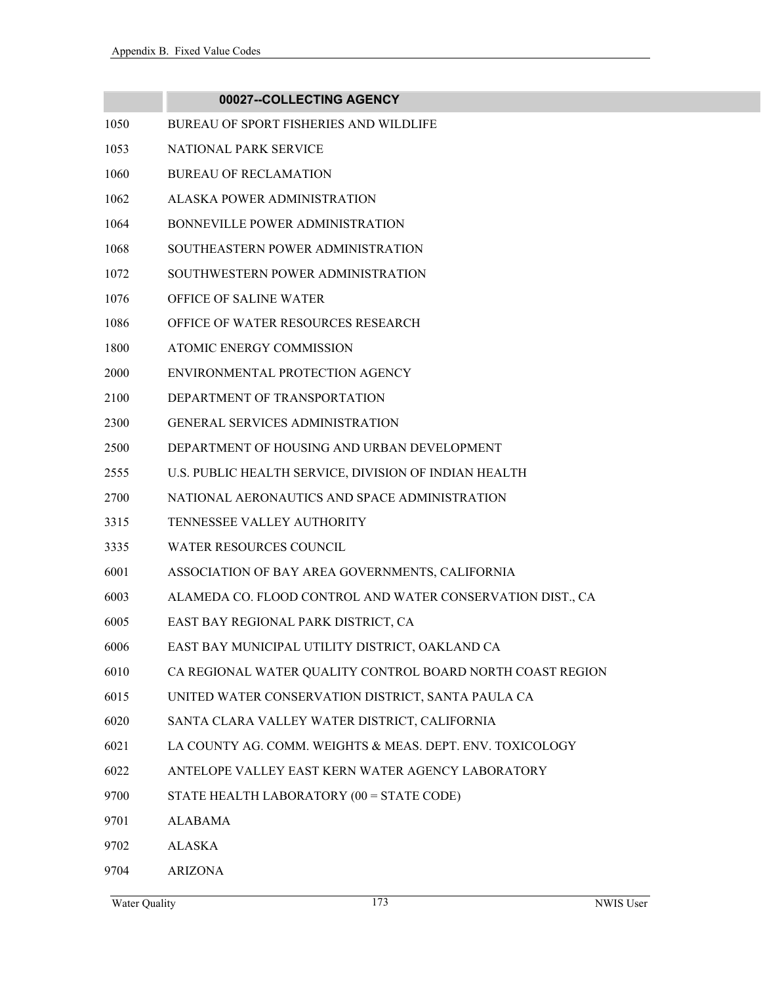## **00027--COLLECTING AGENCY** 1050 BUREAU OF SPORT FISHERIES AND WILDLIFE 1053 NATIONAL PARK SERVICE 1060 BUREAU OF RECLAMATION 1062 ALASKA POWER ADMINISTRATION 1064 BONNEVILLE POWER ADMINISTRATION 1068 SOUTHEASTERN POWER ADMINISTRATION 1072 SOUTHWESTERN POWER ADMINISTRATION 1076 OFFICE OF SALINE WATER 1086 OFFICE OF WATER RESOURCES RESEARCH 1800 ATOMIC ENERGY COMMISSION 2000 ENVIRONMENTAL PROTECTION AGENCY 2100 DEPARTMENT OF TRANSPORTATION 2300 GENERAL SERVICES ADMINISTRATION 2500 DEPARTMENT OF HOUSING AND URBAN DEVELOPMENT 2555 U.S. PUBLIC HEALTH SERVICE, DIVISION OF INDIAN HEALTH 2700 NATIONAL AERONAUTICS AND SPACE ADMINISTRATION 3315 TENNESSEE VALLEY AUTHORITY 3335 WATER RESOURCES COUNCIL 6001 ASSOCIATION OF BAY AREA GOVERNMENTS, CALIFORNIA 6003 ALAMEDA CO. FLOOD CONTROL AND WATER CONSERVATION DIST., CA 6005 EAST BAY REGIONAL PARK DISTRICT, CA 6006 EAST BAY MUNICIPAL UTILITY DISTRICT, OAKLAND CA 6010 CA REGIONAL WATER QUALITY CONTROL BOARD NORTH COAST REGION 6015 UNITED WATER CONSERVATION DISTRICT, SANTA PAULA CA 6020 SANTA CLARA VALLEY WATER DISTRICT, CALIFORNIA 6021 LA COUNTY AG. COMM. WEIGHTS & MEAS. DEPT. ENV. TOXICOLOGY 6022 ANTELOPE VALLEY EAST KERN WATER AGENCY LABORATORY 9700 STATE HEALTH LABORATORY (00 = STATE CODE) 9701 ALABAMA 9702 ALASKA

9704 ARIZONA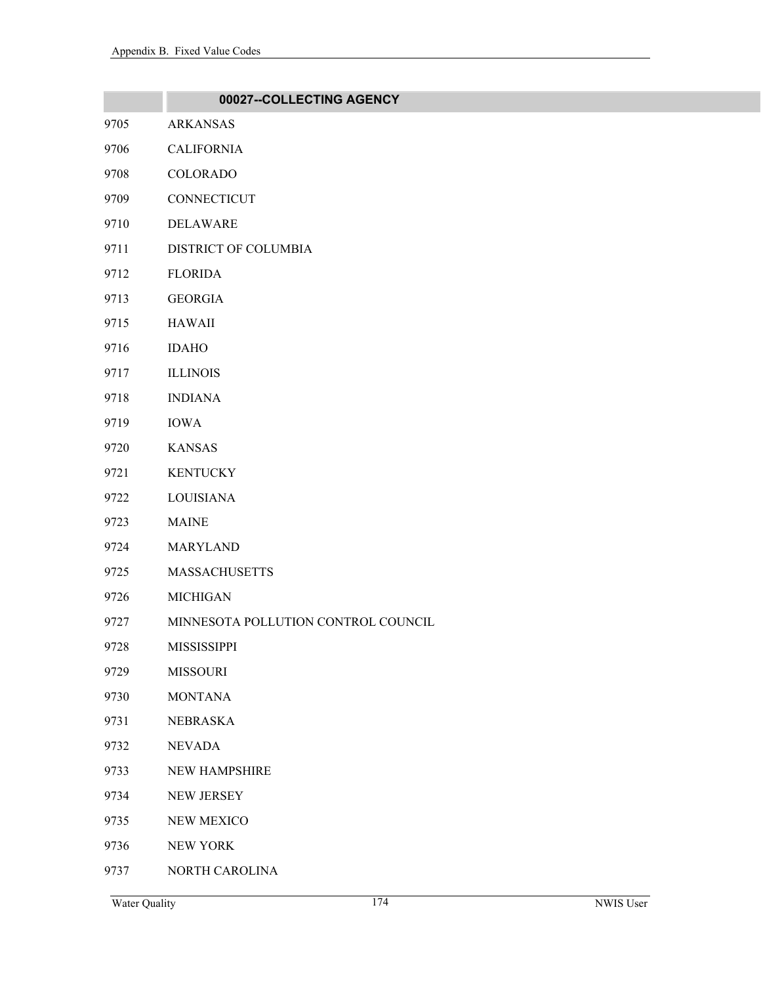|      | 00027--COLLECTING AGENCY            |
|------|-------------------------------------|
| 9705 | <b>ARKANSAS</b>                     |
| 9706 | <b>CALIFORNIA</b>                   |
| 9708 | <b>COLORADO</b>                     |
| 9709 | CONNECTICUT                         |
| 9710 | <b>DELAWARE</b>                     |
| 9711 | DISTRICT OF COLUMBIA                |
| 9712 | <b>FLORIDA</b>                      |
| 9713 | <b>GEORGIA</b>                      |
| 9715 | <b>HAWAII</b>                       |
| 9716 | <b>IDAHO</b>                        |
| 9717 | <b>ILLINOIS</b>                     |
| 9718 | <b>INDIANA</b>                      |
| 9719 | <b>IOWA</b>                         |
| 9720 | <b>KANSAS</b>                       |
| 9721 | <b>KENTUCKY</b>                     |
| 9722 | <b>LOUISIANA</b>                    |
| 9723 | <b>MAINE</b>                        |
| 9724 | <b>MARYLAND</b>                     |
| 9725 | <b>MASSACHUSETTS</b>                |
| 9726 | <b>MICHIGAN</b>                     |
| 9727 | MINNESOTA POLLUTION CONTROL COUNCIL |
| 9728 | MISSISSIPPI                         |
| 9729 | <b>MISSOURI</b>                     |
| 9730 | <b>MONTANA</b>                      |
| 9731 | <b>NEBRASKA</b>                     |
| 9732 | <b>NEVADA</b>                       |
| 9733 | NEW HAMPSHIRE                       |
| 9734 | <b>NEW JERSEY</b>                   |
| 9735 | NEW MEXICO                          |
| 9736 | NEW YORK                            |
| 9737 | NORTH CAROLINA                      |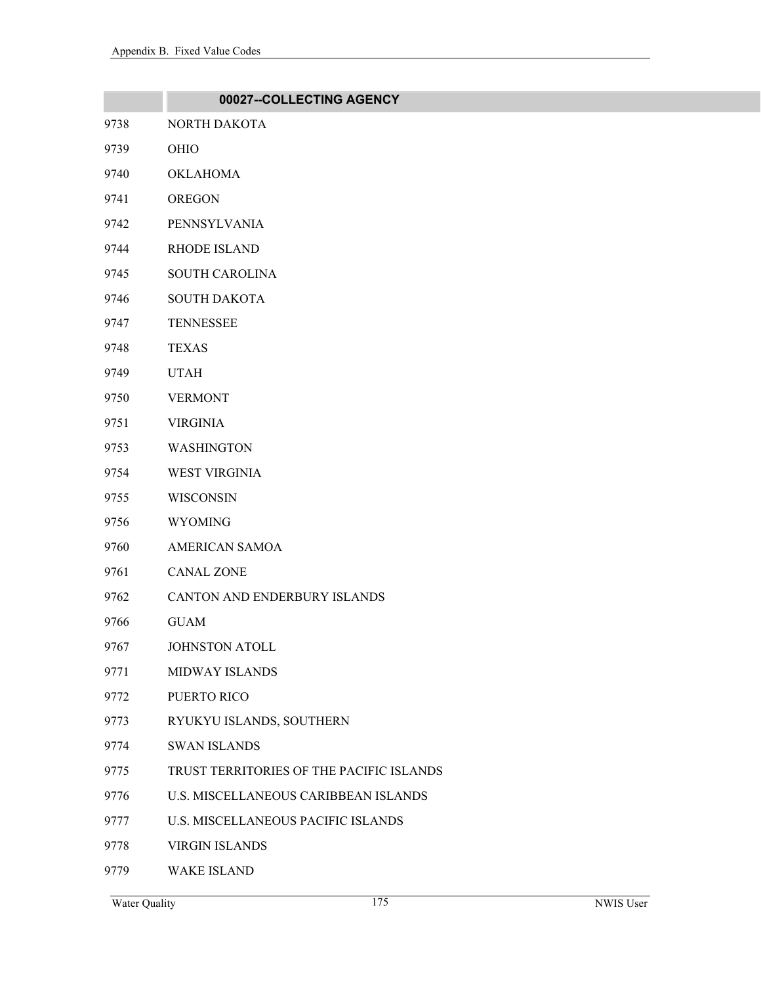|      | 00027--COLLECTING AGENCY                 |
|------|------------------------------------------|
| 9738 | NORTH DAKOTA                             |
| 9739 | OHIO                                     |
| 9740 | <b>OKLAHOMA</b>                          |
| 9741 | <b>OREGON</b>                            |
| 9742 | PENNSYLVANIA                             |
| 9744 | <b>RHODE ISLAND</b>                      |
| 9745 | <b>SOUTH CAROLINA</b>                    |
| 9746 | <b>SOUTH DAKOTA</b>                      |
| 9747 | <b>TENNESSEE</b>                         |
| 9748 | <b>TEXAS</b>                             |
| 9749 | <b>UTAH</b>                              |
| 9750 | <b>VERMONT</b>                           |
| 9751 | <b>VIRGINIA</b>                          |
| 9753 | <b>WASHINGTON</b>                        |
| 9754 | <b>WEST VIRGINIA</b>                     |
| 9755 | WISCONSIN                                |
| 9756 | <b>WYOMING</b>                           |
| 9760 | <b>AMERICAN SAMOA</b>                    |
| 9761 | <b>CANAL ZONE</b>                        |
| 9762 | CANTON AND ENDERBURY ISLANDS             |
| 9766 | <b>GUAM</b>                              |
| 9767 | <b>JOHNSTON ATOLL</b>                    |
| 9771 | <b>MIDWAY ISLANDS</b>                    |
| 9772 | PUERTO RICO                              |
| 9773 | RYUKYU ISLANDS, SOUTHERN                 |
| 9774 | <b>SWAN ISLANDS</b>                      |
| 9775 | TRUST TERRITORIES OF THE PACIFIC ISLANDS |
| 9776 | U.S. MISCELLANEOUS CARIBBEAN ISLANDS     |
| 9777 | U.S. MISCELLANEOUS PACIFIC ISLANDS       |
| 9778 | <b>VIRGIN ISLANDS</b>                    |

9779 WAKE ISLAND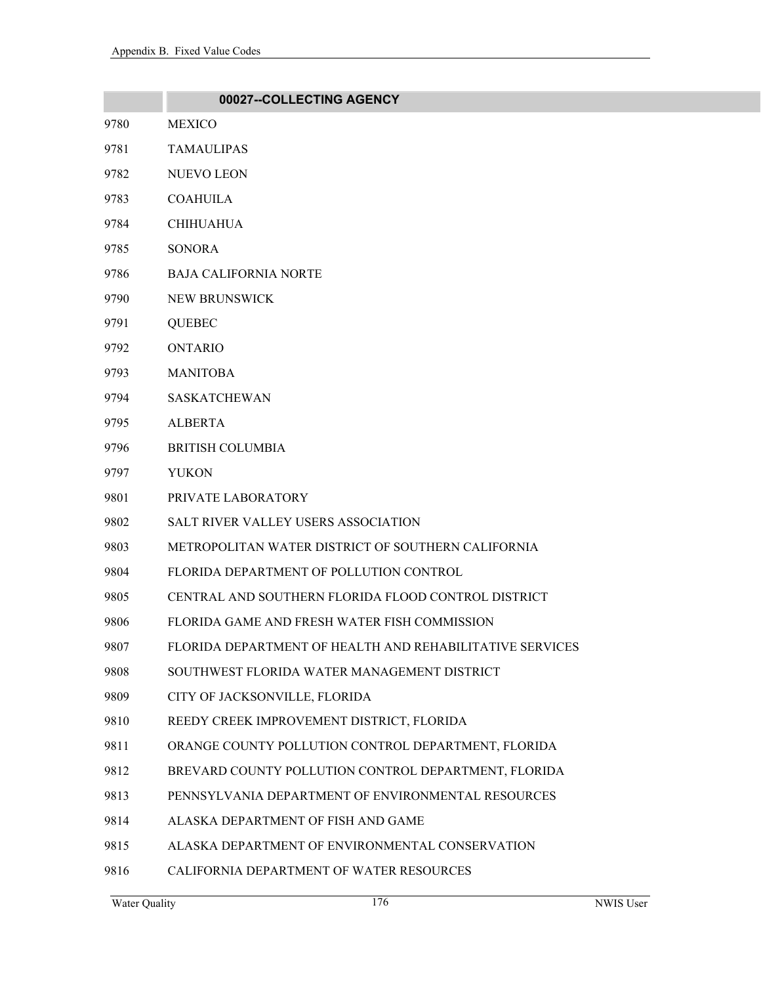|      | 00027--COLLECTING AGENCY                                 |
|------|----------------------------------------------------------|
| 9780 | <b>MEXICO</b>                                            |
| 9781 | <b>TAMAULIPAS</b>                                        |
| 9782 | <b>NUEVO LEON</b>                                        |
| 9783 | <b>COAHUILA</b>                                          |
| 9784 | <b>CHIHUAHUA</b>                                         |
| 9785 | <b>SONORA</b>                                            |
| 9786 | <b>BAJA CALIFORNIA NORTE</b>                             |
| 9790 | NEW BRUNSWICK                                            |
| 9791 | <b>QUEBEC</b>                                            |
| 9792 | <b>ONTARIO</b>                                           |
| 9793 | <b>MANITOBA</b>                                          |
| 9794 | <b>SASKATCHEWAN</b>                                      |
| 9795 | <b>ALBERTA</b>                                           |
| 9796 | <b>BRITISH COLUMBIA</b>                                  |
| 9797 | <b>YUKON</b>                                             |
| 9801 | PRIVATE LABORATORY                                       |
| 9802 | <b>SALT RIVER VALLEY USERS ASSOCIATION</b>               |
| 9803 | METROPOLITAN WATER DISTRICT OF SOUTHERN CALIFORNIA       |
| 9804 | FLORIDA DEPARTMENT OF POLLUTION CONTROL                  |
| 9805 | CENTRAL AND SOUTHERN FLORIDA FLOOD CONTROL DISTRICT      |
| 9806 | FLORIDA GAME AND FRESH WATER FISH COMMISSION             |
| 9807 | FLORIDA DEPARTMENT OF HEALTH AND REHABILITATIVE SERVICES |
| 9808 | SOUTHWEST FLORIDA WATER MANAGEMENT DISTRICT              |
| 9809 | CITY OF JACKSONVILLE, FLORIDA                            |
| 9810 | REEDY CREEK IMPROVEMENT DISTRICT, FLORIDA                |
| 9811 | ORANGE COUNTY POLLUTION CONTROL DEPARTMENT, FLORIDA      |
| 9812 | BREVARD COUNTY POLLUTION CONTROL DEPARTMENT, FLORIDA     |
| 9813 | PENNSYLVANIA DEPARTMENT OF ENVIRONMENTAL RESOURCES       |
| 9814 | ALASKA DEPARTMENT OF FISH AND GAME                       |
| 9815 | ALASKA DEPARTMENT OF ENVIRONMENTAL CONSERVATION          |
| 9816 | CALIFORNIA DEPARTMENT OF WATER RESOURCES                 |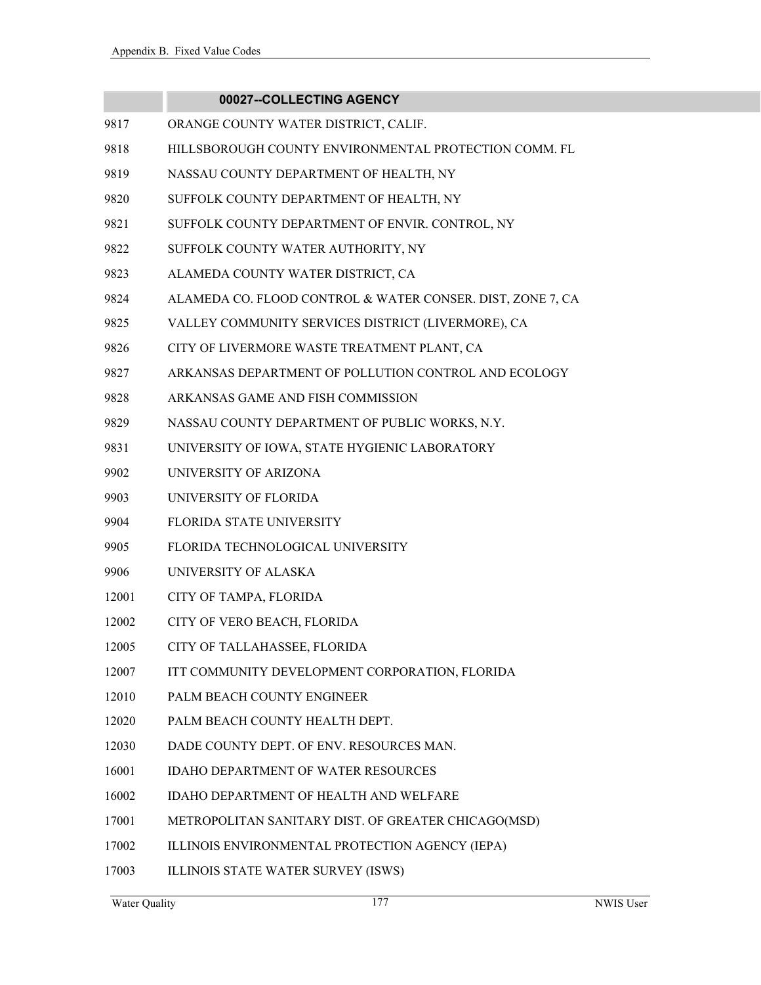|       | 00027--COLLECTING AGENCY                                   |
|-------|------------------------------------------------------------|
| 9817  | ORANGE COUNTY WATER DISTRICT, CALIF.                       |
| 9818  | HILLSBOROUGH COUNTY ENVIRONMENTAL PROTECTION COMM. FL      |
| 9819  | NASSAU COUNTY DEPARTMENT OF HEALTH, NY                     |
| 9820  | SUFFOLK COUNTY DEPARTMENT OF HEALTH, NY                    |
| 9821  | SUFFOLK COUNTY DEPARTMENT OF ENVIR. CONTROL, NY            |
| 9822  | SUFFOLK COUNTY WATER AUTHORITY, NY                         |
| 9823  | ALAMEDA COUNTY WATER DISTRICT, CA                          |
| 9824  | ALAMEDA CO. FLOOD CONTROL & WATER CONSER. DIST, ZONE 7, CA |
| 9825  | VALLEY COMMUNITY SERVICES DISTRICT (LIVERMORE), CA         |
| 9826  | CITY OF LIVERMORE WASTE TREATMENT PLANT, CA                |
| 9827  | ARKANSAS DEPARTMENT OF POLLUTION CONTROL AND ECOLOGY       |
| 9828  | ARKANSAS GAME AND FISH COMMISSION                          |
| 9829  | NASSAU COUNTY DEPARTMENT OF PUBLIC WORKS, N.Y.             |
| 9831  | UNIVERSITY OF IOWA, STATE HYGIENIC LABORATORY              |
| 9902  | UNIVERSITY OF ARIZONA                                      |
| 9903  | UNIVERSITY OF FLORIDA                                      |
| 9904  | <b>FLORIDA STATE UNIVERSITY</b>                            |
| 9905  | FLORIDA TECHNOLOGICAL UNIVERSITY                           |
| 9906  | UNIVERSITY OF ALASKA                                       |
| 12001 | CITY OF TAMPA, FLORIDA                                     |
| 12002 | CITY OF VERO BEACH, FLORIDA                                |
| 12005 | CITY OF TALLAHASSEE, FLORIDA                               |
| 12007 | ITT COMMUNITY DEVELOPMENT CORPORATION, FLORIDA             |
| 12010 | PALM BEACH COUNTY ENGINEER                                 |
| 12020 | PALM BEACH COUNTY HEALTH DEPT.                             |
| 12030 | DADE COUNTY DEPT. OF ENV. RESOURCES MAN.                   |
| 16001 | <b>IDAHO DEPARTMENT OF WATER RESOURCES</b>                 |
| 16002 | IDAHO DEPARTMENT OF HEALTH AND WELFARE                     |
| 17001 | METROPOLITAN SANITARY DIST. OF GREATER CHICAGO(MSD)        |
| 17002 | ILLINOIS ENVIRONMENTAL PROTECTION AGENCY (IEPA)            |
| 17003 | ILLINOIS STATE WATER SURVEY (ISWS)                         |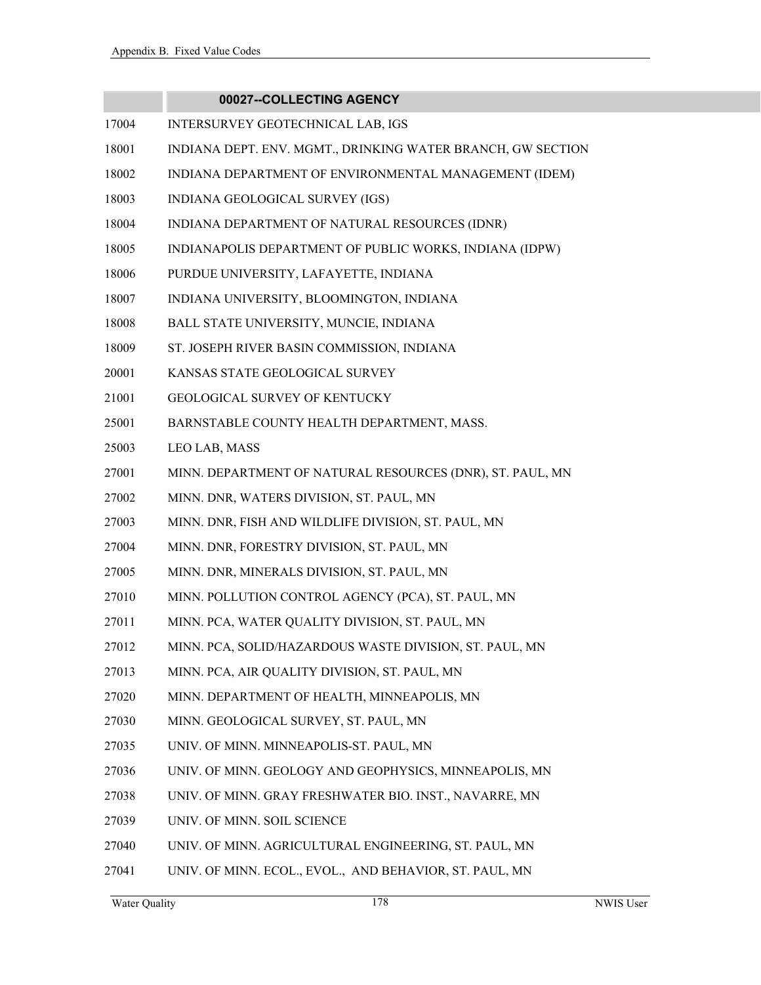- 17004 INTERSURVEY GEOTECHNICAL LAB, IGS
- 18001 INDIANA DEPT. ENV. MGMT., DRINKING WATER BRANCH, GW SECTION
- 18002 INDIANA DEPARTMENT OF ENVIRONMENTAL MANAGEMENT (IDEM)
- 18003 INDIANA GEOLOGICAL SURVEY (IGS)
- 18004 INDIANA DEPARTMENT OF NATURAL RESOURCES (IDNR)
- 18005 INDIANAPOLIS DEPARTMENT OF PUBLIC WORKS, INDIANA (IDPW)
- 18006 PURDUE UNIVERSITY, LAFAYETTE, INDIANA
- 18007 INDIANA UNIVERSITY, BLOOMINGTON, INDIANA
- 18008 BALL STATE UNIVERSITY, MUNCIE, INDIANA
- 18009 ST. JOSEPH RIVER BASIN COMMISSION, INDIANA
- 20001 KANSAS STATE GEOLOGICAL SURVEY
- 21001 GEOLOGICAL SURVEY OF KENTUCKY
- 25001 BARNSTABLE COUNTY HEALTH DEPARTMENT, MASS.
- 25003 LEO LAB, MASS
- 27001 MINN. DEPARTMENT OF NATURAL RESOURCES (DNR), ST. PAUL, MN
- 27002 MINN. DNR, WATERS DIVISION, ST. PAUL, MN
- 27003 MINN. DNR, FISH AND WILDLIFE DIVISION, ST. PAUL, MN
- 27004 MINN. DNR, FORESTRY DIVISION, ST. PAUL, MN
- 27005 MINN. DNR, MINERALS DIVISION, ST. PAUL, MN
- 27010 MINN. POLLUTION CONTROL AGENCY (PCA), ST. PAUL, MN
- 27011 MINN. PCA, WATER QUALITY DIVISION, ST. PAUL, MN
- 27012 MINN. PCA, SOLID/HAZARDOUS WASTE DIVISION, ST. PAUL, MN
- 27013 MINN. PCA, AIR QUALITY DIVISION, ST. PAUL, MN
- 27020 MINN. DEPARTMENT OF HEALTH, MINNEAPOLIS, MN
- 27030 MINN. GEOLOGICAL SURVEY, ST. PAUL, MN
- 27035 UNIV. OF MINN. MINNEAPOLIS-ST. PAUL, MN
- 27036 UNIV. OF MINN. GEOLOGY AND GEOPHYSICS, MINNEAPOLIS, MN
- 27038 UNIV. OF MINN. GRAY FRESHWATER BIO. INST., NAVARRE, MN
- 27039 UNIV. OF MINN. SOIL SCIENCE
- 27040 UNIV. OF MINN. AGRICULTURAL ENGINEERING, ST. PAUL, MN
- 27041 UNIV. OF MINN. ECOL., EVOL., AND BEHAVIOR, ST. PAUL, MN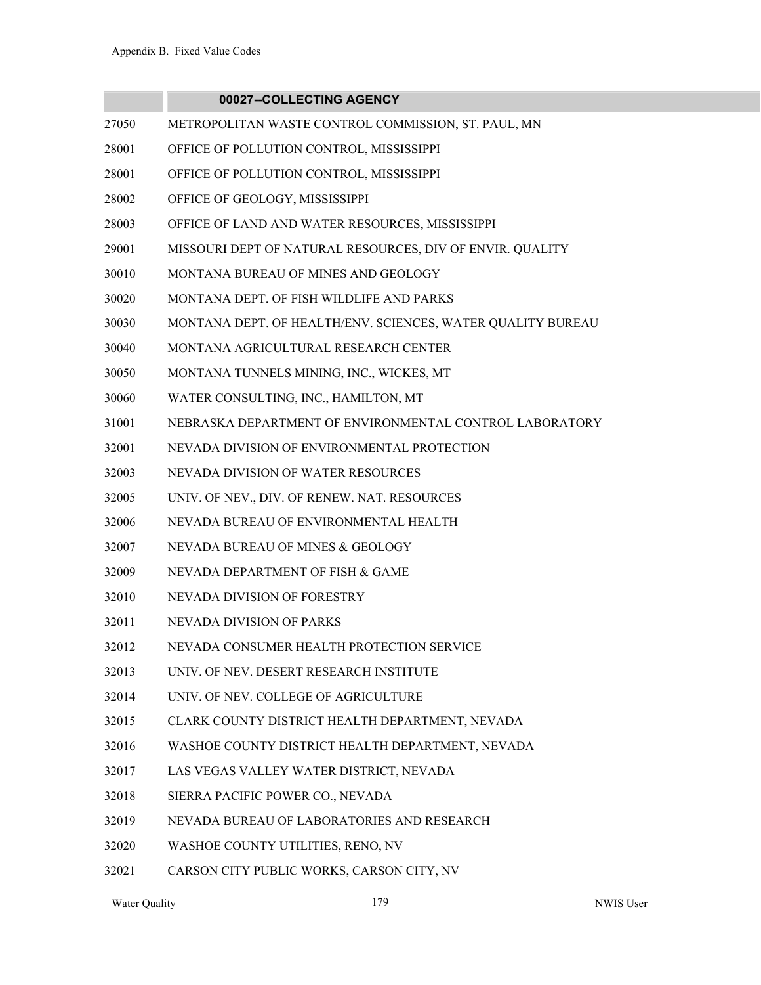- 27050 METROPOLITAN WASTE CONTROL COMMISSION, ST. PAUL, MN
- 28001 OFFICE OF POLLUTION CONTROL, MISSISSIPPI
- 28001 OFFICE OF POLLUTION CONTROL, MISSISSIPPI
- 28002 OFFICE OF GEOLOGY, MISSISSIPPI
- 28003 OFFICE OF LAND AND WATER RESOURCES, MISSISSIPPI
- 29001 MISSOURI DEPT OF NATURAL RESOURCES, DIV OF ENVIR. QUALITY
- 30010 MONTANA BUREAU OF MINES AND GEOLOGY
- 30020 MONTANA DEPT. OF FISH WILDLIFE AND PARKS
- 30030 MONTANA DEPT. OF HEALTH/ENV. SCIENCES, WATER QUALITY BUREAU
- 30040 MONTANA AGRICULTURAL RESEARCH CENTER
- 30050 MONTANA TUNNELS MINING, INC., WICKES, MT
- 30060 WATER CONSULTING, INC., HAMILTON, MT
- 31001 NEBRASKA DEPARTMENT OF ENVIRONMENTAL CONTROL LABORATORY
- 32001 NEVADA DIVISION OF ENVIRONMENTAL PROTECTION
- 32003 NEVADA DIVISION OF WATER RESOURCES
- 32005 UNIV. OF NEV., DIV. OF RENEW. NAT. RESOURCES
- 32006 NEVADA BUREAU OF ENVIRONMENTAL HEALTH
- 32007 NEVADA BUREAU OF MINES & GEOLOGY
- 32009 NEVADA DEPARTMENT OF FISH & GAME
- 32010 NEVADA DIVISION OF FORESTRY
- 32011 NEVADA DIVISION OF PARKS
- 32012 NEVADA CONSUMER HEALTH PROTECTION SERVICE
- 32013 UNIV. OF NEV. DESERT RESEARCH INSTITUTE
- 32014 UNIV. OF NEV. COLLEGE OF AGRICULTURE
- 32015 CLARK COUNTY DISTRICT HEALTH DEPARTMENT, NEVADA
- 32016 WASHOE COUNTY DISTRICT HEALTH DEPARTMENT, NEVADA
- 32017 LAS VEGAS VALLEY WATER DISTRICT, NEVADA
- 32018 SIERRA PACIFIC POWER CO., NEVADA
- 32019 NEVADA BUREAU OF LABORATORIES AND RESEARCH
- 32020 WASHOE COUNTY UTILITIES, RENO, NV
- 32021 CARSON CITY PUBLIC WORKS, CARSON CITY, NV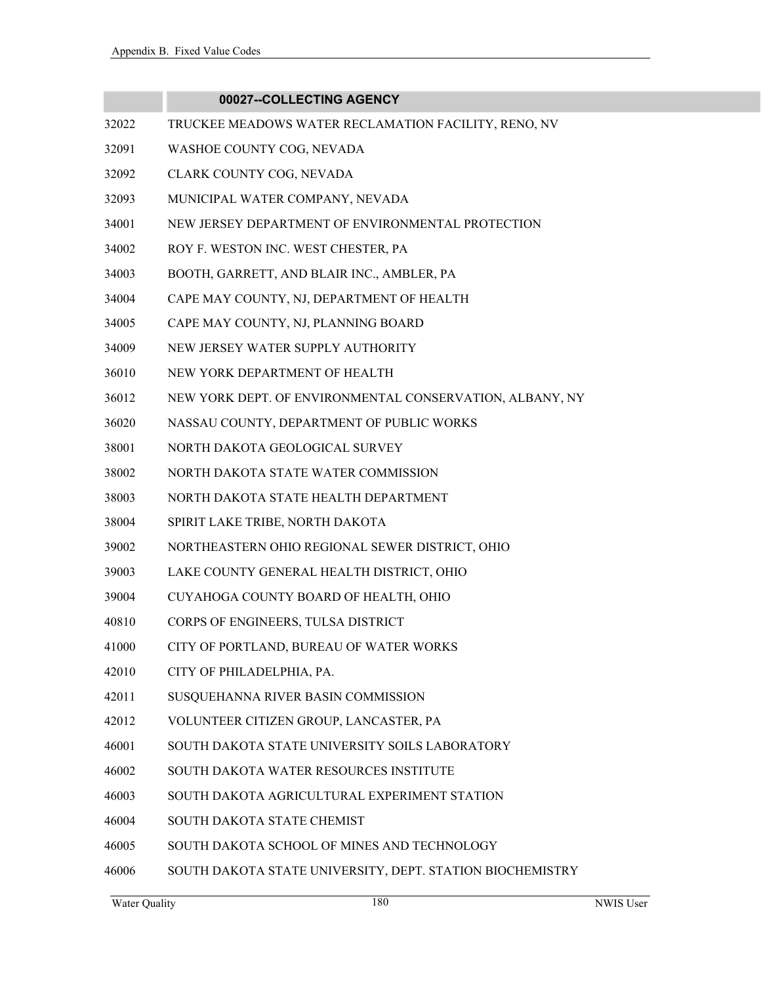- 32022 TRUCKEE MEADOWS WATER RECLAMATION FACILITY, RENO, NV
- 32091 WASHOE COUNTY COG, NEVADA
- 32092 CLARK COUNTY COG, NEVADA
- 32093 MUNICIPAL WATER COMPANY, NEVADA
- 34001 NEW JERSEY DEPARTMENT OF ENVIRONMENTAL PROTECTION
- 34002 ROY F. WESTON INC. WEST CHESTER, PA
- 34003 BOOTH, GARRETT, AND BLAIR INC., AMBLER, PA
- 34004 CAPE MAY COUNTY, NJ, DEPARTMENT OF HEALTH
- 34005 CAPE MAY COUNTY, NJ, PLANNING BOARD
- 34009 NEW JERSEY WATER SUPPLY AUTHORITY
- 36010 NEW YORK DEPARTMENT OF HEALTH
- 36012 NEW YORK DEPT. OF ENVIRONMENTAL CONSERVATION, ALBANY, NY
- 36020 NASSAU COUNTY, DEPARTMENT OF PUBLIC WORKS
- 38001 NORTH DAKOTA GEOLOGICAL SURVEY
- 38002 NORTH DAKOTA STATE WATER COMMISSION
- 38003 NORTH DAKOTA STATE HEALTH DEPARTMENT
- 38004 SPIRIT LAKE TRIBE, NORTH DAKOTA
- 39002 NORTHEASTERN OHIO REGIONAL SEWER DISTRICT, OHIO
- 39003 LAKE COUNTY GENERAL HEALTH DISTRICT, OHIO
- 39004 CUYAHOGA COUNTY BOARD OF HEALTH, OHIO
- 40810 CORPS OF ENGINEERS, TULSA DISTRICT
- 41000 CITY OF PORTLAND, BUREAU OF WATER WORKS
- 42010 CITY OF PHILADELPHIA, PA.
- 42011 SUSQUEHANNA RIVER BASIN COMMISSION
- 42012 VOLUNTEER CITIZEN GROUP, LANCASTER, PA
- 46001 SOUTH DAKOTA STATE UNIVERSITY SOILS LABORATORY
- 46002 SOUTH DAKOTA WATER RESOURCES INSTITUTE
- 46003 SOUTH DAKOTA AGRICULTURAL EXPERIMENT STATION
- 46004 SOUTH DAKOTA STATE CHEMIST
- 46005 SOUTH DAKOTA SCHOOL OF MINES AND TECHNOLOGY
- 46006 SOUTH DAKOTA STATE UNIVERSITY, DEPT. STATION BIOCHEMISTRY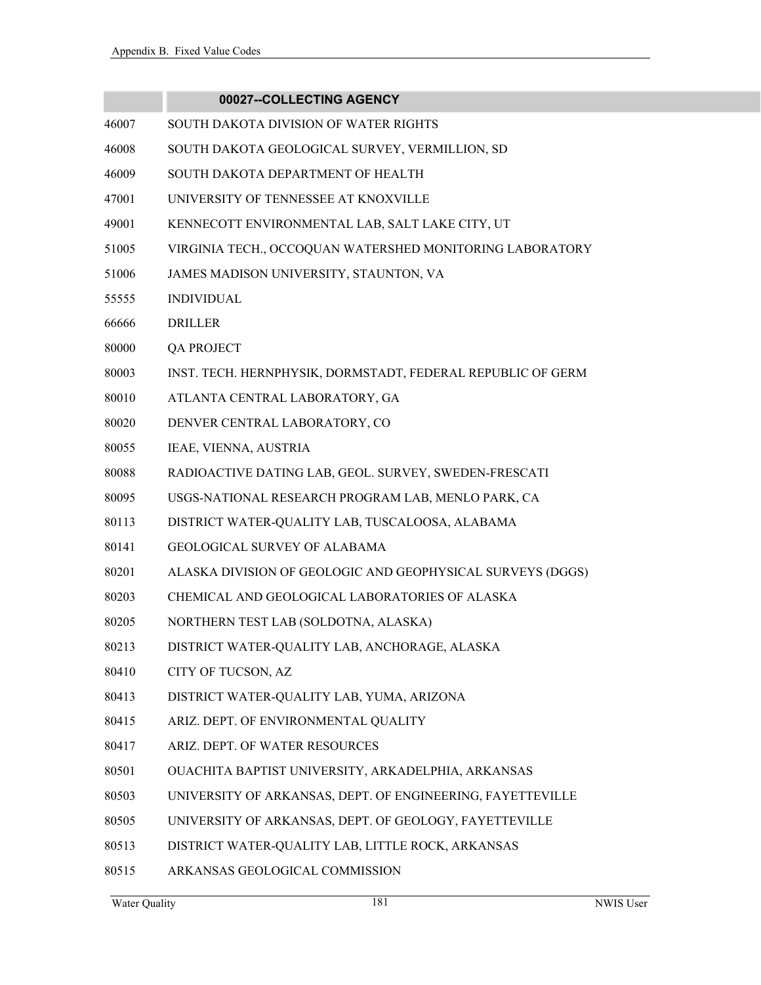# **00027--COLLECTING AGENCY** 46007 SOUTH DAKOTA DIVISION OF WATER RIGHTS 46008 SOUTH DAKOTA GEOLOGICAL SURVEY, VERMILLION, SD 46009 SOUTH DAKOTA DEPARTMENT OF HEALTH 47001 UNIVERSITY OF TENNESSEE AT KNOXVILLE 49001 KENNECOTT ENVIRONMENTAL LAB, SALT LAKE CITY, UT 51005 VIRGINIA TECH., OCCOQUAN WATERSHED MONITORING LABORATORY 51006 JAMES MADISON UNIVERSITY, STAUNTON, VA 55555 INDIVIDUAL 66666 DRILLER 80000 QA PROJECT 80003 INST. TECH. HERNPHYSIK, DORMSTADT, FEDERAL REPUBLIC OF GERM 80010 ATLANTA CENTRAL LABORATORY, GA 80020 DENVER CENTRAL LABORATORY, CO 80055 IEAE, VIENNA, AUSTRIA 80088 RADIOACTIVE DATING LAB, GEOL. SURVEY, SWEDEN-FRESCATI 80095 USGS-NATIONAL RESEARCH PROGRAM LAB, MENLO PARK, CA 80113 DISTRICT WATER-QUALITY LAB, TUSCALOOSA, ALABAMA 80141 GEOLOGICAL SURVEY OF ALABAMA 80201 ALASKA DIVISION OF GEOLOGIC AND GEOPHYSICAL SURVEYS (DGGS) 80203 CHEMICAL AND GEOLOGICAL LABORATORIES OF ALASKA 80205 NORTHERN TEST LAB (SOLDOTNA, ALASKA) 80213 DISTRICT WATER-QUALITY LAB, ANCHORAGE, ALASKA 80410 CITY OF TUCSON, AZ 80413 DISTRICT WATER-QUALITY LAB, YUMA, ARIZONA 80415 ARIZ. DEPT. OF ENVIRONMENTAL QUALITY 80417 ARIZ. DEPT. OF WATER RESOURCES 80501 OUACHITA BAPTIST UNIVERSITY, ARKADELPHIA, ARKANSAS 80503 UNIVERSITY OF ARKANSAS, DEPT. OF ENGINEERING, FAYETTEVILLE

- 80505 UNIVERSITY OF ARKANSAS, DEPT. OF GEOLOGY, FAYETTEVILLE
- 80513 DISTRICT WATER-QUALITY LAB, LITTLE ROCK, ARKANSAS
- 80515 ARKANSAS GEOLOGICAL COMMISSION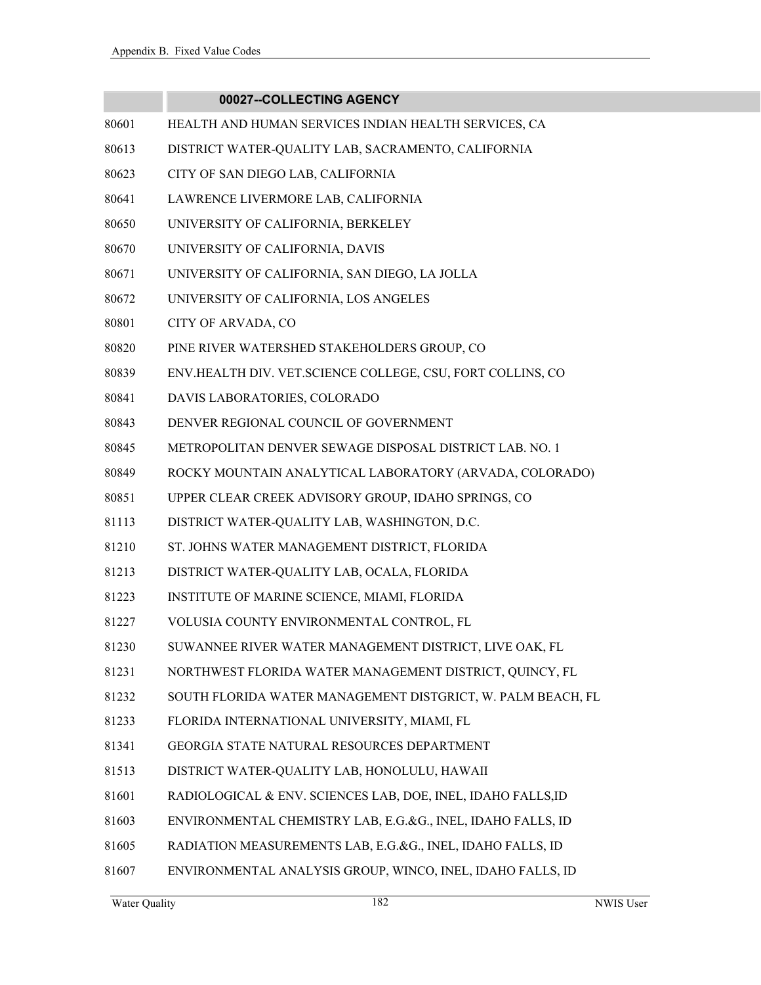- 80601 HEALTH AND HUMAN SERVICES INDIAN HEALTH SERVICES, CA
- 80613 DISTRICT WATER-QUALITY LAB, SACRAMENTO, CALIFORNIA
- 80623 CITY OF SAN DIEGO LAB, CALIFORNIA
- 80641 LAWRENCE LIVERMORE LAB, CALIFORNIA
- 80650 UNIVERSITY OF CALIFORNIA, BERKELEY
- 80670 UNIVERSITY OF CALIFORNIA, DAVIS
- 80671 UNIVERSITY OF CALIFORNIA, SAN DIEGO, LA JOLLA
- 80672 UNIVERSITY OF CALIFORNIA, LOS ANGELES
- 80801 CITY OF ARVADA, CO
- 80820 PINE RIVER WATERSHED STAKEHOLDERS GROUP, CO
- 80839 ENV.HEALTH DIV. VET.SCIENCE COLLEGE, CSU, FORT COLLINS, CO
- 80841 DAVIS LABORATORIES, COLORADO
- 80843 DENVER REGIONAL COUNCIL OF GOVERNMENT
- 80845 METROPOLITAN DENVER SEWAGE DISPOSAL DISTRICT LAB. NO. 1
- 80849 ROCKY MOUNTAIN ANALYTICAL LABORATORY (ARVADA, COLORADO)
- 80851 UPPER CLEAR CREEK ADVISORY GROUP, IDAHO SPRINGS, CO
- 81113 DISTRICT WATER-QUALITY LAB, WASHINGTON, D.C.
- 81210 ST. JOHNS WATER MANAGEMENT DISTRICT, FLORIDA
- 81213 DISTRICT WATER-QUALITY LAB, OCALA, FLORIDA
- 81223 INSTITUTE OF MARINE SCIENCE, MIAMI, FLORIDA
- 81227 VOLUSIA COUNTY ENVIRONMENTAL CONTROL, FL
- 81230 SUWANNEE RIVER WATER MANAGEMENT DISTRICT, LIVE OAK, FL
- 81231 NORTHWEST FLORIDA WATER MANAGEMENT DISTRICT, QUINCY, FL
- 81232 SOUTH FLORIDA WATER MANAGEMENT DISTGRICT, W. PALM BEACH, FL
- 81233 FLORIDA INTERNATIONAL UNIVERSITY, MIAMI, FL
- 81341 GEORGIA STATE NATURAL RESOURCES DEPARTMENT
- 81513 DISTRICT WATER-QUALITY LAB, HONOLULU, HAWAII
- 81601 RADIOLOGICAL & ENV. SCIENCES LAB, DOE, INEL, IDAHO FALLS,ID
- 81603 ENVIRONMENTAL CHEMISTRY LAB, E.G.&G., INEL, IDAHO FALLS, ID
- 81605 RADIATION MEASUREMENTS LAB, E.G.&G., INEL, IDAHO FALLS, ID
- 81607 ENVIRONMENTAL ANALYSIS GROUP, WINCO, INEL, IDAHO FALLS, ID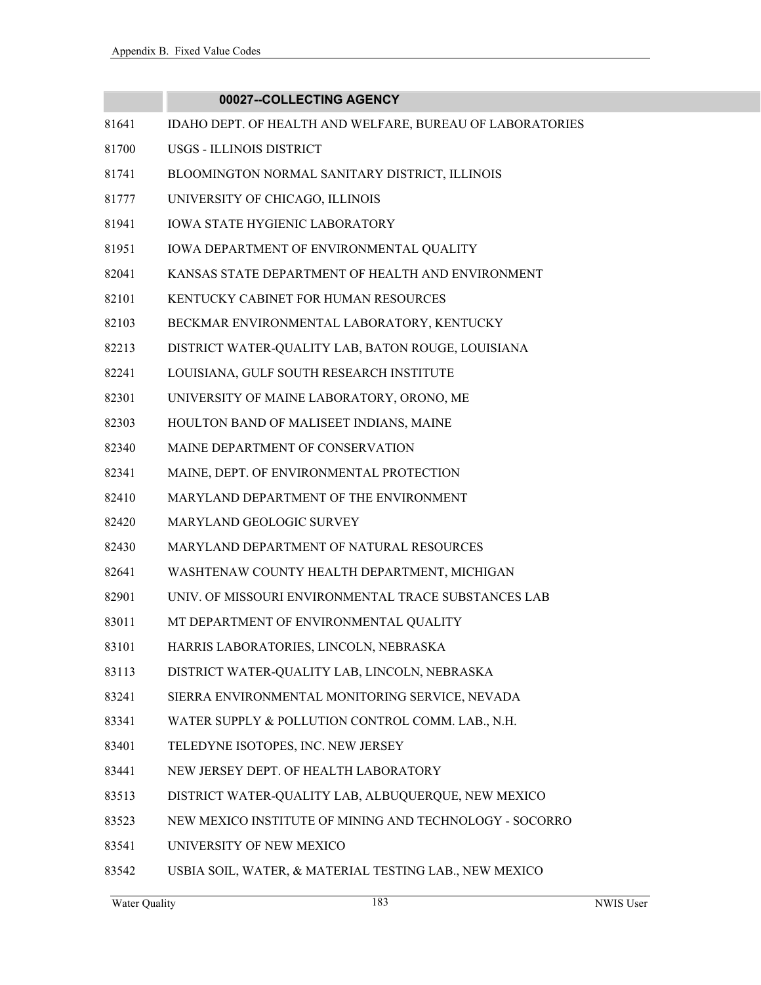|       | 00027--COLLECTING AGENCY                                  |
|-------|-----------------------------------------------------------|
| 81641 | IDAHO DEPT. OF HEALTH AND WELFARE, BUREAU OF LABORATORIES |
| 81700 | USGS - ILLINOIS DISTRICT                                  |
| 81741 | BLOOMINGTON NORMAL SANITARY DISTRICT, ILLINOIS            |
| 81777 | UNIVERSITY OF CHICAGO, ILLINOIS                           |
| 81941 | <b>IOWA STATE HYGIENIC LABORATORY</b>                     |
| 81951 | IOWA DEPARTMENT OF ENVIRONMENTAL QUALITY                  |
| 82041 | KANSAS STATE DEPARTMENT OF HEALTH AND ENVIRONMENT         |
| 82101 | KENTUCKY CABINET FOR HUMAN RESOURCES                      |
| 82103 | BECKMAR ENVIRONMENTAL LABORATORY, KENTUCKY                |
| 82213 | DISTRICT WATER-QUALITY LAB, BATON ROUGE, LOUISIANA        |
| 82241 | LOUISIANA, GULF SOUTH RESEARCH INSTITUTE                  |
| 82301 | UNIVERSITY OF MAINE LABORATORY, ORONO, ME                 |
| 82303 | HOULTON BAND OF MALISEET INDIANS, MAINE                   |
| 82340 | MAINE DEPARTMENT OF CONSERVATION                          |
| 82341 | MAINE, DEPT. OF ENVIRONMENTAL PROTECTION                  |
| 82410 | MARYLAND DEPARTMENT OF THE ENVIRONMENT                    |
| 82420 | MARYLAND GEOLOGIC SURVEY                                  |
| 82430 | MARYLAND DEPARTMENT OF NATURAL RESOURCES                  |
| 82641 | WASHTENAW COUNTY HEALTH DEPARTMENT, MICHIGAN              |
| 82901 | UNIV. OF MISSOURI ENVIRONMENTAL TRACE SUBSTANCES LAB      |
| 83011 | MT DEPARTMENT OF ENVIRONMENTAL QUALITY                    |
| 83101 | HARRIS LABORATORIES, LINCOLN, NEBRASKA                    |
| 83113 | DISTRICT WATER-QUALITY LAB, LINCOLN, NEBRASKA             |
| 83241 | SIERRA ENVIRONMENTAL MONITORING SERVICE, NEVADA           |
| 83341 | WATER SUPPLY & POLLUTION CONTROL COMM. LAB., N.H.         |
| 83401 | TELEDYNE ISOTOPES, INC. NEW JERSEY                        |
| 83441 | NEW JERSEY DEPT. OF HEALTH LABORATORY                     |
| 83513 | DISTRICT WATER-QUALITY LAB, ALBUQUERQUE, NEW MEXICO       |
| 83523 | NEW MEXICO INSTITUTE OF MINING AND TECHNOLOGY - SOCORRO   |
| 83541 | UNIVERSITY OF NEW MEXICO                                  |
| 83542 | USBIA SOIL, WATER, & MATERIAL TESTING LAB., NEW MEXICO    |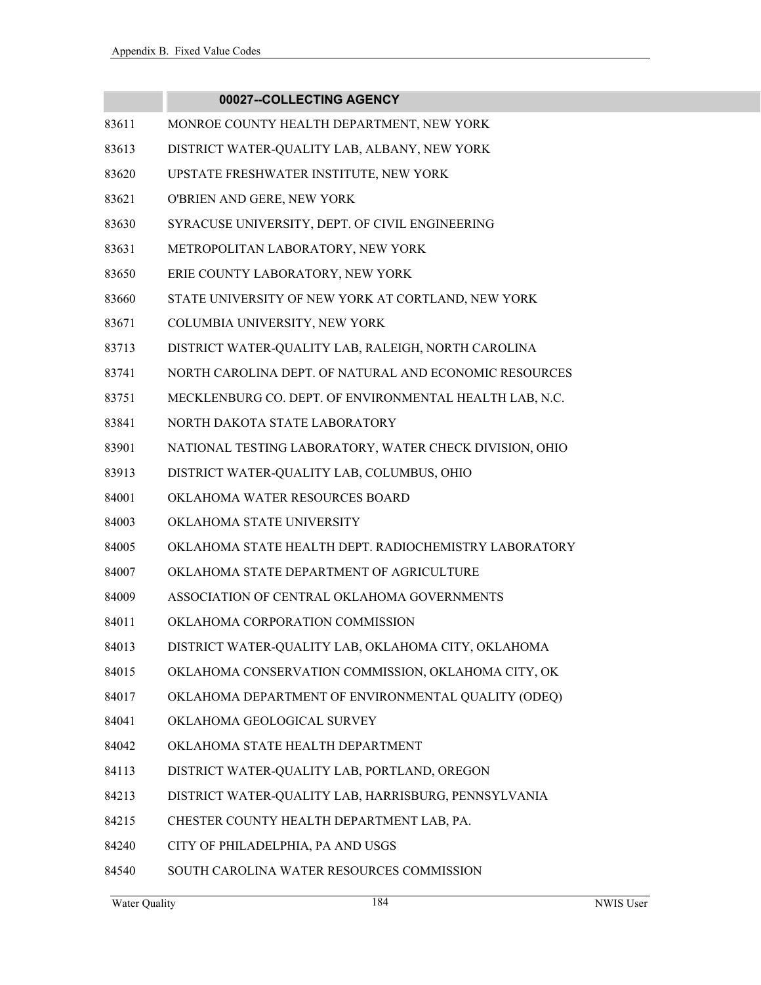- 83611 MONROE COUNTY HEALTH DEPARTMENT, NEW YORK
- 83613 DISTRICT WATER-QUALITY LAB, ALBANY, NEW YORK
- 83620 UPSTATE FRESHWATER INSTITUTE, NEW YORK
- 83621 O'BRIEN AND GERE, NEW YORK
- 83630 SYRACUSE UNIVERSITY, DEPT. OF CIVIL ENGINEERING
- 83631 METROPOLITAN LABORATORY, NEW YORK
- 83650 ERIE COUNTY LABORATORY, NEW YORK
- 83660 STATE UNIVERSITY OF NEW YORK AT CORTLAND, NEW YORK
- 83671 COLUMBIA UNIVERSITY, NEW YORK
- 83713 DISTRICT WATER-QUALITY LAB, RALEIGH, NORTH CAROLINA
- 83741 NORTH CAROLINA DEPT. OF NATURAL AND ECONOMIC RESOURCES
- 83751 MECKLENBURG CO. DEPT. OF ENVIRONMENTAL HEALTH LAB, N.C.
- 83841 NORTH DAKOTA STATE LABORATORY
- 83901 NATIONAL TESTING LABORATORY, WATER CHECK DIVISION, OHIO
- 83913 DISTRICT WATER-QUALITY LAB, COLUMBUS, OHIO
- 84001 OKLAHOMA WATER RESOURCES BOARD
- 84003 OKLAHOMA STATE UNIVERSITY
- 84005 OKLAHOMA STATE HEALTH DEPT. RADIOCHEMISTRY LABORATORY
- 84007 OKLAHOMA STATE DEPARTMENT OF AGRICULTURE
- 84009 ASSOCIATION OF CENTRAL OKLAHOMA GOVERNMENTS
- 84011 OKLAHOMA CORPORATION COMMISSION
- 84013 DISTRICT WATER-QUALITY LAB, OKLAHOMA CITY, OKLAHOMA
- 84015 OKLAHOMA CONSERVATION COMMISSION, OKLAHOMA CITY, OK
- 84017 OKLAHOMA DEPARTMENT OF ENVIRONMENTAL QUALITY (ODEQ)
- 84041 OKLAHOMA GEOLOGICAL SURVEY
- 84042 OKLAHOMA STATE HEALTH DEPARTMENT
- 84113 DISTRICT WATER-QUALITY LAB, PORTLAND, OREGON
- 84213 DISTRICT WATER-QUALITY LAB, HARRISBURG, PENNSYLVANIA
- 84215 CHESTER COUNTY HEALTH DEPARTMENT LAB, PA.
- 84240 CITY OF PHILADELPHIA, PA AND USGS
- 84540 SOUTH CAROLINA WATER RESOURCES COMMISSION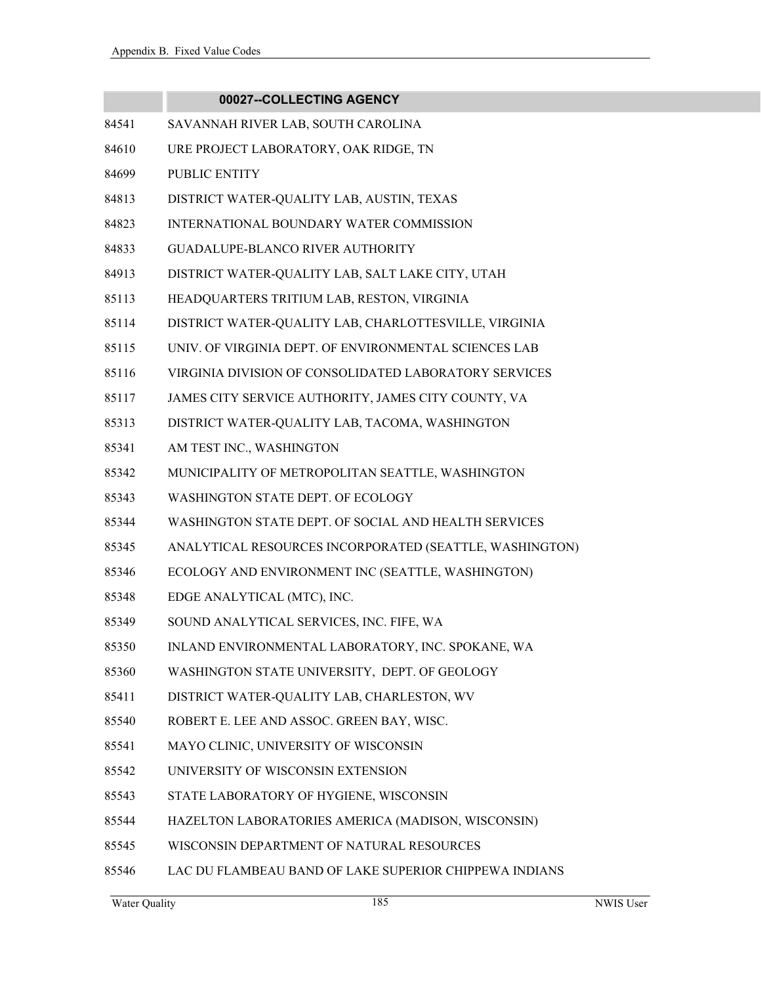m.

|       | 00027--COLLECTING AGENCY                                |
|-------|---------------------------------------------------------|
| 84541 | SAVANNAH RIVER LAB, SOUTH CAROLINA                      |
| 84610 | URE PROJECT LABORATORY, OAK RIDGE, TN                   |
| 84699 | <b>PUBLIC ENTITY</b>                                    |
| 84813 | DISTRICT WATER-QUALITY LAB, AUSTIN, TEXAS               |
| 84823 | INTERNATIONAL BOUNDARY WATER COMMISSION                 |
| 84833 | <b>GUADALUPE-BLANCO RIVER AUTHORITY</b>                 |
| 84913 | DISTRICT WATER-QUALITY LAB, SALT LAKE CITY, UTAH        |
| 85113 | HEADQUARTERS TRITIUM LAB, RESTON, VIRGINIA              |
| 85114 | DISTRICT WATER-QUALITY LAB, CHARLOTTESVILLE, VIRGINIA   |
| 85115 | UNIV. OF VIRGINIA DEPT. OF ENVIRONMENTAL SCIENCES LAB   |
| 85116 | VIRGINIA DIVISION OF CONSOLIDATED LABORATORY SERVICES   |
| 85117 | JAMES CITY SERVICE AUTHORITY, JAMES CITY COUNTY, VA     |
| 85313 | DISTRICT WATER-QUALITY LAB, TACOMA, WASHINGTON          |
| 85341 | AM TEST INC., WASHINGTON                                |
| 85342 | MUNICIPALITY OF METROPOLITAN SEATTLE, WASHINGTON        |
| 85343 | WASHINGTON STATE DEPT. OF ECOLOGY                       |
| 85344 | WASHINGTON STATE DEPT. OF SOCIAL AND HEALTH SERVICES    |
| 85345 | ANALYTICAL RESOURCES INCORPORATED (SEATTLE, WASHINGTON) |
| 85346 | ECOLOGY AND ENVIRONMENT INC (SEATTLE, WASHINGTON)       |
| 85348 | EDGE ANALYTICAL (MTC), INC.                             |
| 85349 | SOUND ANALYTICAL SERVICES, INC. FIFE, WA                |
| 85350 | INLAND ENVIRONMENTAL LABORATORY, INC. SPOKANE, WA       |
| 85360 | WASHINGTON STATE UNIVERSITY, DEPT. OF GEOLOGY           |
| 85411 | DISTRICT WATER-QUALITY LAB, CHARLESTON, WV              |
| 85540 | ROBERT E. LEE AND ASSOC. GREEN BAY, WISC.               |
| 85541 | MAYO CLINIC, UNIVERSITY OF WISCONSIN                    |
| 85542 | UNIVERSITY OF WISCONSIN EXTENSION                       |
| 85543 | STATE LABORATORY OF HYGIENE, WISCONSIN                  |
| 85544 | HAZELTON LABORATORIES AMERICA (MADISON, WISCONSIN)      |
| 85545 | WISCONSIN DEPARTMENT OF NATURAL RESOURCES               |
| 85546 | LAC DU FLAMBEAU BAND OF LAKE SUPERIOR CHIPPEWA INDIANS  |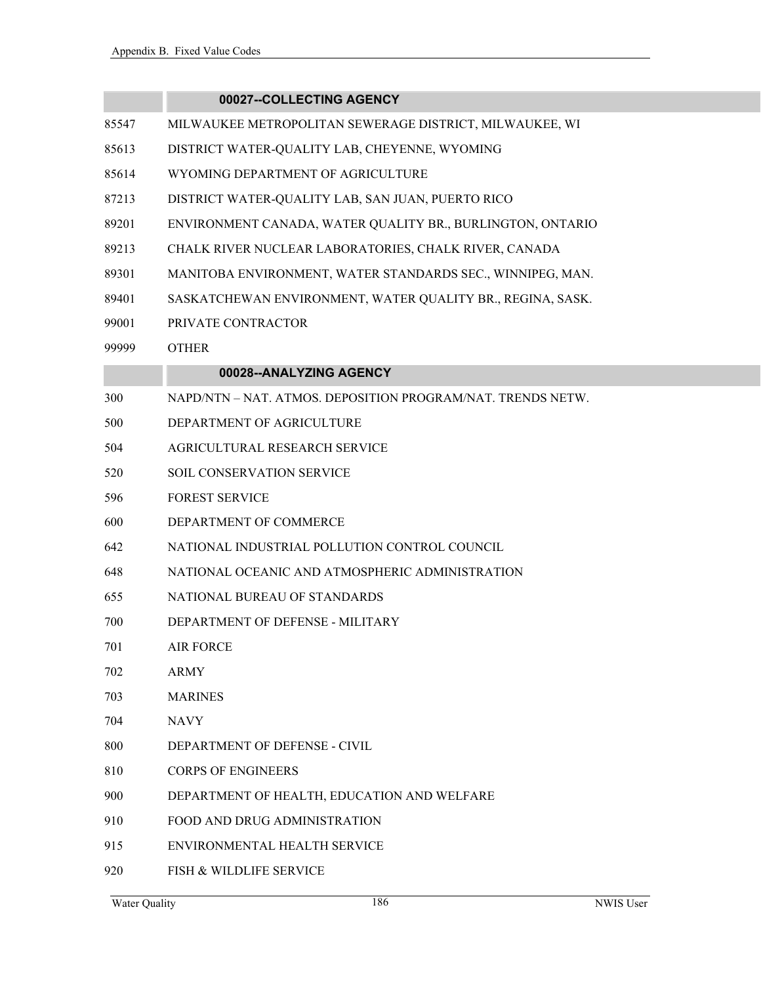- 85547 MILWAUKEE METROPOLITAN SEWERAGE DISTRICT, MILWAUKEE, WI
- 85613 DISTRICT WATER-QUALITY LAB, CHEYENNE, WYOMING
- 85614 WYOMING DEPARTMENT OF AGRICULTURE
- 87213 DISTRICT WATER-QUALITY LAB, SAN JUAN, PUERTO RICO
- 89201 ENVIRONMENT CANADA, WATER QUALITY BR., BURLINGTON, ONTARIO
- 89213 CHALK RIVER NUCLEAR LABORATORIES, CHALK RIVER, CANADA
- 89301 MANITOBA ENVIRONMENT, WATER STANDARDS SEC., WINNIPEG, MAN.
- 89401 SASKATCHEWAN ENVIRONMENT, WATER QUALITY BR., REGINA, SASK.
- 99001 PRIVATE CONTRACTOR
- 99999 OTHER

#### **00028--ANALYZING AGENCY**

| 300 | NAPD/NTN-NAT. ATMOS. DEPOSITION PROGRAM/NAT. TRENDS NETW. |
|-----|-----------------------------------------------------------|
| 500 | DEPARTMENT OF AGRICULTURE                                 |
| 504 | <b>AGRICULTURAL RESEARCH SERVICE</b>                      |
| 520 | <b>SOIL CONSERVATION SERVICE</b>                          |
| 596 | <b>FOREST SERVICE</b>                                     |
| 600 | DEPARTMENT OF COMMERCE                                    |
| 642 | NATIONAL INDUSTRIAL POLLUTION CONTROL COUNCIL             |
| 648 | NATIONAL OCEANIC AND ATMOSPHERIC ADMINISTRATION           |
| 655 | NATIONAL BUREAU OF STANDARDS                              |
| 700 | DEPARTMENT OF DEFENSE - MILITARY                          |
| 701 | <b>AIR FORCE</b>                                          |
| 702 | <b>ARMY</b>                                               |
| 703 | <b>MARINES</b>                                            |
| 704 | <b>NAVY</b>                                               |
| 800 | DEPARTMENT OF DEFENSE - CIVIL                             |
| 810 | <b>CORPS OF ENGINEERS</b>                                 |
| 900 | DEPARTMENT OF HEALTH, EDUCATION AND WELFARE               |
| 910 | <b>FOOD AND DRUG ADMINISTRATION</b>                       |
| 915 | ENVIRONMENTAL HEALTH SERVICE                              |
|     |                                                           |

920 FISH & WILDLIFE SERVICE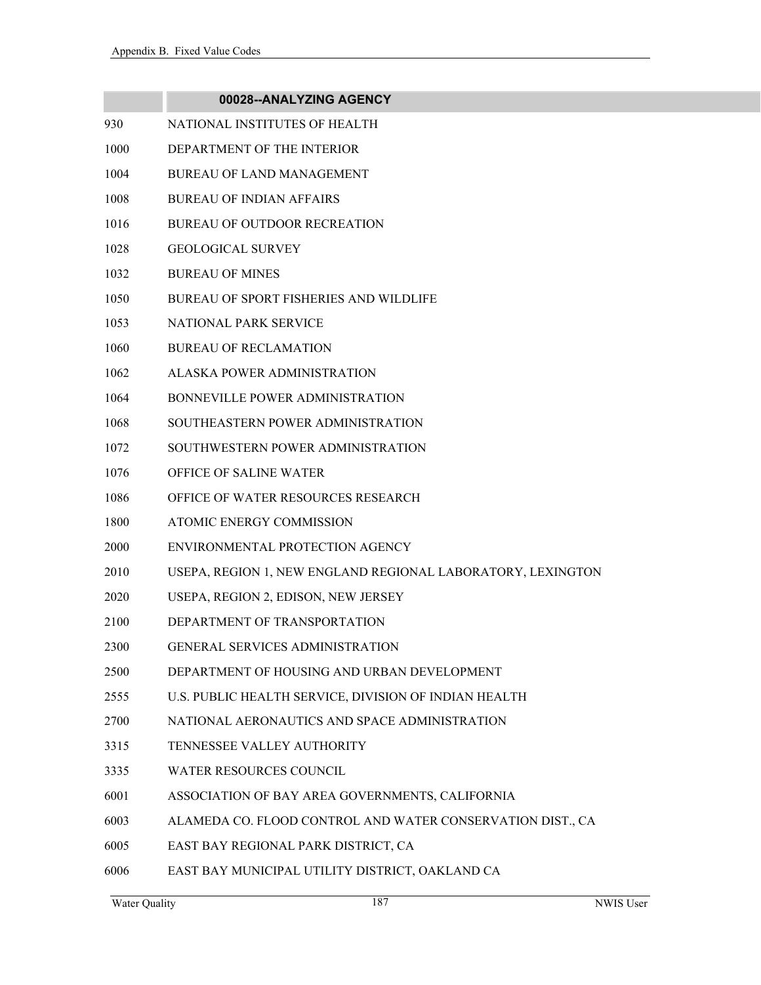|      | 00028--ANALYZING AGENCY                                     |
|------|-------------------------------------------------------------|
| 930  | NATIONAL INSTITUTES OF HEALTH                               |
| 1000 | DEPARTMENT OF THE INTERIOR                                  |
| 1004 | <b>BUREAU OF LAND MANAGEMENT</b>                            |
| 1008 | <b>BUREAU OF INDIAN AFFAIRS</b>                             |
| 1016 | <b>BUREAU OF OUTDOOR RECREATION</b>                         |
| 1028 | <b>GEOLOGICAL SURVEY</b>                                    |
| 1032 | <b>BUREAU OF MINES</b>                                      |
| 1050 | <b>BUREAU OF SPORT FISHERIES AND WILDLIFE</b>               |
| 1053 | NATIONAL PARK SERVICE                                       |
| 1060 | <b>BUREAU OF RECLAMATION</b>                                |
| 1062 | ALASKA POWER ADMINISTRATION                                 |
| 1064 | BONNEVILLE POWER ADMINISTRATION                             |
| 1068 | SOUTHEASTERN POWER ADMINISTRATION                           |
| 1072 | SOUTHWESTERN POWER ADMINISTRATION                           |
| 1076 | OFFICE OF SALINE WATER                                      |
| 1086 | OFFICE OF WATER RESOURCES RESEARCH                          |
| 1800 | ATOMIC ENERGY COMMISSION                                    |
| 2000 | ENVIRONMENTAL PROTECTION AGENCY                             |
| 2010 | USEPA, REGION 1, NEW ENGLAND REGIONAL LABORATORY, LEXINGTON |
| 2020 | USEPA, REGION 2, EDISON, NEW JERSEY                         |
| 2100 | DEPARTMENT OF TRANSPORTATION                                |
| 2300 | GENERAL SERVICES ADMINISTRATION                             |
| 2500 | DEPARTMENT OF HOUSING AND URBAN DEVELOPMENT                 |
| 2555 | U.S. PUBLIC HEALTH SERVICE, DIVISION OF INDIAN HEALTH       |
| 2700 | NATIONAL AERONAUTICS AND SPACE ADMINISTRATION               |
| 3315 | TENNESSEE VALLEY AUTHORITY                                  |
| 3335 | WATER RESOURCES COUNCIL                                     |
| 6001 | ASSOCIATION OF BAY AREA GOVERNMENTS, CALIFORNIA             |
| 6003 | ALAMEDA CO. FLOOD CONTROL AND WATER CONSERVATION DIST., CA  |
| 6005 | EAST BAY REGIONAL PARK DISTRICT, CA                         |
| 6006 | EAST BAY MUNICIPAL UTILITY DISTRICT, OAKLAND CA             |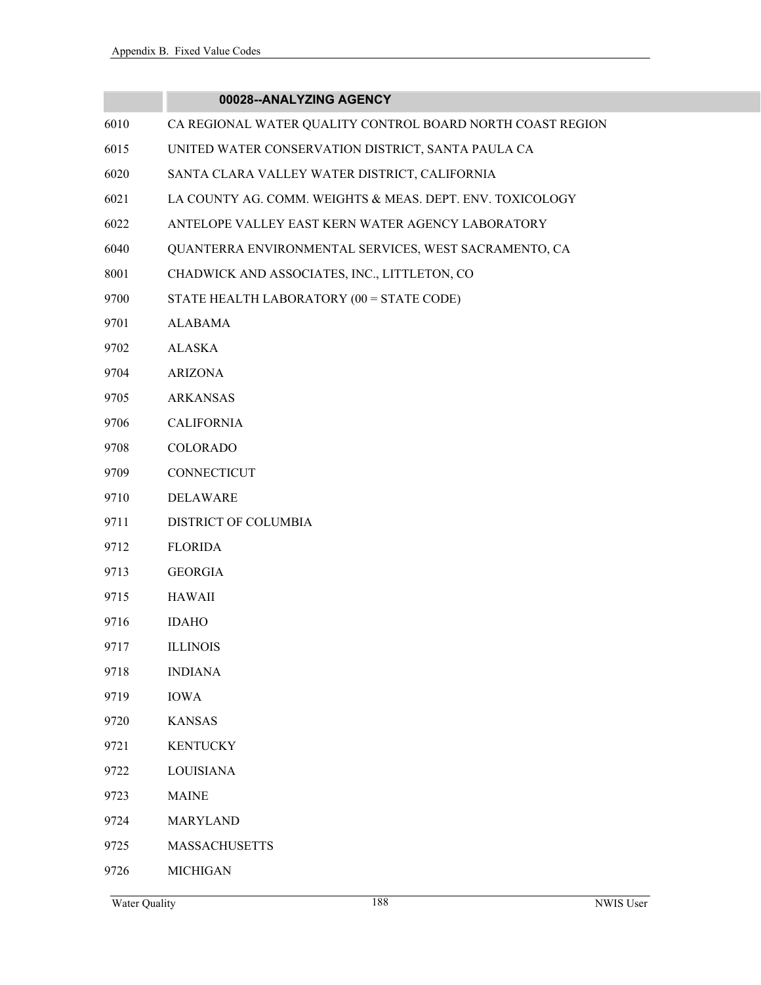|      | 00028--ANALYZING AGENCY                                    |
|------|------------------------------------------------------------|
| 6010 | CA REGIONAL WATER QUALITY CONTROL BOARD NORTH COAST REGION |
| 6015 | UNITED WATER CONSERVATION DISTRICT, SANTA PAULA CA         |
| 6020 | SANTA CLARA VALLEY WATER DISTRICT, CALIFORNIA              |
| 6021 | LA COUNTY AG. COMM. WEIGHTS & MEAS. DEPT. ENV. TOXICOLOGY  |
| 6022 | ANTELOPE VALLEY EAST KERN WATER AGENCY LABORATORY          |
| 6040 | QUANTERRA ENVIRONMENTAL SERVICES, WEST SACRAMENTO, CA      |
| 8001 | CHADWICK AND ASSOCIATES, INC., LITTLETON, CO               |
| 9700 | STATE HEALTH LABORATORY (00 = STATE CODE)                  |
| 9701 | <b>ALABAMA</b>                                             |
| 9702 | <b>ALASKA</b>                                              |
| 9704 | <b>ARIZONA</b>                                             |
| 9705 | <b>ARKANSAS</b>                                            |
| 9706 | <b>CALIFORNIA</b>                                          |
| 9708 | COLORADO                                                   |
| 9709 | <b>CONNECTICUT</b>                                         |
| 9710 | DELAWARE                                                   |
| 9711 | DISTRICT OF COLUMBIA                                       |
| 9712 | <b>FLORIDA</b>                                             |
| 9713 | <b>GEORGIA</b>                                             |
| 9715 | <b>HAWAII</b>                                              |
| 9716 | <b>IDAHO</b>                                               |
| 9717 | <b>ILLINOIS</b>                                            |
| 9718 | <b>INDIANA</b>                                             |
| 9719 | <b>IOWA</b>                                                |
| 9720 | <b>KANSAS</b>                                              |
| 9721 | <b>KENTUCKY</b>                                            |
| 9722 | <b>LOUISIANA</b>                                           |
| 9723 | <b>MAINE</b>                                               |
| 9724 | <b>MARYLAND</b>                                            |
| 9725 | <b>MASSACHUSETTS</b>                                       |

9726 MICHIGAN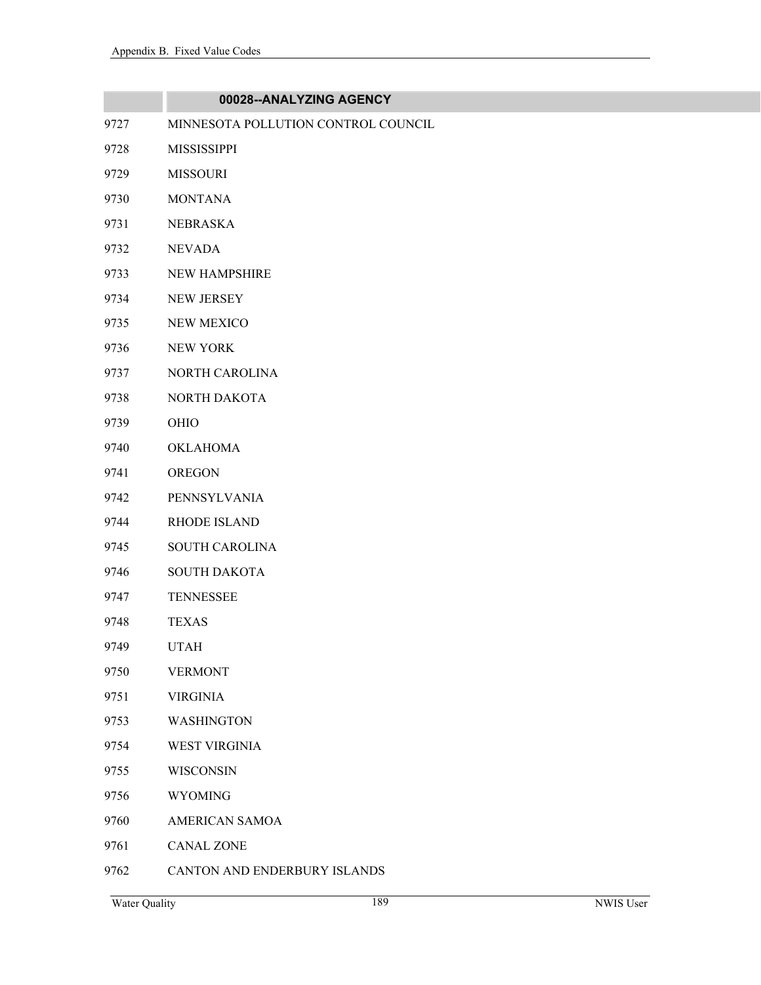|      | 00028--ANALYZING AGENCY             |
|------|-------------------------------------|
| 9727 | MINNESOTA POLLUTION CONTROL COUNCIL |
| 9728 | <b>MISSISSIPPI</b>                  |
| 9729 | <b>MISSOURI</b>                     |
| 9730 | <b>MONTANA</b>                      |
| 9731 | <b>NEBRASKA</b>                     |
| 9732 | <b>NEVADA</b>                       |
| 9733 | NEW HAMPSHIRE                       |
| 9734 | NEW JERSEY                          |
| 9735 | <b>NEW MEXICO</b>                   |
| 9736 | <b>NEW YORK</b>                     |
| 9737 | NORTH CAROLINA                      |
| 9738 | NORTH DAKOTA                        |
| 9739 | OHIO                                |
| 9740 | <b>OKLAHOMA</b>                     |
| 9741 | <b>OREGON</b>                       |
| 9742 | PENNSYLVANIA                        |
| 9744 | RHODE ISLAND                        |
| 9745 | <b>SOUTH CAROLINA</b>               |
| 9746 | <b>SOUTH DAKOTA</b>                 |
| 9747 | <b>TENNESSEE</b>                    |
| 9748 | <b>TEXAS</b>                        |
| 9749 | <b>UTAH</b>                         |
| 9750 | <b>VERMONT</b>                      |
| 9751 | <b>VIRGINIA</b>                     |
| 9753 | <b>WASHINGTON</b>                   |
| 9754 | <b>WEST VIRGINIA</b>                |
| 9755 | <b>WISCONSIN</b>                    |
| 9756 | <b>WYOMING</b>                      |
| 9760 | AMERICAN SAMOA                      |
| 9761 | <b>CANAL ZONE</b>                   |
| 9762 | CANTON AND ENDERBURY ISLANDS        |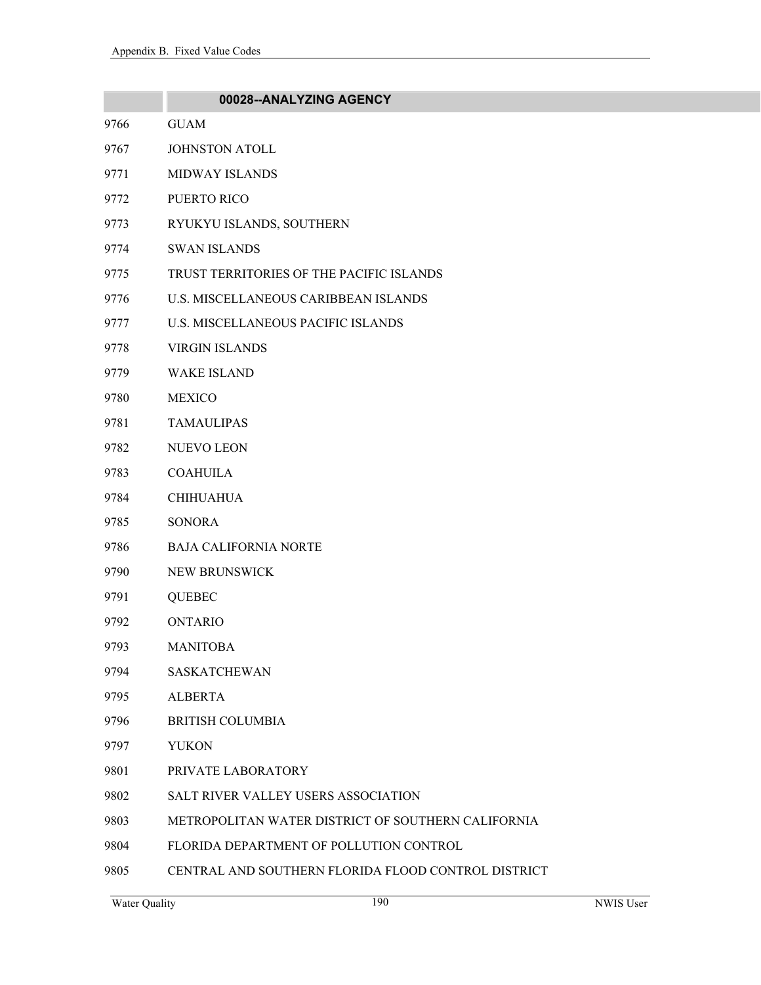|      | 00028--ANALYZING AGENCY                             |
|------|-----------------------------------------------------|
| 9766 | <b>GUAM</b>                                         |
| 9767 | <b>JOHNSTON ATOLL</b>                               |
| 9771 | <b>MIDWAY ISLANDS</b>                               |
| 9772 | PUERTO RICO                                         |
| 9773 | RYUKYU ISLANDS, SOUTHERN                            |
| 9774 | <b>SWAN ISLANDS</b>                                 |
| 9775 | TRUST TERRITORIES OF THE PACIFIC ISLANDS            |
| 9776 | U.S. MISCELLANEOUS CARIBBEAN ISLANDS                |
| 9777 | U.S. MISCELLANEOUS PACIFIC ISLANDS                  |
| 9778 | <b>VIRGIN ISLANDS</b>                               |
| 9779 | <b>WAKE ISLAND</b>                                  |
| 9780 | <b>MEXICO</b>                                       |
| 9781 | <b>TAMAULIPAS</b>                                   |
| 9782 | NUEVO LEON                                          |
| 9783 | <b>COAHUILA</b>                                     |
| 9784 | <b>CHIHUAHUA</b>                                    |
| 9785 | <b>SONORA</b>                                       |
| 9786 | <b>BAJA CALIFORNIA NORTE</b>                        |
| 9790 | NEW BRUNSWICK                                       |
| 9791 | <b>QUEBEC</b>                                       |
| 9792 | <b>ONTARIO</b>                                      |
| 9793 | <b>MANITOBA</b>                                     |
| 9794 | <b>SASKATCHEWAN</b>                                 |
| 9795 | <b>ALBERTA</b>                                      |
| 9796 | <b>BRITISH COLUMBIA</b>                             |
| 9797 | <b>YUKON</b>                                        |
| 9801 | PRIVATE LABORATORY                                  |
| 9802 | <b>SALT RIVER VALLEY USERS ASSOCIATION</b>          |
| 9803 | METROPOLITAN WATER DISTRICT OF SOUTHERN CALIFORNIA  |
| 9804 | FLORIDA DEPARTMENT OF POLLUTION CONTROL             |
| 9805 | CENTRAL AND SOUTHERN FLORIDA FLOOD CONTROL DISTRICT |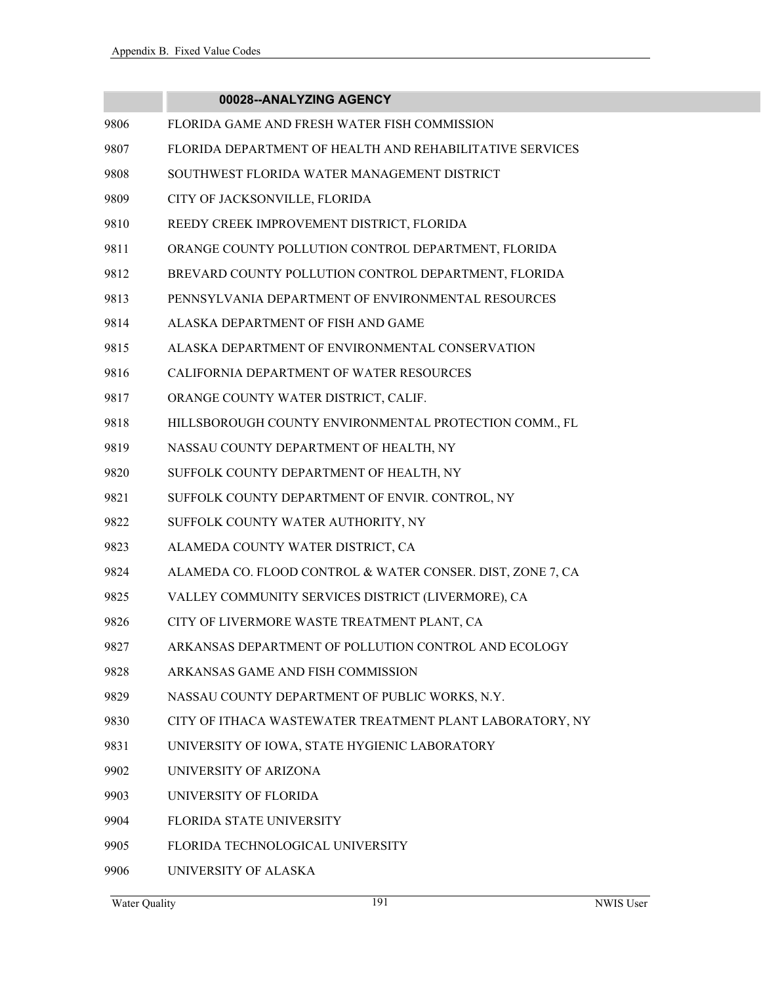|      | 00028--ANALYZING AGENCY                                    |
|------|------------------------------------------------------------|
| 9806 | FLORIDA GAME AND FRESH WATER FISH COMMISSION               |
| 9807 | FLORIDA DEPARTMENT OF HEALTH AND REHABILITATIVE SERVICES   |
| 9808 | SOUTHWEST FLORIDA WATER MANAGEMENT DISTRICT                |
| 9809 | CITY OF JACKSONVILLE, FLORIDA                              |
| 9810 | REEDY CREEK IMPROVEMENT DISTRICT, FLORIDA                  |
| 9811 | ORANGE COUNTY POLLUTION CONTROL DEPARTMENT, FLORIDA        |
| 9812 | BREVARD COUNTY POLLUTION CONTROL DEPARTMENT, FLORIDA       |
| 9813 | PENNSYLVANIA DEPARTMENT OF ENVIRONMENTAL RESOURCES         |
| 9814 | ALASKA DEPARTMENT OF FISH AND GAME                         |
| 9815 | ALASKA DEPARTMENT OF ENVIRONMENTAL CONSERVATION            |
| 9816 | CALIFORNIA DEPARTMENT OF WATER RESOURCES                   |
| 9817 | ORANGE COUNTY WATER DISTRICT, CALIF.                       |
| 9818 | HILLSBOROUGH COUNTY ENVIRONMENTAL PROTECTION COMM., FL     |
| 9819 | NASSAU COUNTY DEPARTMENT OF HEALTH, NY                     |
| 9820 | SUFFOLK COUNTY DEPARTMENT OF HEALTH, NY                    |
| 9821 | SUFFOLK COUNTY DEPARTMENT OF ENVIR. CONTROL, NY            |
| 9822 | SUFFOLK COUNTY WATER AUTHORITY, NY                         |
| 9823 | ALAMEDA COUNTY WATER DISTRICT, CA                          |
| 9824 | ALAMEDA CO. FLOOD CONTROL & WATER CONSER. DIST, ZONE 7, CA |
| 9825 | VALLEY COMMUNITY SERVICES DISTRICT (LIVERMORE), CA         |
| 9826 | CITY OF LIVERMORE WASTE TREATMENT PLANT, CA                |
| 9827 | ARKANSAS DEPARTMENT OF POLLUTION CONTROL AND ECOLOGY       |
| 9828 | ARKANSAS GAME AND FISH COMMISSION                          |
| 9829 | NASSAU COUNTY DEPARTMENT OF PUBLIC WORKS, N.Y.             |
| 9830 | CITY OF ITHACA WASTEWATER TREATMENT PLANT LABORATORY, NY   |
| 9831 | UNIVERSITY OF IOWA, STATE HYGIENIC LABORATORY              |
| 9902 | UNIVERSITY OF ARIZONA                                      |
| 9903 | UNIVERSITY OF FLORIDA                                      |
| 9904 | <b>FLORIDA STATE UNIVERSITY</b>                            |
| 9905 | FLORIDA TECHNOLOGICAL UNIVERSITY                           |
| 9906 | UNIVERSITY OF ALASKA                                       |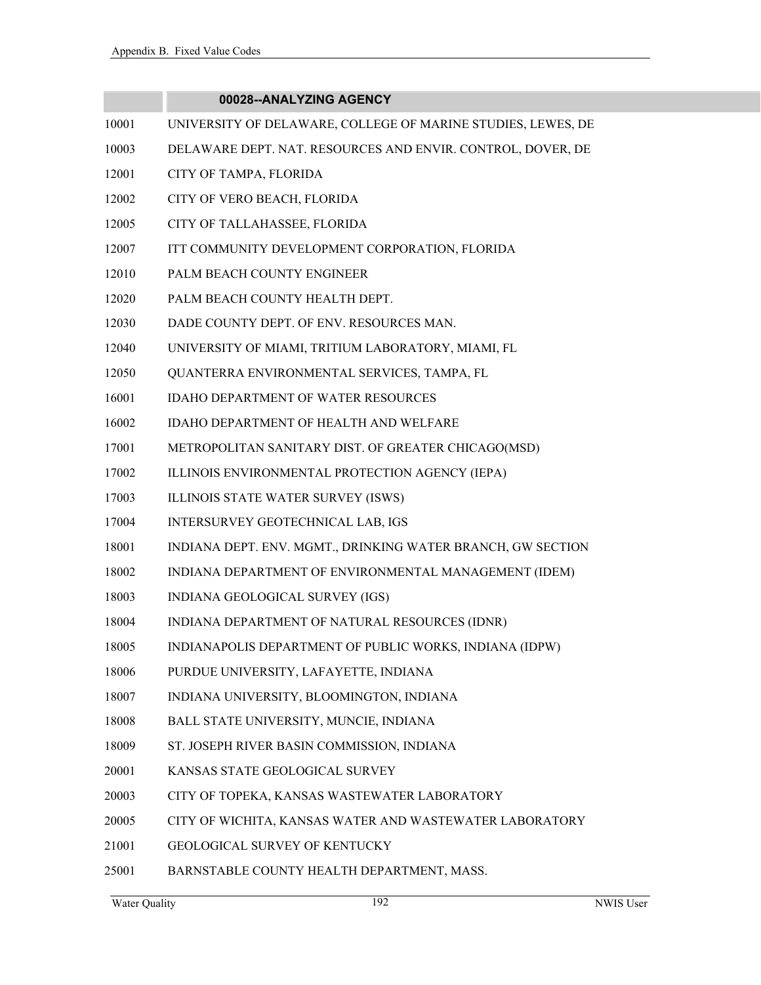- 10001 UNIVERSITY OF DELAWARE, COLLEGE OF MARINE STUDIES, LEWES, DE
- 10003 DELAWARE DEPT. NAT. RESOURCES AND ENVIR. CONTROL, DOVER, DE
- 12001 CITY OF TAMPA, FLORIDA
- 12002 CITY OF VERO BEACH, FLORIDA
- 12005 CITY OF TALLAHASSEE, FLORIDA
- 12007 ITT COMMUNITY DEVELOPMENT CORPORATION, FLORIDA
- 12010 PALM BEACH COUNTY ENGINEER
- 12020 PALM BEACH COUNTY HEALTH DEPT.
- 12030 DADE COUNTY DEPT. OF ENV. RESOURCES MAN.
- 12040 UNIVERSITY OF MIAMI, TRITIUM LABORATORY, MIAMI, FL
- 12050 QUANTERRA ENVIRONMENTAL SERVICES, TAMPA, FL
- 16001 IDAHO DEPARTMENT OF WATER RESOURCES
- 16002 IDAHO DEPARTMENT OF HEALTH AND WELFARE
- 17001 METROPOLITAN SANITARY DIST. OF GREATER CHICAGO(MSD)
- 17002 ILLINOIS ENVIRONMENTAL PROTECTION AGENCY (IEPA)
- 17003 ILLINOIS STATE WATER SURVEY (ISWS)
- 17004 INTERSURVEY GEOTECHNICAL LAB, IGS
- 18001 INDIANA DEPT. ENV. MGMT., DRINKING WATER BRANCH, GW SECTION
- 18002 INDIANA DEPARTMENT OF ENVIRONMENTAL MANAGEMENT (IDEM)
- 18003 INDIANA GEOLOGICAL SURVEY (IGS)
- 18004 INDIANA DEPARTMENT OF NATURAL RESOURCES (IDNR)
- 18005 INDIANAPOLIS DEPARTMENT OF PUBLIC WORKS, INDIANA (IDPW)
- 18006 PURDUE UNIVERSITY, LAFAYETTE, INDIANA
- 18007 INDIANA UNIVERSITY, BLOOMINGTON, INDIANA
- 18008 BALL STATE UNIVERSITY, MUNCIE, INDIANA
- 18009 ST. JOSEPH RIVER BASIN COMMISSION, INDIANA
- 20001 KANSAS STATE GEOLOGICAL SURVEY
- 20003 CITY OF TOPEKA, KANSAS WASTEWATER LABORATORY
- 20005 CITY OF WICHITA, KANSAS WATER AND WASTEWATER LABORATORY
- 21001 GEOLOGICAL SURVEY OF KENTUCKY
- 25001 BARNSTABLE COUNTY HEALTH DEPARTMENT, MASS.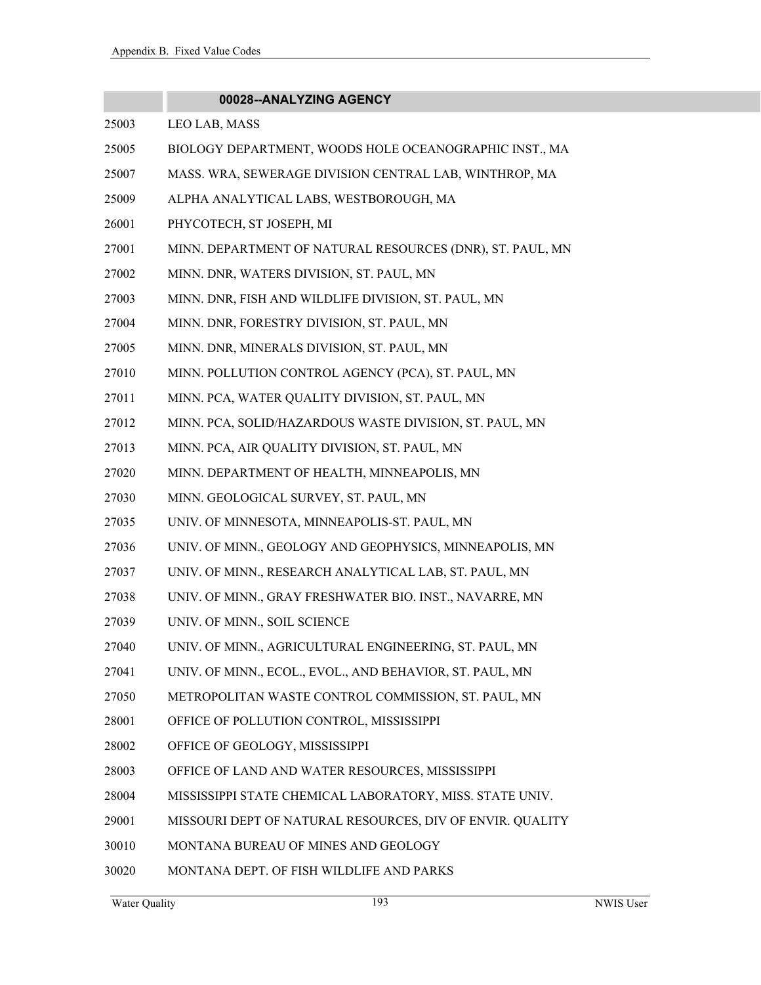|       | 00028--ANALYZING AGENCY                                   |
|-------|-----------------------------------------------------------|
| 25003 | LEO LAB, MASS                                             |
| 25005 | BIOLOGY DEPARTMENT, WOODS HOLE OCEANOGRAPHIC INST., MA    |
| 25007 | MASS. WRA, SEWERAGE DIVISION CENTRAL LAB, WINTHROP, MA    |
| 25009 | ALPHA ANALYTICAL LABS, WESTBOROUGH, MA                    |
| 26001 | PHYCOTECH, ST JOSEPH, MI                                  |
| 27001 | MINN. DEPARTMENT OF NATURAL RESOURCES (DNR), ST. PAUL, MN |
| 27002 | MINN. DNR, WATERS DIVISION, ST. PAUL, MN                  |
| 27003 | MINN. DNR, FISH AND WILDLIFE DIVISION, ST. PAUL, MN       |
| 27004 | MINN. DNR, FORESTRY DIVISION, ST. PAUL, MN                |
| 27005 | MINN. DNR, MINERALS DIVISION, ST. PAUL, MN                |
| 27010 | MINN. POLLUTION CONTROL AGENCY (PCA), ST. PAUL, MN        |
| 27011 | MINN. PCA, WATER QUALITY DIVISION, ST. PAUL, MN           |
| 27012 | MINN. PCA, SOLID/HAZARDOUS WASTE DIVISION, ST. PAUL, MN   |
| 27013 | MINN. PCA, AIR QUALITY DIVISION, ST. PAUL, MN             |
| 27020 | MINN. DEPARTMENT OF HEALTH, MINNEAPOLIS, MN               |
| 27030 | MINN. GEOLOGICAL SURVEY, ST. PAUL, MN                     |
| 27035 | UNIV. OF MINNESOTA, MINNEAPOLIS-ST. PAUL, MN              |
| 27036 | UNIV. OF MINN., GEOLOGY AND GEOPHYSICS, MINNEAPOLIS, MN   |
| 27037 | UNIV. OF MINN., RESEARCH ANALYTICAL LAB, ST. PAUL, MN     |
| 27038 | UNIV. OF MINN., GRAY FRESHWATER BIO. INST., NAVARRE, MN   |
| 27039 | UNIV. OF MINN., SOIL SCIENCE                              |
| 27040 | UNIV. OF MINN., AGRICULTURAL ENGINEERING, ST. PAUL, MN    |
| 27041 | UNIV. OF MINN., ECOL., EVOL., AND BEHAVIOR, ST. PAUL, MN  |
| 27050 | METROPOLITAN WASTE CONTROL COMMISSION, ST. PAUL, MN       |
| 28001 | OFFICE OF POLLUTION CONTROL, MISSISSIPPI                  |
| 28002 | OFFICE OF GEOLOGY, MISSISSIPPI                            |
| 28003 | OFFICE OF LAND AND WATER RESOURCES, MISSISSIPPI           |
| 28004 | MISSISSIPPI STATE CHEMICAL LABORATORY, MISS. STATE UNIV.  |
| 29001 | MISSOURI DEPT OF NATURAL RESOURCES, DIV OF ENVIR. QUALITY |
| 30010 | MONTANA BUREAU OF MINES AND GEOLOGY                       |
| 30020 | MONTANA DEPT. OF FISH WILDLIFE AND PARKS                  |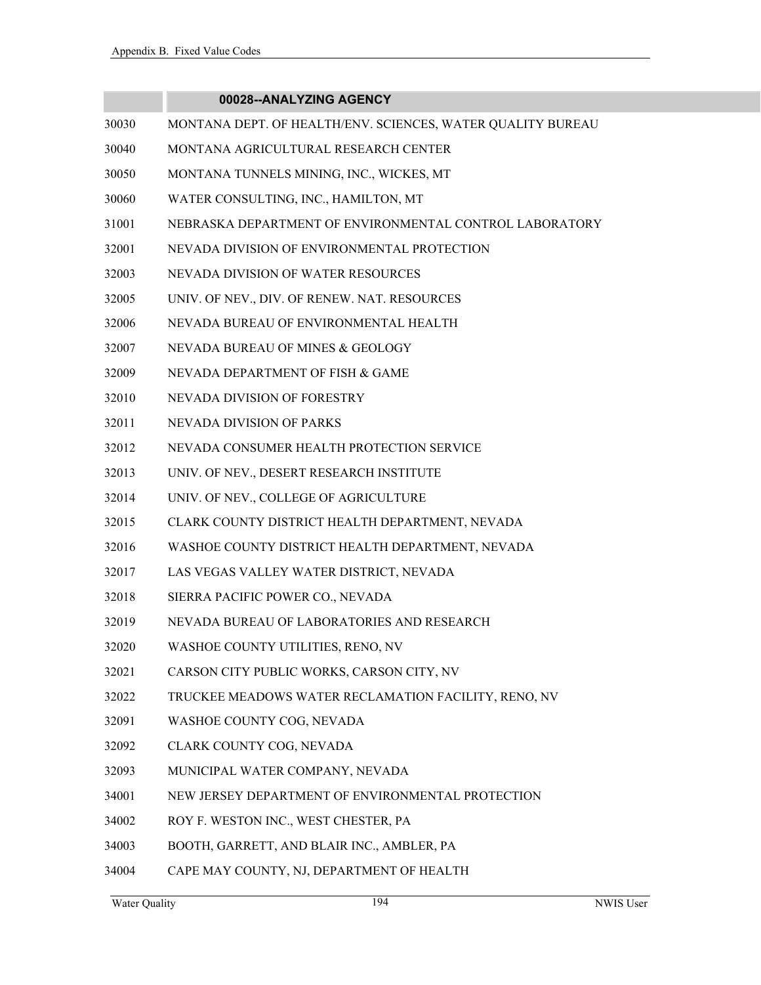- 30030 MONTANA DEPT. OF HEALTH/ENV. SCIENCES, WATER QUALITY BUREAU
- 30040 MONTANA AGRICULTURAL RESEARCH CENTER
- 30050 MONTANA TUNNELS MINING, INC., WICKES, MT
- 30060 WATER CONSULTING, INC., HAMILTON, MT
- 31001 NEBRASKA DEPARTMENT OF ENVIRONMENTAL CONTROL LABORATORY
- 32001 NEVADA DIVISION OF ENVIRONMENTAL PROTECTION
- 32003 NEVADA DIVISION OF WATER RESOURCES
- 32005 UNIV. OF NEV., DIV. OF RENEW. NAT. RESOURCES
- 32006 NEVADA BUREAU OF ENVIRONMENTAL HEALTH
- 32007 NEVADA BUREAU OF MINES & GEOLOGY
- 32009 NEVADA DEPARTMENT OF FISH & GAME
- 32010 NEVADA DIVISION OF FORESTRY
- 32011 NEVADA DIVISION OF PARKS
- 32012 NEVADA CONSUMER HEALTH PROTECTION SERVICE
- 32013 UNIV. OF NEV., DESERT RESEARCH INSTITUTE
- 32014 UNIV. OF NEV., COLLEGE OF AGRICULTURE
- 32015 CLARK COUNTY DISTRICT HEALTH DEPARTMENT, NEVADA
- 32016 WASHOE COUNTY DISTRICT HEALTH DEPARTMENT, NEVADA
- 32017 LAS VEGAS VALLEY WATER DISTRICT, NEVADA
- 32018 SIERRA PACIFIC POWER CO., NEVADA
- 32019 NEVADA BUREAU OF LABORATORIES AND RESEARCH
- 32020 WASHOE COUNTY UTILITIES, RENO, NV
- 32021 CARSON CITY PUBLIC WORKS, CARSON CITY, NV
- 32022 TRUCKEE MEADOWS WATER RECLAMATION FACILITY, RENO, NV
- 32091 WASHOE COUNTY COG, NEVADA
- 32092 CLARK COUNTY COG, NEVADA
- 32093 MUNICIPAL WATER COMPANY, NEVADA
- 34001 NEW JERSEY DEPARTMENT OF ENVIRONMENTAL PROTECTION
- 34002 ROY F. WESTON INC., WEST CHESTER, PA
- 34003 BOOTH, GARRETT, AND BLAIR INC., AMBLER, PA
- 34004 CAPE MAY COUNTY, NJ, DEPARTMENT OF HEALTH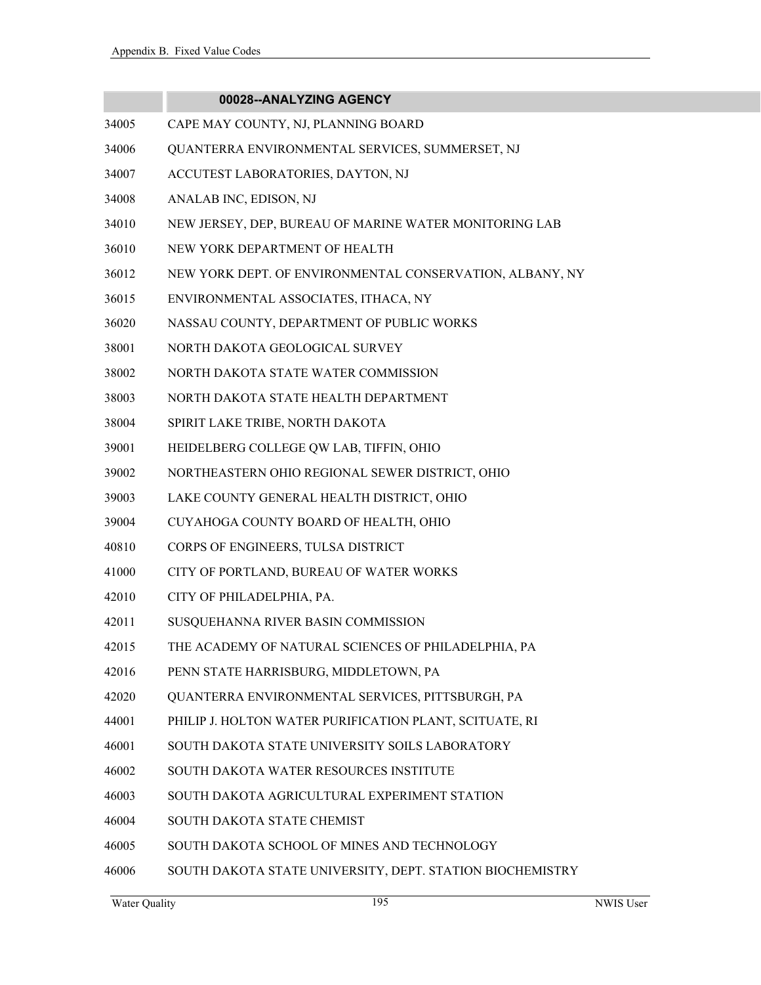|       | 00028--ANALYZING AGENCY                                   |
|-------|-----------------------------------------------------------|
| 34005 | CAPE MAY COUNTY, NJ, PLANNING BOARD                       |
| 34006 | QUANTERRA ENVIRONMENTAL SERVICES, SUMMERSET, NJ           |
| 34007 | ACCUTEST LABORATORIES, DAYTON, NJ                         |
| 34008 | ANALAB INC, EDISON, NJ                                    |
| 34010 | NEW JERSEY, DEP, BUREAU OF MARINE WATER MONITORING LAB    |
| 36010 | NEW YORK DEPARTMENT OF HEALTH                             |
| 36012 | NEW YORK DEPT. OF ENVIRONMENTAL CONSERVATION, ALBANY, NY  |
| 36015 | ENVIRONMENTAL ASSOCIATES, ITHACA, NY                      |
| 36020 | NASSAU COUNTY, DEPARTMENT OF PUBLIC WORKS                 |
| 38001 | NORTH DAKOTA GEOLOGICAL SURVEY                            |
| 38002 | NORTH DAKOTA STATE WATER COMMISSION                       |
| 38003 | NORTH DAKOTA STATE HEALTH DEPARTMENT                      |
| 38004 | SPIRIT LAKE TRIBE, NORTH DAKOTA                           |
| 39001 | HEIDELBERG COLLEGE QW LAB, TIFFIN, OHIO                   |
| 39002 | NORTHEASTERN OHIO REGIONAL SEWER DISTRICT, OHIO           |
| 39003 | LAKE COUNTY GENERAL HEALTH DISTRICT, OHIO                 |
| 39004 | CUYAHOGA COUNTY BOARD OF HEALTH, OHIO                     |
| 40810 | CORPS OF ENGINEERS, TULSA DISTRICT                        |
| 41000 | CITY OF PORTLAND, BUREAU OF WATER WORKS                   |
| 42010 | CITY OF PHILADELPHIA, PA.                                 |
| 42011 | SUSQUEHANNA RIVER BASIN COMMISSION                        |
| 42015 | THE ACADEMY OF NATURAL SCIENCES OF PHILADELPHIA, PA       |
| 42016 | PENN STATE HARRISBURG, MIDDLETOWN, PA                     |
| 42020 | QUANTERRA ENVIRONMENTAL SERVICES, PITTSBURGH, PA          |
| 44001 | PHILIP J. HOLTON WATER PURIFICATION PLANT, SCITUATE, RI   |
| 46001 | SOUTH DAKOTA STATE UNIVERSITY SOILS LABORATORY            |
| 46002 | SOUTH DAKOTA WATER RESOURCES INSTITUTE                    |
| 46003 | SOUTH DAKOTA AGRICULTURAL EXPERIMENT STATION              |
| 46004 | <b>SOUTH DAKOTA STATE CHEMIST</b>                         |
| 46005 | SOUTH DAKOTA SCHOOL OF MINES AND TECHNOLOGY               |
| 46006 | SOUTH DAKOTA STATE UNIVERSITY, DEPT. STATION BIOCHEMISTRY |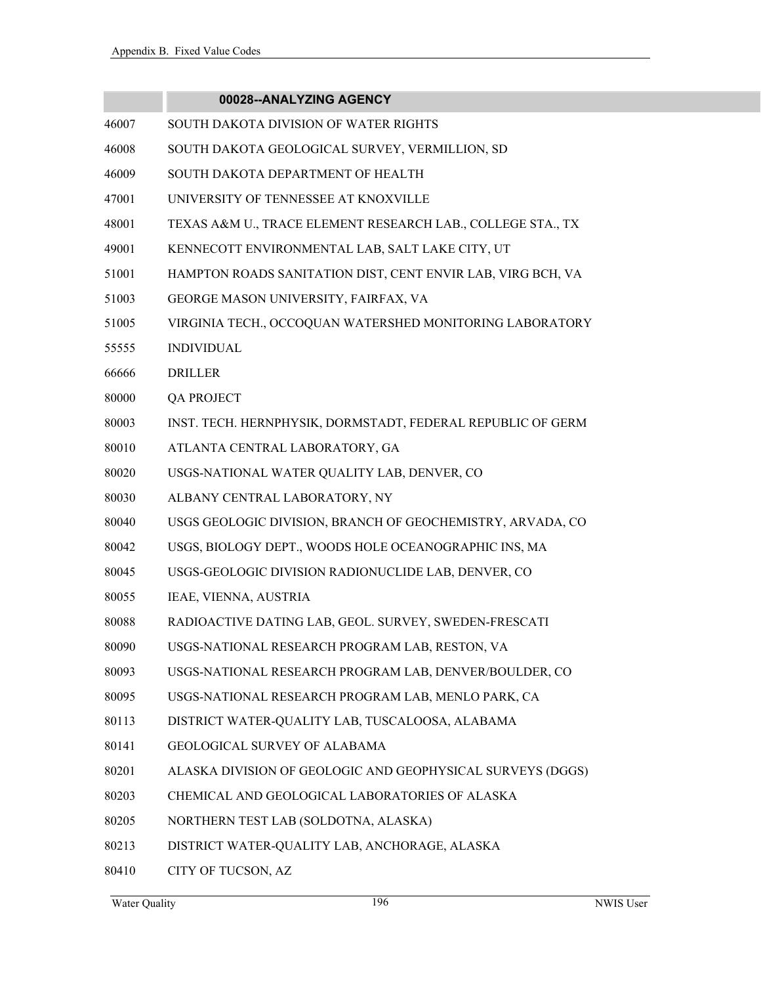| 00028--ANALYZING AGENCY |  |
|-------------------------|--|
|-------------------------|--|

- 46007 SOUTH DAKOTA DIVISION OF WATER RIGHTS
- 46008 SOUTH DAKOTA GEOLOGICAL SURVEY, VERMILLION, SD
- 46009 SOUTH DAKOTA DEPARTMENT OF HEALTH
- 47001 UNIVERSITY OF TENNESSEE AT KNOXVILLE
- 48001 TEXAS A&M U., TRACE ELEMENT RESEARCH LAB., COLLEGE STA., TX
- 49001 KENNECOTT ENVIRONMENTAL LAB, SALT LAKE CITY, UT
- 51001 HAMPTON ROADS SANITATION DIST, CENT ENVIR LAB, VIRG BCH, VA
- 51003 GEORGE MASON UNIVERSITY, FAIRFAX, VA
- 51005 VIRGINIA TECH., OCCOQUAN WATERSHED MONITORING LABORATORY
- 55555 INDIVIDUAL
- 66666 DRILLER
- 80000 QA PROJECT
- 80003 INST. TECH. HERNPHYSIK, DORMSTADT, FEDERAL REPUBLIC OF GERM
- 80010 ATLANTA CENTRAL LABORATORY, GA
- 80020 USGS-NATIONAL WATER QUALITY LAB, DENVER, CO
- 80030 ALBANY CENTRAL LABORATORY, NY
- 80040 USGS GEOLOGIC DIVISION, BRANCH OF GEOCHEMISTRY, ARVADA, CO
- 80042 USGS, BIOLOGY DEPT., WOODS HOLE OCEANOGRAPHIC INS, MA
- 80045 USGS-GEOLOGIC DIVISION RADIONUCLIDE LAB, DENVER, CO
- 80055 IEAE, VIENNA, AUSTRIA
- 80088 RADIOACTIVE DATING LAB, GEOL. SURVEY, SWEDEN-FRESCATI
- 80090 USGS-NATIONAL RESEARCH PROGRAM LAB, RESTON, VA
- 80093 USGS-NATIONAL RESEARCH PROGRAM LAB, DENVER/BOULDER, CO
- 80095 USGS-NATIONAL RESEARCH PROGRAM LAB, MENLO PARK, CA
- 80113 DISTRICT WATER-QUALITY LAB, TUSCALOOSA, ALABAMA
- 80141 GEOLOGICAL SURVEY OF ALABAMA
- 80201 ALASKA DIVISION OF GEOLOGIC AND GEOPHYSICAL SURVEYS (DGGS)
- 80203 CHEMICAL AND GEOLOGICAL LABORATORIES OF ALASKA
- 80205 NORTHERN TEST LAB (SOLDOTNA, ALASKA)
- 80213 DISTRICT WATER-QUALITY LAB, ANCHORAGE, ALASKA
- 80410 CITY OF TUCSON, AZ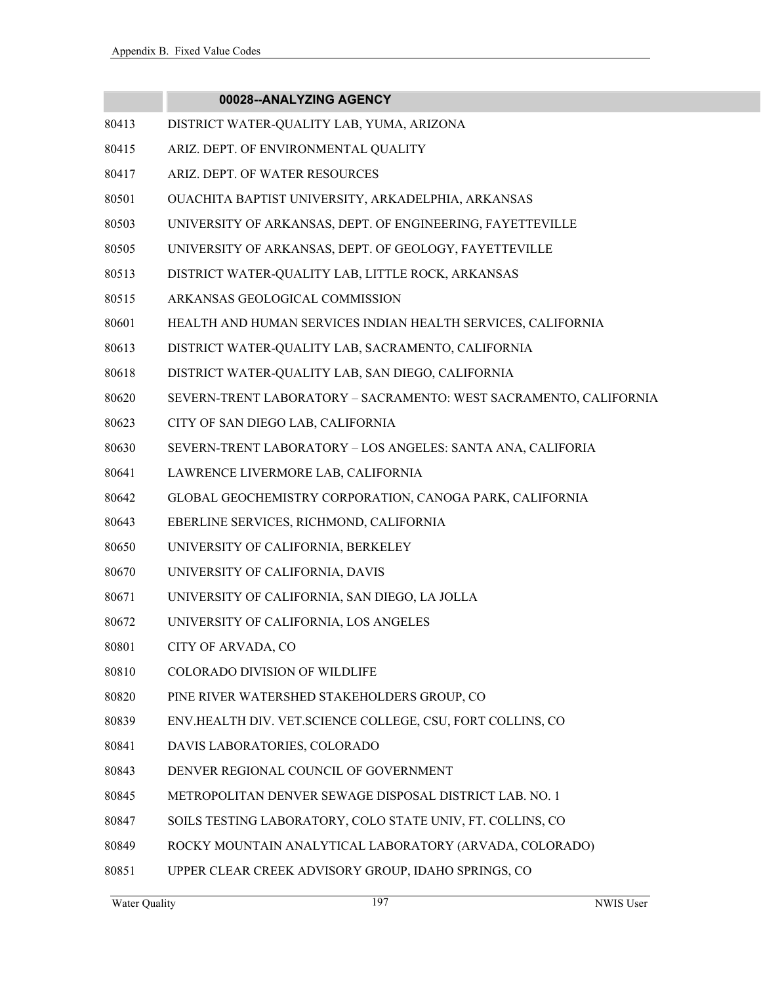- 80413 DISTRICT WATER-QUALITY LAB, YUMA, ARIZONA
- 80415 ARIZ. DEPT. OF ENVIRONMENTAL QUALITY
- 80417 ARIZ. DEPT. OF WATER RESOURCES
- 80501 OUACHITA BAPTIST UNIVERSITY, ARKADELPHIA, ARKANSAS
- 80503 UNIVERSITY OF ARKANSAS, DEPT. OF ENGINEERING, FAYETTEVILLE
- 80505 UNIVERSITY OF ARKANSAS, DEPT. OF GEOLOGY, FAYETTEVILLE
- 80513 DISTRICT WATER-QUALITY LAB, LITTLE ROCK, ARKANSAS
- 80515 ARKANSAS GEOLOGICAL COMMISSION
- 80601 HEALTH AND HUMAN SERVICES INDIAN HEALTH SERVICES, CALIFORNIA
- 80613 DISTRICT WATER-QUALITY LAB, SACRAMENTO, CALIFORNIA
- 80618 DISTRICT WATER-QUALITY LAB, SAN DIEGO, CALIFORNIA
- 80620 SEVERN-TRENT LABORATORY SACRAMENTO: WEST SACRAMENTO, CALIFORNIA
- 80623 CITY OF SAN DIEGO LAB, CALIFORNIA
- 80630 SEVERN-TRENT LABORATORY LOS ANGELES: SANTA ANA, CALIFORIA
- 80641 LAWRENCE LIVERMORE LAB, CALIFORNIA
- 80642 GLOBAL GEOCHEMISTRY CORPORATION, CANOGA PARK, CALIFORNIA
- 80643 EBERLINE SERVICES, RICHMOND, CALIFORNIA
- 80650 UNIVERSITY OF CALIFORNIA, BERKELEY
- 80670 UNIVERSITY OF CALIFORNIA, DAVIS
- 80671 UNIVERSITY OF CALIFORNIA, SAN DIEGO, LA JOLLA
- 80672 UNIVERSITY OF CALIFORNIA, LOS ANGELES
- 80801 CITY OF ARVADA, CO
- 80810 COLORADO DIVISION OF WILDLIFE
- 80820 PINE RIVER WATERSHED STAKEHOLDERS GROUP, CO
- 80839 ENV.HEALTH DIV. VET.SCIENCE COLLEGE, CSU, FORT COLLINS, CO
- 80841 DAVIS LABORATORIES, COLORADO
- 80843 DENVER REGIONAL COUNCIL OF GOVERNMENT
- 80845 METROPOLITAN DENVER SEWAGE DISPOSAL DISTRICT LAB. NO. 1
- 80847 SOILS TESTING LABORATORY, COLO STATE UNIV, FT. COLLINS, CO
- 80849 ROCKY MOUNTAIN ANALYTICAL LABORATORY (ARVADA, COLORADO)
- 80851 UPPER CLEAR CREEK ADVISORY GROUP, IDAHO SPRINGS, CO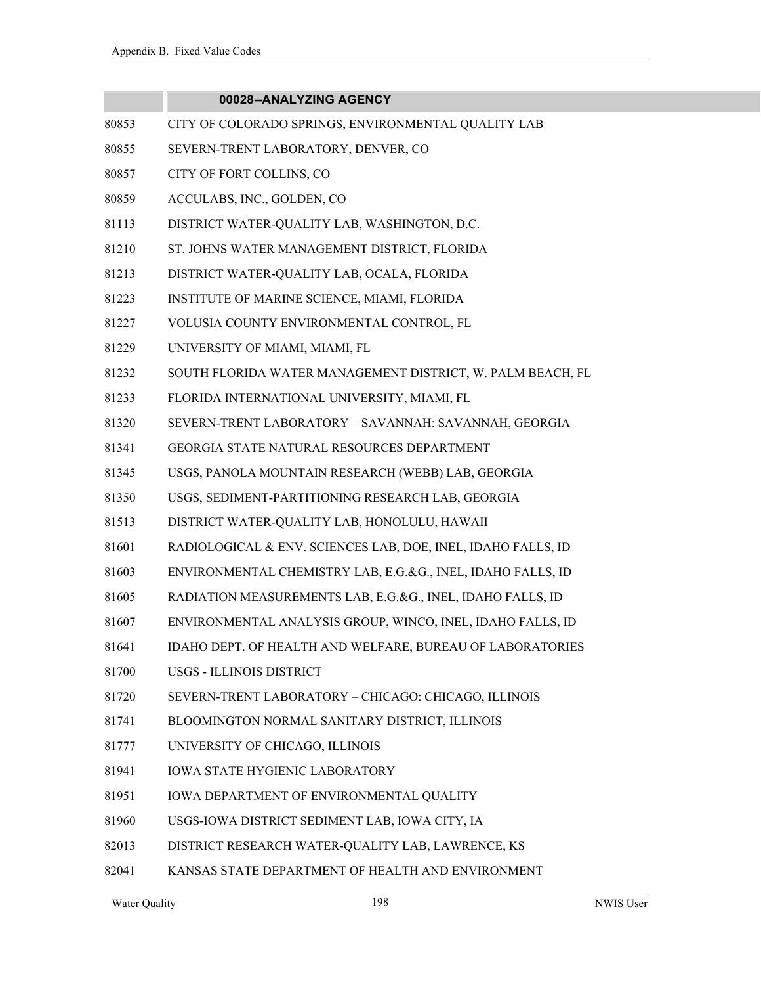|       | 00028--ANALYZING AGENCY                                      |
|-------|--------------------------------------------------------------|
| 80853 | CITY OF COLORADO SPRINGS, ENVIRONMENTAL QUALITY LAB          |
| 80855 | SEVERN-TRENT LABORATORY, DENVER, CO                          |
| 80857 | CITY OF FORT COLLINS, CO                                     |
| 80859 | ACCULABS, INC., GOLDEN, CO                                   |
| 81113 | DISTRICT WATER-QUALITY LAB, WASHINGTON, D.C.                 |
| 81210 | ST. JOHNS WATER MANAGEMENT DISTRICT, FLORIDA                 |
| 81213 | DISTRICT WATER-QUALITY LAB, OCALA, FLORIDA                   |
| 81223 | INSTITUTE OF MARINE SCIENCE, MIAMI, FLORIDA                  |
| 81227 | VOLUSIA COUNTY ENVIRONMENTAL CONTROL, FL                     |
| 81229 | UNIVERSITY OF MIAMI, MIAMI, FL                               |
| 81232 | SOUTH FLORIDA WATER MANAGEMENT DISTRICT, W. PALM BEACH, FL   |
| 81233 | FLORIDA INTERNATIONAL UNIVERSITY, MIAMI, FL                  |
| 81320 | SEVERN-TRENT LABORATORY - SAVANNAH: SAVANNAH, GEORGIA        |
| 81341 | GEORGIA STATE NATURAL RESOURCES DEPARTMENT                   |
| 81345 | USGS, PANOLA MOUNTAIN RESEARCH (WEBB) LAB, GEORGIA           |
| 81350 | USGS, SEDIMENT-PARTITIONING RESEARCH LAB, GEORGIA            |
| 81513 | DISTRICT WATER-QUALITY LAB, HONOLULU, HAWAII                 |
| 81601 | RADIOLOGICAL & ENV. SCIENCES LAB, DOE, INEL, IDAHO FALLS, ID |
| 81603 | ENVIRONMENTAL CHEMISTRY LAB, E.G.&G., INEL, IDAHO FALLS, ID  |
| 81605 | RADIATION MEASUREMENTS LAB, E.G.&G., INEL, IDAHO FALLS, ID   |
| 81607 | ENVIRONMENTAL ANALYSIS GROUP, WINCO, INEL, IDAHO FALLS, ID   |
| 81641 | IDAHO DEPT. OF HEALTH AND WELFARE, BUREAU OF LABORATORIES    |
| 81700 | USGS - ILLINOIS DISTRICT                                     |
| 81720 | SEVERN-TRENT LABORATORY - CHICAGO: CHICAGO, ILLINOIS         |
| 81741 | BLOOMINGTON NORMAL SANITARY DISTRICT, ILLINOIS               |
| 81777 | UNIVERSITY OF CHICAGO, ILLINOIS                              |
| 81941 | <b>IOWA STATE HYGIENIC LABORATORY</b>                        |
| 81951 | IOWA DEPARTMENT OF ENVIRONMENTAL QUALITY                     |
| 81960 | USGS-IOWA DISTRICT SEDIMENT LAB, IOWA CITY, IA               |
| 82013 | DISTRICT RESEARCH WATER-QUALITY LAB, LAWRENCE, KS            |
| 82041 | KANSAS STATE DEPARTMENT OF HEALTH AND ENVIRONMENT            |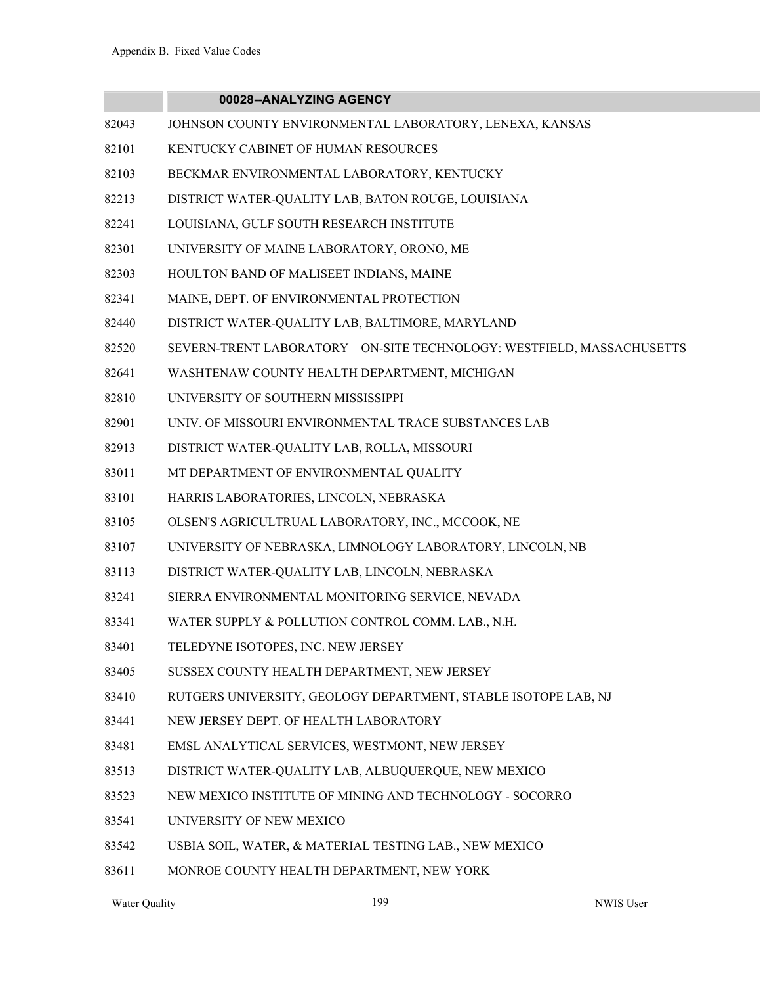- 82043 JOHNSON COUNTY ENVIRONMENTAL LABORATORY, LENEXA, KANSAS
- 82101 KENTUCKY CABINET OF HUMAN RESOURCES
- 82103 BECKMAR ENVIRONMENTAL LABORATORY, KENTUCKY
- 82213 DISTRICT WATER-QUALITY LAB, BATON ROUGE, LOUISIANA
- 82241 LOUISIANA, GULF SOUTH RESEARCH INSTITUTE
- 82301 UNIVERSITY OF MAINE LABORATORY, ORONO, ME
- 82303 HOULTON BAND OF MALISEET INDIANS, MAINE
- 82341 MAINE, DEPT. OF ENVIRONMENTAL PROTECTION
- 82440 DISTRICT WATER-QUALITY LAB, BALTIMORE, MARYLAND
- 82520 SEVERN-TRENT LABORATORY ON-SITE TECHNOLOGY: WESTFIELD, MASSACHUSETTS
- 82641 WASHTENAW COUNTY HEALTH DEPARTMENT, MICHIGAN
- 82810 UNIVERSITY OF SOUTHERN MISSISSIPPI
- 82901 UNIV. OF MISSOURI ENVIRONMENTAL TRACE SUBSTANCES LAB
- 82913 DISTRICT WATER-QUALITY LAB, ROLLA, MISSOURI
- 83011 MT DEPARTMENT OF ENVIRONMENTAL QUALITY
- 83101 HARRIS LABORATORIES, LINCOLN, NEBRASKA
- 83105 OLSEN'S AGRICULTRUAL LABORATORY, INC., MCCOOK, NE
- 83107 UNIVERSITY OF NEBRASKA, LIMNOLOGY LABORATORY, LINCOLN, NB
- 83113 DISTRICT WATER-QUALITY LAB, LINCOLN, NEBRASKA
- 83241 SIERRA ENVIRONMENTAL MONITORING SERVICE, NEVADA
- 83341 WATER SUPPLY & POLLUTION CONTROL COMM. LAB., N.H.
- 83401 TELEDYNE ISOTOPES, INC. NEW JERSEY
- 83405 SUSSEX COUNTY HEALTH DEPARTMENT, NEW JERSEY
- 83410 RUTGERS UNIVERSITY, GEOLOGY DEPARTMENT, STABLE ISOTOPE LAB, NJ
- 83441 NEW JERSEY DEPT. OF HEALTH LABORATORY
- 83481 EMSL ANALYTICAL SERVICES, WESTMONT, NEW JERSEY
- 83513 DISTRICT WATER-QUALITY LAB, ALBUQUERQUE, NEW MEXICO
- 83523 NEW MEXICO INSTITUTE OF MINING AND TECHNOLOGY SOCORRO
- 83541 UNIVERSITY OF NEW MEXICO
- 83542 USBIA SOIL, WATER, & MATERIAL TESTING LAB., NEW MEXICO
- 83611 MONROE COUNTY HEALTH DEPARTMENT, NEW YORK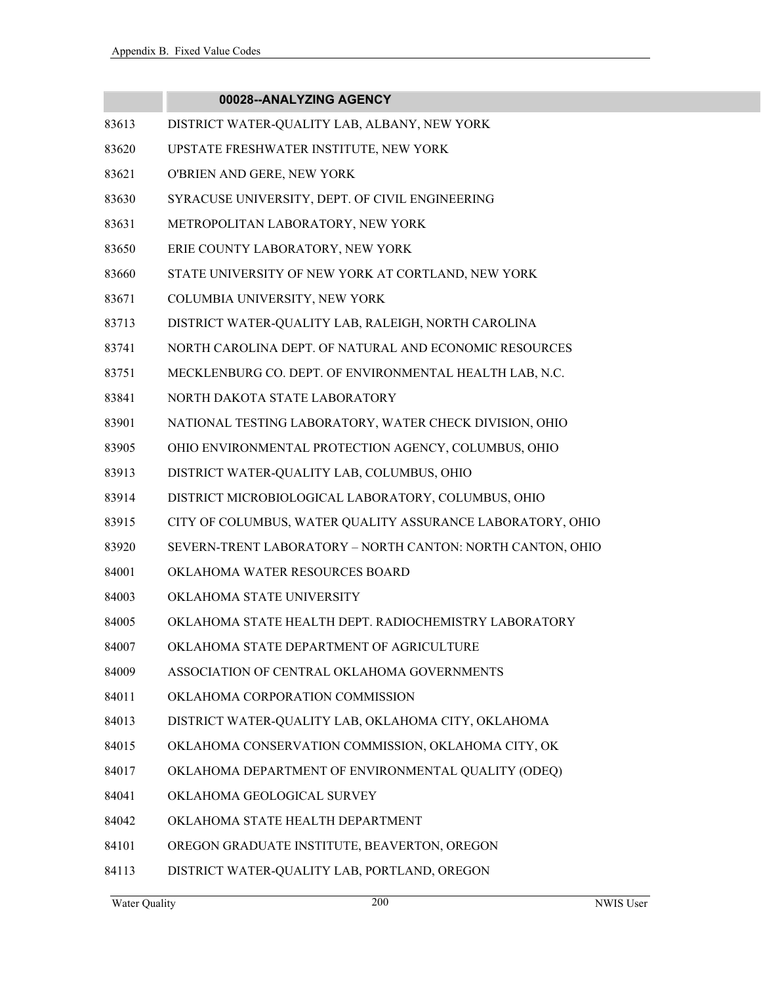- 83613 DISTRICT WATER-QUALITY LAB, ALBANY, NEW YORK
- 83620 UPSTATE FRESHWATER INSTITUTE, NEW YORK
- 83621 O'BRIEN AND GERE, NEW YORK
- 83630 SYRACUSE UNIVERSITY, DEPT. OF CIVIL ENGINEERING
- 83631 METROPOLITAN LABORATORY, NEW YORK
- 83650 ERIE COUNTY LABORATORY, NEW YORK
- 83660 STATE UNIVERSITY OF NEW YORK AT CORTLAND, NEW YORK
- 83671 COLUMBIA UNIVERSITY, NEW YORK
- 83713 DISTRICT WATER-QUALITY LAB, RALEIGH, NORTH CAROLINA
- 83741 NORTH CAROLINA DEPT. OF NATURAL AND ECONOMIC RESOURCES
- 83751 MECKLENBURG CO. DEPT. OF ENVIRONMENTAL HEALTH LAB, N.C.
- 83841 NORTH DAKOTA STATE LABORATORY
- 83901 NATIONAL TESTING LABORATORY, WATER CHECK DIVISION, OHIO
- 83905 OHIO ENVIRONMENTAL PROTECTION AGENCY, COLUMBUS, OHIO
- 83913 DISTRICT WATER-QUALITY LAB, COLUMBUS, OHIO
- 83914 DISTRICT MICROBIOLOGICAL LABORATORY, COLUMBUS, OHIO
- 83915 CITY OF COLUMBUS, WATER QUALITY ASSURANCE LABORATORY, OHIO
- 83920 SEVERN-TRENT LABORATORY NORTH CANTON: NORTH CANTON, OHIO
- 84001 OKLAHOMA WATER RESOURCES BOARD
- 84003 OKLAHOMA STATE UNIVERSITY
- 84005 OKLAHOMA STATE HEALTH DEPT. RADIOCHEMISTRY LABORATORY
- 84007 OKLAHOMA STATE DEPARTMENT OF AGRICULTURE
- 84009 ASSOCIATION OF CENTRAL OKLAHOMA GOVERNMENTS
- 84011 OKLAHOMA CORPORATION COMMISSION
- 84013 DISTRICT WATER-QUALITY LAB, OKLAHOMA CITY, OKLAHOMA
- 84015 OKLAHOMA CONSERVATION COMMISSION, OKLAHOMA CITY, OK
- 84017 OKLAHOMA DEPARTMENT OF ENVIRONMENTAL QUALITY (ODEQ)
- 84041 OKLAHOMA GEOLOGICAL SURVEY
- 84042 OKLAHOMA STATE HEALTH DEPARTMENT
- 84101 OREGON GRADUATE INSTITUTE, BEAVERTON, OREGON
- 84113 DISTRICT WATER-QUALITY LAB, PORTLAND, OREGON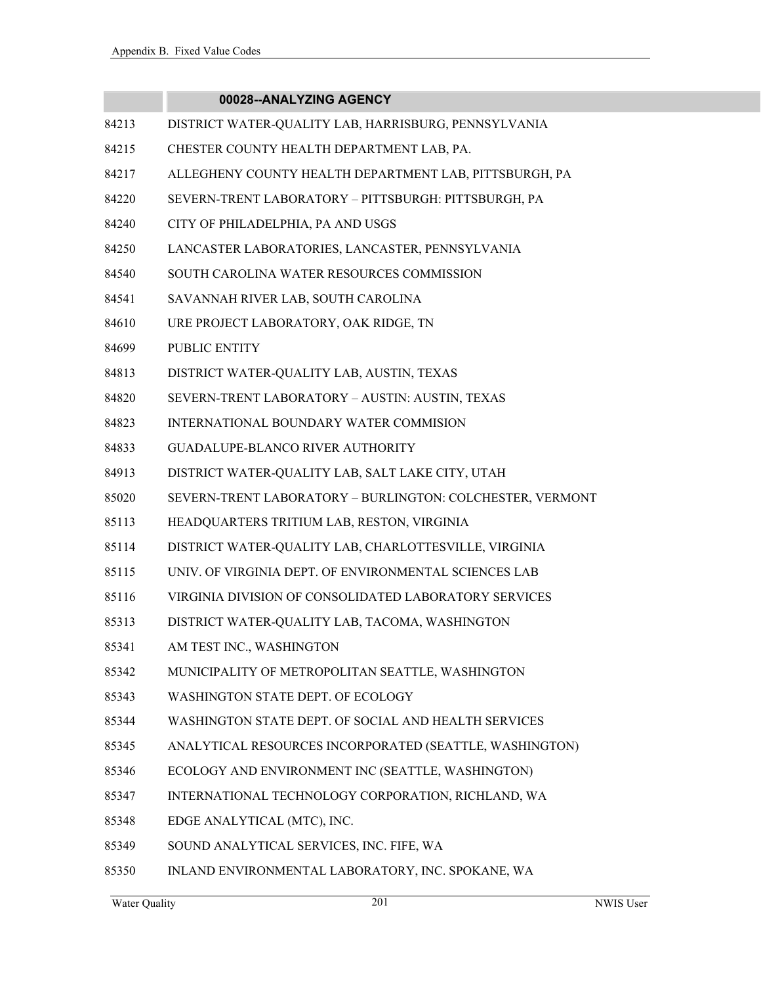- 84213 DISTRICT WATER-QUALITY LAB, HARRISBURG, PENNSYLVANIA
- 84215 CHESTER COUNTY HEALTH DEPARTMENT LAB, PA.
- 84217 ALLEGHENY COUNTY HEALTH DEPARTMENT LAB, PITTSBURGH, PA
- 84220 SEVERN-TRENT LABORATORY PITTSBURGH: PITTSBURGH, PA
- 84240 CITY OF PHILADELPHIA, PA AND USGS
- 84250 LANCASTER LABORATORIES, LANCASTER, PENNSYLVANIA
- 84540 SOUTH CAROLINA WATER RESOURCES COMMISSION
- 84541 SAVANNAH RIVER LAB, SOUTH CAROLINA
- 84610 URE PROJECT LABORATORY, OAK RIDGE, TN
- 84699 PUBLIC ENTITY
- 84813 DISTRICT WATER-QUALITY LAB, AUSTIN, TEXAS
- 84820 SEVERN-TRENT LABORATORY AUSTIN: AUSTIN, TEXAS
- 84823 INTERNATIONAL BOUNDARY WATER COMMISION
- 84833 GUADALUPE-BLANCO RIVER AUTHORITY
- 84913 DISTRICT WATER-QUALITY LAB, SALT LAKE CITY, UTAH
- 85020 SEVERN-TRENT LABORATORY BURLINGTON: COLCHESTER, VERMONT
- 85113 HEADQUARTERS TRITIUM LAB, RESTON, VIRGINIA
- 85114 DISTRICT WATER-QUALITY LAB, CHARLOTTESVILLE, VIRGINIA
- 85115 UNIV. OF VIRGINIA DEPT. OF ENVIRONMENTAL SCIENCES LAB
- 85116 VIRGINIA DIVISION OF CONSOLIDATED LABORATORY SERVICES
- 85313 DISTRICT WATER-QUALITY LAB, TACOMA, WASHINGTON
- 85341 AM TEST INC., WASHINGTON
- 85342 MUNICIPALITY OF METROPOLITAN SEATTLE, WASHINGTON
- 85343 WASHINGTON STATE DEPT. OF ECOLOGY
- 85344 WASHINGTON STATE DEPT. OF SOCIAL AND HEALTH SERVICES
- 85345 ANALYTICAL RESOURCES INCORPORATED (SEATTLE, WASHINGTON)
- 85346 ECOLOGY AND ENVIRONMENT INC (SEATTLE, WASHINGTON)
- 85347 INTERNATIONAL TECHNOLOGY CORPORATION, RICHLAND, WA
- 85348 EDGE ANALYTICAL (MTC), INC.
- 85349 SOUND ANALYTICAL SERVICES, INC. FIFE, WA
- 85350 INLAND ENVIRONMENTAL LABORATORY, INC. SPOKANE, WA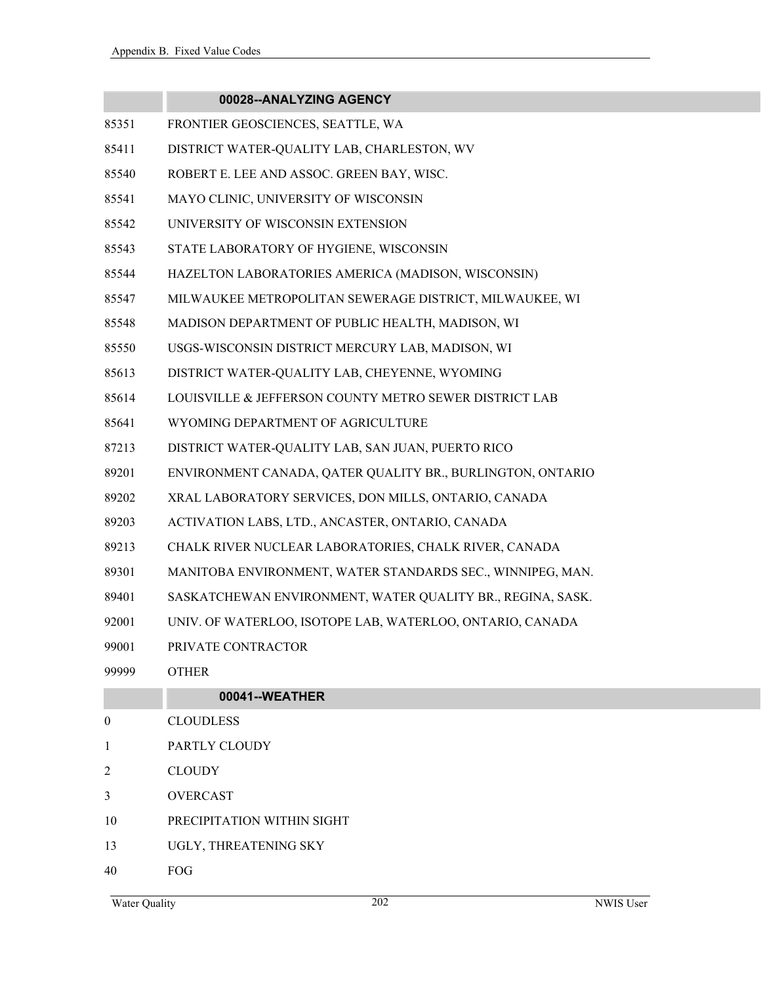|                | 00028--ANALYZING AGENCY                                    |
|----------------|------------------------------------------------------------|
| 85351          | FRONTIER GEOSCIENCES, SEATTLE, WA                          |
| 85411          | DISTRICT WATER-QUALITY LAB, CHARLESTON, WV                 |
| 85540          | ROBERT E. LEE AND ASSOC. GREEN BAY, WISC.                  |
| 85541          | MAYO CLINIC, UNIVERSITY OF WISCONSIN                       |
| 85542          | UNIVERSITY OF WISCONSIN EXTENSION                          |
| 85543          | STATE LABORATORY OF HYGIENE, WISCONSIN                     |
| 85544          | HAZELTON LABORATORIES AMERICA (MADISON, WISCONSIN)         |
| 85547          | MILWAUKEE METROPOLITAN SEWERAGE DISTRICT, MILWAUKEE, WI    |
| 85548          | MADISON DEPARTMENT OF PUBLIC HEALTH, MADISON, WI           |
| 85550          | USGS-WISCONSIN DISTRICT MERCURY LAB, MADISON, WI           |
| 85613          | DISTRICT WATER-QUALITY LAB, CHEYENNE, WYOMING              |
| 85614          | LOUISVILLE & JEFFERSON COUNTY METRO SEWER DISTRICT LAB     |
| 85641          | WYOMING DEPARTMENT OF AGRICULTURE                          |
| 87213          | DISTRICT WATER-QUALITY LAB, SAN JUAN, PUERTO RICO          |
| 89201          | ENVIRONMENT CANADA, QATER QUALITY BR., BURLINGTON, ONTARIO |
| 89202          | XRAL LABORATORY SERVICES, DON MILLS, ONTARIO, CANADA       |
| 89203          | ACTIVATION LABS, LTD., ANCASTER, ONTARIO, CANADA           |
| 89213          | CHALK RIVER NUCLEAR LABORATORIES, CHALK RIVER, CANADA      |
| 89301          | MANITOBA ENVIRONMENT, WATER STANDARDS SEC., WINNIPEG, MAN. |
| 89401          | SASKATCHEWAN ENVIRONMENT, WATER QUALITY BR., REGINA, SASK. |
| 92001          | UNIV. OF WATERLOO, ISOTOPE LAB, WATERLOO, ONTARIO, CANADA  |
| 99001          | PRIVATE CONTRACTOR                                         |
| 99999          | <b>OTHER</b>                                               |
|                | 00041--WEATHER                                             |
| $\overline{0}$ | <b>CLOUDLESS</b>                                           |
| 1              | PARTLY CLOUDY                                              |
| 2              | <b>CLOUDY</b>                                              |
| 3              | <b>OVERCAST</b>                                            |

- 10 PRECIPITATION WITHIN SIGHT
- 13 UGLY, THREATENING SKY
- 40 FOG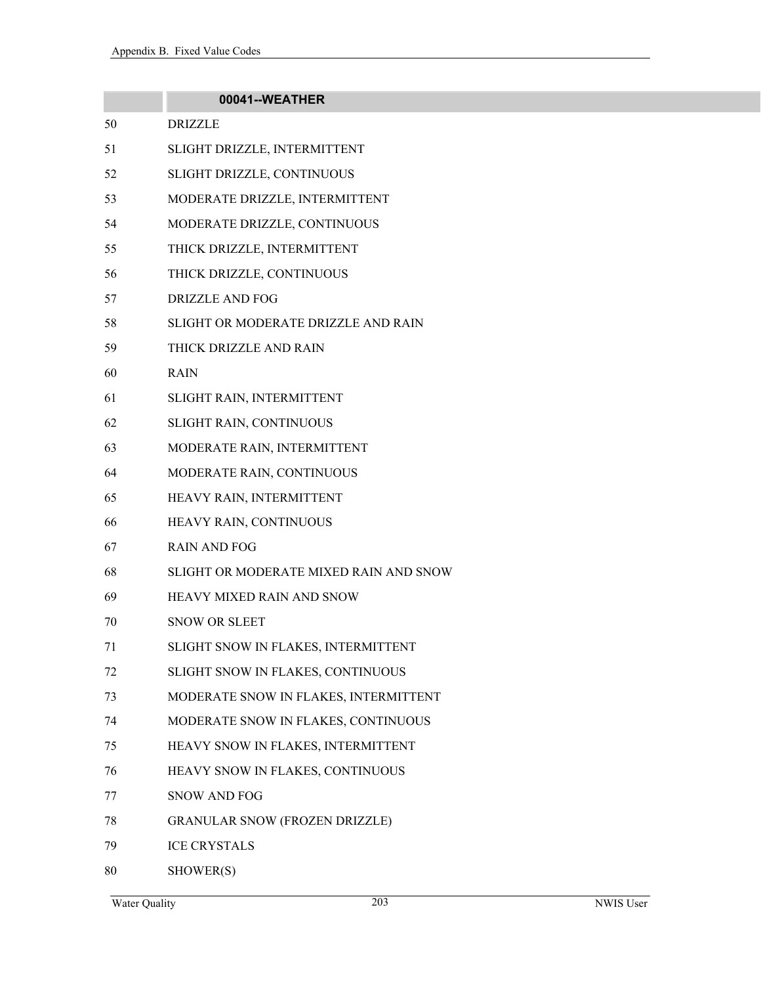|    | 00041--WEATHER                         |
|----|----------------------------------------|
| 50 | <b>DRIZZLE</b>                         |
| 51 | SLIGHT DRIZZLE, INTERMITTENT           |
| 52 | SLIGHT DRIZZLE, CONTINUOUS             |
| 53 | MODERATE DRIZZLE, INTERMITTENT         |
| 54 | MODERATE DRIZZLE, CONTINUOUS           |
| 55 | THICK DRIZZLE, INTERMITTENT            |
| 56 | THICK DRIZZLE, CONTINUOUS              |
| 57 | <b>DRIZZLE AND FOG</b>                 |
| 58 | SLIGHT OR MODERATE DRIZZLE AND RAIN    |
| 59 | THICK DRIZZLE AND RAIN                 |
| 60 | <b>RAIN</b>                            |
| 61 | SLIGHT RAIN, INTERMITTENT              |
| 62 | SLIGHT RAIN, CONTINUOUS                |
| 63 | MODERATE RAIN, INTERMITTENT            |
| 64 | MODERATE RAIN, CONTINUOUS              |
| 65 | HEAVY RAIN, INTERMITTENT               |
| 66 | HEAVY RAIN, CONTINUOUS                 |
| 67 | <b>RAIN AND FOG</b>                    |
| 68 | SLIGHT OR MODERATE MIXED RAIN AND SNOW |
| 69 | HEAVY MIXED RAIN AND SNOW              |
| 70 | <b>SNOW OR SLEET</b>                   |
| 71 | SLIGHT SNOW IN FLAKES, INTERMITTENT    |
| 72 | SLIGHT SNOW IN FLAKES, CONTINUOUS      |
| 73 | MODERATE SNOW IN FLAKES, INTERMITTENT  |
| 74 | MODERATE SNOW IN FLAKES, CONTINUOUS    |
| 75 | HEAVY SNOW IN FLAKES, INTERMITTENT     |
| 76 | HEAVY SNOW IN FLAKES, CONTINUOUS       |
| 77 | <b>SNOW AND FOG</b>                    |
| 78 | <b>GRANULAR SNOW (FROZEN DRIZZLE)</b>  |
| 79 | <b>ICE CRYSTALS</b>                    |
| 80 | SHOWER(S)                              |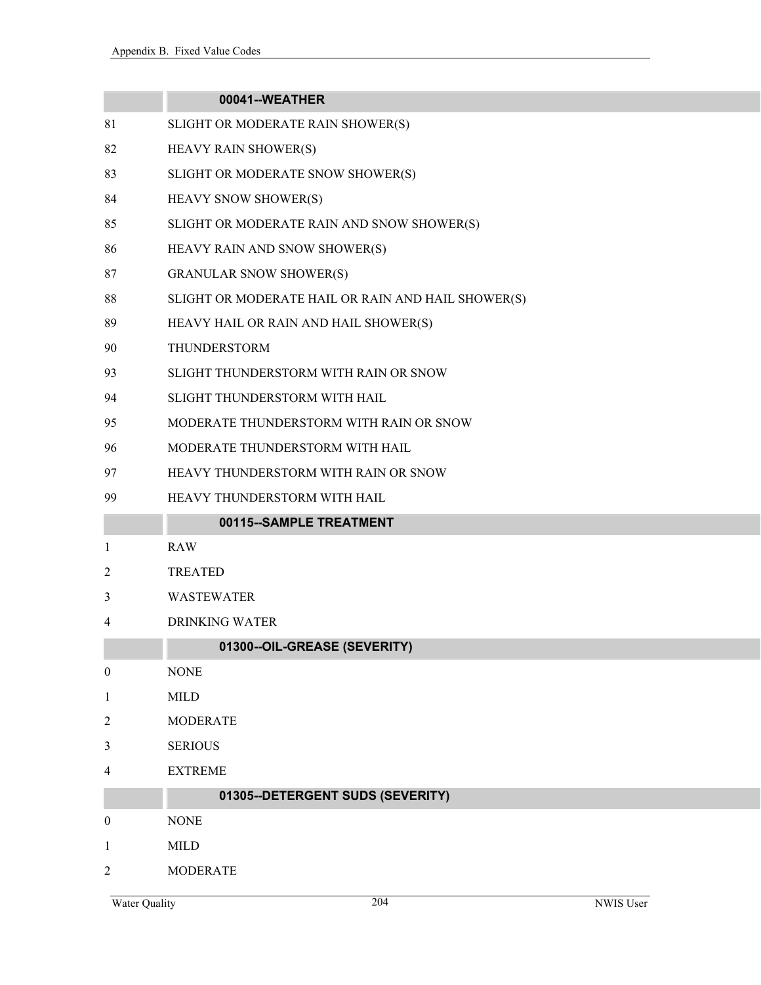| 00041--WEATHER                                     |
|----------------------------------------------------|
| SLIGHT OR MODERATE RAIN SHOWER(S)                  |
| HEAVY RAIN SHOWER(S)                               |
| SLIGHT OR MODERATE SNOW SHOWER(S)                  |
| <b>HEAVY SNOW SHOWER(S)</b>                        |
| SLIGHT OR MODERATE RAIN AND SNOW SHOWER(S)         |
| HEAVY RAIN AND SNOW SHOWER(S)                      |
| <b>GRANULAR SNOW SHOWER(S)</b>                     |
| SLIGHT OR MODERATE HAIL OR RAIN AND HAIL SHOWER(S) |
| HEAVY HAIL OR RAIN AND HAIL SHOWER(S)              |
| <b>THUNDERSTORM</b>                                |
| SLIGHT THUNDERSTORM WITH RAIN OR SNOW              |
| SLIGHT THUNDERSTORM WITH HAIL                      |
| MODERATE THUNDERSTORM WITH RAIN OR SNOW            |
| MODERATE THUNDERSTORM WITH HAIL                    |
| HEAVY THUNDERSTORM WITH RAIN OR SNOW               |
| HEAVY THUNDERSTORM WITH HAIL                       |
| 00115--SAMPLE TREATMENT                            |
| <b>RAW</b>                                         |
| <b>TREATED</b>                                     |
| <b>WASTEWATER</b>                                  |
| <b>DRINKING WATER</b>                              |
| 01300--OIL-GREASE (SEVERITY)                       |
| <b>NONE</b>                                        |
| <b>MILD</b>                                        |
| <b>MODERATE</b>                                    |
| <b>SERIOUS</b>                                     |
| <b>EXTREME</b>                                     |
| 01305--DETERGENT SUDS (SEVERITY)                   |
| <b>NONE</b>                                        |
|                                                    |
| <b>MILD</b>                                        |
|                                                    |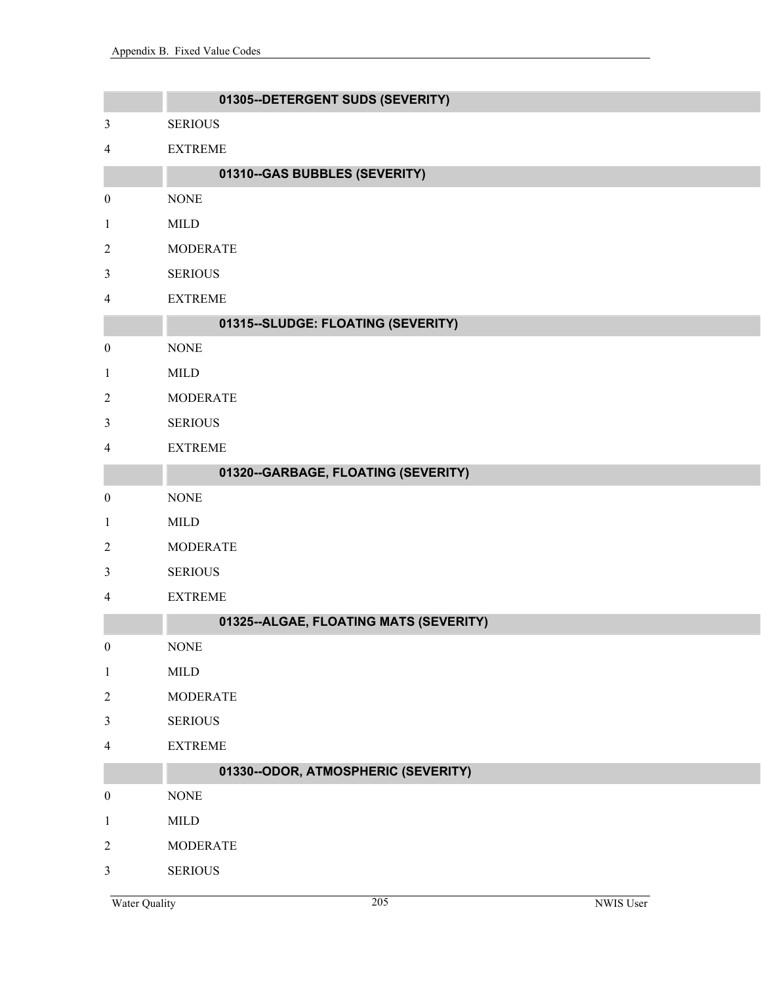|                  | 01305--DETERGENT SUDS (SEVERITY)       |
|------------------|----------------------------------------|
| $\mathfrak{Z}$   | <b>SERIOUS</b>                         |
| 4                | <b>EXTREME</b>                         |
|                  | 01310--GAS BUBBLES (SEVERITY)          |
| $\boldsymbol{0}$ | <b>NONE</b>                            |
| $\mathbf{1}$     | <b>MILD</b>                            |
| $\overline{2}$   | <b>MODERATE</b>                        |
| $\mathfrak{Z}$   | <b>SERIOUS</b>                         |
| 4                | <b>EXTREME</b>                         |
|                  | 01315--SLUDGE: FLOATING (SEVERITY)     |
| $\boldsymbol{0}$ | <b>NONE</b>                            |
| $\mathbf{1}$     | <b>MILD</b>                            |
| $\overline{2}$   | <b>MODERATE</b>                        |
| $\mathfrak{Z}$   | <b>SERIOUS</b>                         |
| 4                | <b>EXTREME</b>                         |
|                  | 01320--GARBAGE, FLOATING (SEVERITY)    |
| $\boldsymbol{0}$ | <b>NONE</b>                            |
| $\mathbf{1}$     | <b>MILD</b>                            |
| $\overline{c}$   | <b>MODERATE</b>                        |
| $\mathfrak{Z}$   | <b>SERIOUS</b>                         |
| 4                | <b>EXTREME</b>                         |
|                  | 01325--ALGAE, FLOATING MATS (SEVERITY) |
| $\boldsymbol{0}$ | <b>NONE</b>                            |
| $\mathbf{1}$     | <b>MILD</b>                            |
| $\boldsymbol{2}$ | <b>MODERATE</b>                        |
| $\mathfrak{Z}$   | <b>SERIOUS</b>                         |
| 4                | <b>EXTREME</b>                         |
|                  | 01330--ODOR, ATMOSPHERIC (SEVERITY)    |
| $\boldsymbol{0}$ | <b>NONE</b>                            |
| $\mathbf{1}$     | $\text{MILD}$                          |
| $\boldsymbol{2}$ | <b>MODERATE</b>                        |
| $\mathfrak{Z}$   | <b>SERIOUS</b>                         |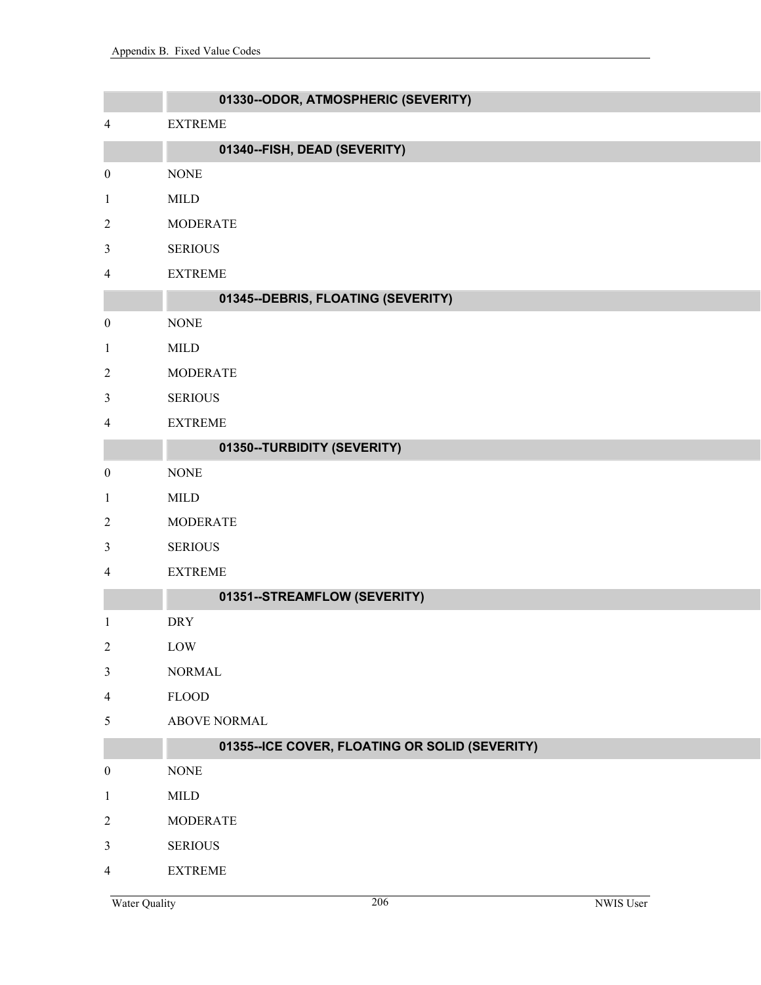|                  | 01330--ODOR, ATMOSPHERIC (SEVERITY)            |
|------------------|------------------------------------------------|
| 4                | <b>EXTREME</b>                                 |
|                  | 01340--FISH, DEAD (SEVERITY)                   |
| $\boldsymbol{0}$ | <b>NONE</b>                                    |
| $\mathbf{1}$     | <b>MILD</b>                                    |
| $\overline{c}$   | <b>MODERATE</b>                                |
| 3                | <b>SERIOUS</b>                                 |
| 4                | <b>EXTREME</b>                                 |
|                  | 01345--DEBRIS, FLOATING (SEVERITY)             |
| $\boldsymbol{0}$ | <b>NONE</b>                                    |
| $\mathbf{1}$     | <b>MILD</b>                                    |
| 2                | <b>MODERATE</b>                                |
| 3                | <b>SERIOUS</b>                                 |
| 4                | <b>EXTREME</b>                                 |
|                  | 01350--TURBIDITY (SEVERITY)                    |
| $\boldsymbol{0}$ | <b>NONE</b>                                    |
| $\mathbf{1}$     | <b>MILD</b>                                    |
| 2                | <b>MODERATE</b>                                |
| 3                | <b>SERIOUS</b>                                 |
| 4                | <b>EXTREME</b>                                 |
|                  | 01351--STREAMFLOW (SEVERITY)                   |
| $\mathbf{1}$     | <b>DRY</b>                                     |
| $\overline{c}$   | LOW                                            |
| $\mathfrak{Z}$   | <b>NORMAL</b>                                  |
| 4                | ${\rm FLOOD}$                                  |
| 5                | ABOVE NORMAL                                   |
|                  | 01355--ICE COVER, FLOATING OR SOLID (SEVERITY) |
| $\boldsymbol{0}$ | $\rm{NONE}$                                    |
| $\mathbf{1}$     | MILD                                           |
| $\overline{c}$   | <b>MODERATE</b>                                |
| 3                | <b>SERIOUS</b>                                 |
| 4                | <b>EXTREME</b>                                 |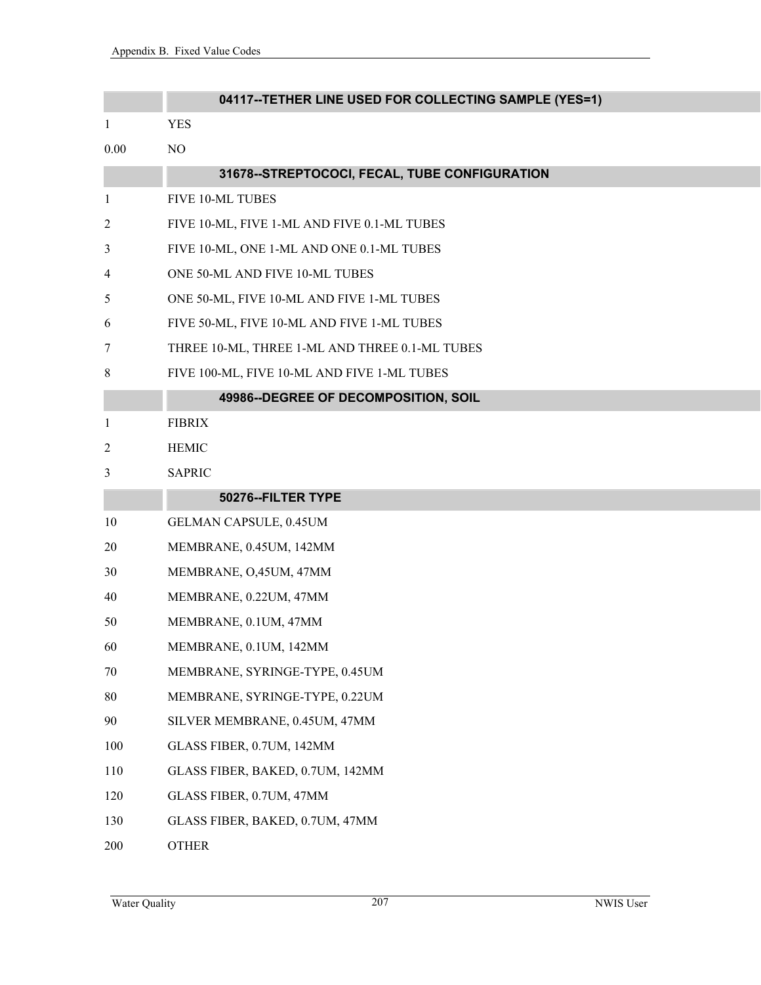|                | 04117--TETHER LINE USED FOR COLLECTING SAMPLE (YES=1) |
|----------------|-------------------------------------------------------|
| $\mathbf{1}$   | <b>YES</b>                                            |
| 0.00           | NO                                                    |
|                | 31678--STREPTOCOCI, FECAL, TUBE CONFIGURATION         |
| 1              | FIVE 10-ML TUBES                                      |
| $\overline{c}$ | FIVE 10-ML, FIVE 1-ML AND FIVE 0.1-ML TUBES           |
| 3              | FIVE 10-ML, ONE 1-ML AND ONE 0.1-ML TUBES             |
| 4              | ONE 50-ML AND FIVE 10-ML TUBES                        |
| 5              | ONE 50-ML, FIVE 10-ML AND FIVE 1-ML TUBES             |
| 6              | FIVE 50-ML, FIVE 10-ML AND FIVE 1-ML TUBES            |
| 7              | THREE 10-ML, THREE 1-ML AND THREE 0.1-ML TUBES        |
| 8              | FIVE 100-ML, FIVE 10-ML AND FIVE 1-ML TUBES           |
|                | 49986--DEGREE OF DECOMPOSITION, SOIL                  |
| 1              | <b>FIBRIX</b>                                         |
| $\overline{c}$ | <b>HEMIC</b>                                          |
| 3              | <b>SAPRIC</b>                                         |
|                | 50276--FILTER TYPE                                    |
| 10             | GELMAN CAPSULE, 0.45UM                                |
| 20             | MEMBRANE, 0.45UM, 142MM                               |
| 30             | MEMBRANE, O,45UM, 47MM                                |
| 40             | MEMBRANE, 0.22UM, 47MM                                |
| 50             | MEMBRANE, 0.1UM, 47MM                                 |
| 60             | MEMBRANE, 0.1UM, 142MM                                |
| 70             | MEMBRANE, SYRINGE-TYPE, 0.45UM                        |
| 80             | MEMBRANE, SYRINGE-TYPE, 0.22UM                        |
| 90             | SILVER MEMBRANE, 0.45UM, 47MM                         |
| 100            | GLASS FIBER, 0.7UM, 142MM                             |
| 110            | GLASS FIBER, BAKED, 0.7UM, 142MM                      |
| 120            | GLASS FIBER, 0.7UM, 47MM                              |
| 130            | GLASS FIBER, BAKED, 0.7UM, 47MM                       |
| 200            | <b>OTHER</b>                                          |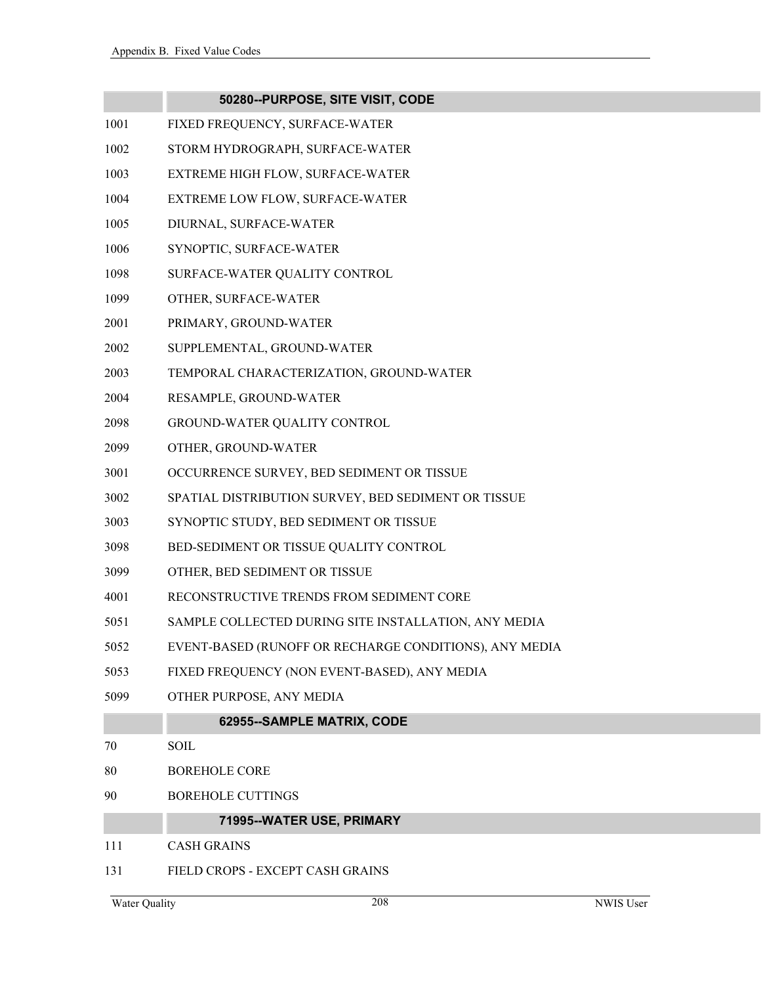#### **50280--PURPOSE, SITE VISIT, CODE**

- 1001 FIXED FREQUENCY, SURFACE-WATER
- 1002 STORM HYDROGRAPH, SURFACE-WATER
- 1003 EXTREME HIGH FLOW, SURFACE-WATER
- 1004 EXTREME LOW FLOW, SURFACE-WATER
- 1005 DIURNAL, SURFACE-WATER
- 1006 SYNOPTIC, SURFACE-WATER
- 1098 SURFACE-WATER QUALITY CONTROL
- 1099 OTHER, SURFACE-WATER
- 2001 PRIMARY, GROUND-WATER
- 2002 SUPPLEMENTAL, GROUND-WATER
- 2003 TEMPORAL CHARACTERIZATION, GROUND-WATER
- 2004 RESAMPLE, GROUND-WATER
- 2098 GROUND-WATER QUALITY CONTROL
- 2099 OTHER, GROUND-WATER
- 3001 OCCURRENCE SURVEY, BED SEDIMENT OR TISSUE
- 3002 SPATIAL DISTRIBUTION SURVEY, BED SEDIMENT OR TISSUE
- 3003 SYNOPTIC STUDY, BED SEDIMENT OR TISSUE
- 3098 BED-SEDIMENT OR TISSUE QUALITY CONTROL
- 3099 OTHER, BED SEDIMENT OR TISSUE
- 4001 RECONSTRUCTIVE TRENDS FROM SEDIMENT CORE
- 5051 SAMPLE COLLECTED DURING SITE INSTALLATION, ANY MEDIA
- 5052 EVENT-BASED (RUNOFF OR RECHARGE CONDITIONS), ANY MEDIA
- 5053 FIXED FREQUENCY (NON EVENT-BASED), ANY MEDIA
- 5099 OTHER PURPOSE, ANY MEDIA

### **62955--SAMPLE MATRIX, CODE**

- 70 SOIL
- 80 BOREHOLE CORE
- 90 BOREHOLE CUTTINGS

## **71995--WATER USE, PRIMARY**

- 111 CASH GRAINS
- 131 FIELD CROPS EXCEPT CASH GRAINS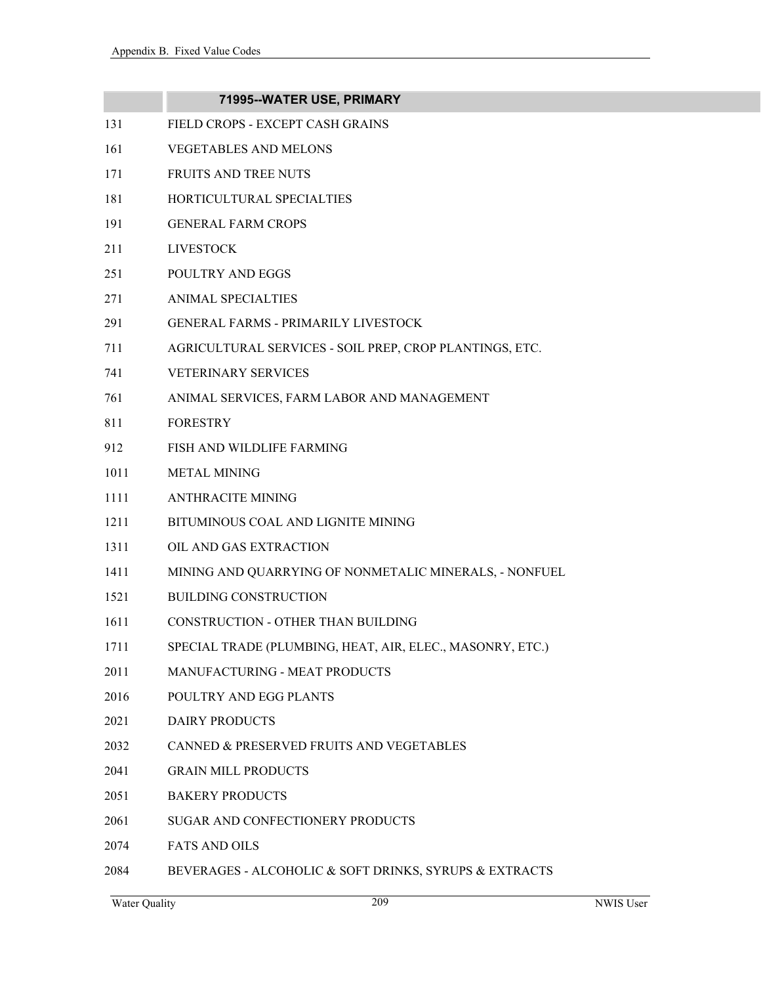|      | 71995--WATER USE, PRIMARY                                 |
|------|-----------------------------------------------------------|
| 131  | FIELD CROPS - EXCEPT CASH GRAINS                          |
| 161  | <b>VEGETABLES AND MELONS</b>                              |
| 171  | <b>FRUITS AND TREE NUTS</b>                               |
| 181  | HORTICULTURAL SPECIALTIES                                 |
| 191  | <b>GENERAL FARM CROPS</b>                                 |
| 211  | <b>LIVESTOCK</b>                                          |
| 251  | POULTRY AND EGGS                                          |
| 271  | <b>ANIMAL SPECIALTIES</b>                                 |
| 291  | <b>GENERAL FARMS - PRIMARILY LIVESTOCK</b>                |
| 711  | AGRICULTURAL SERVICES - SOIL PREP, CROP PLANTINGS, ETC.   |
| 741  | <b>VETERINARY SERVICES</b>                                |
| 761  | ANIMAL SERVICES, FARM LABOR AND MANAGEMENT                |
| 811  | <b>FORESTRY</b>                                           |
| 912  | FISH AND WILDLIFE FARMING                                 |
| 1011 | <b>METAL MINING</b>                                       |
| 1111 | <b>ANTHRACITE MINING</b>                                  |
| 1211 | BITUMINOUS COAL AND LIGNITE MINING                        |
| 1311 | OIL AND GAS EXTRACTION                                    |
| 1411 | MINING AND QUARRYING OF NONMETALIC MINERALS, - NONFUEL    |
| 1521 | <b>BUILDING CONSTRUCTION</b>                              |
| 1611 | CONSTRUCTION - OTHER THAN BUILDING                        |
| 1711 | SPECIAL TRADE (PLUMBING, HEAT, AIR, ELEC., MASONRY, ETC.) |
| 2011 | MANUFACTURING - MEAT PRODUCTS                             |
| 2016 | POULTRY AND EGG PLANTS                                    |
| 2021 | DAIRY PRODUCTS                                            |
| 2032 | CANNED & PRESERVED FRUITS AND VEGETABLES                  |
| 2041 | <b>GRAIN MILL PRODUCTS</b>                                |
| 2051 | <b>BAKERY PRODUCTS</b>                                    |
| 2061 | SUGAR AND CONFECTIONERY PRODUCTS                          |
| 2074 | <b>FATS AND OILS</b>                                      |
|      |                                                           |

2084 BEVERAGES - ALCOHOLIC & SOFT DRINKS, SYRUPS & EXTRACTS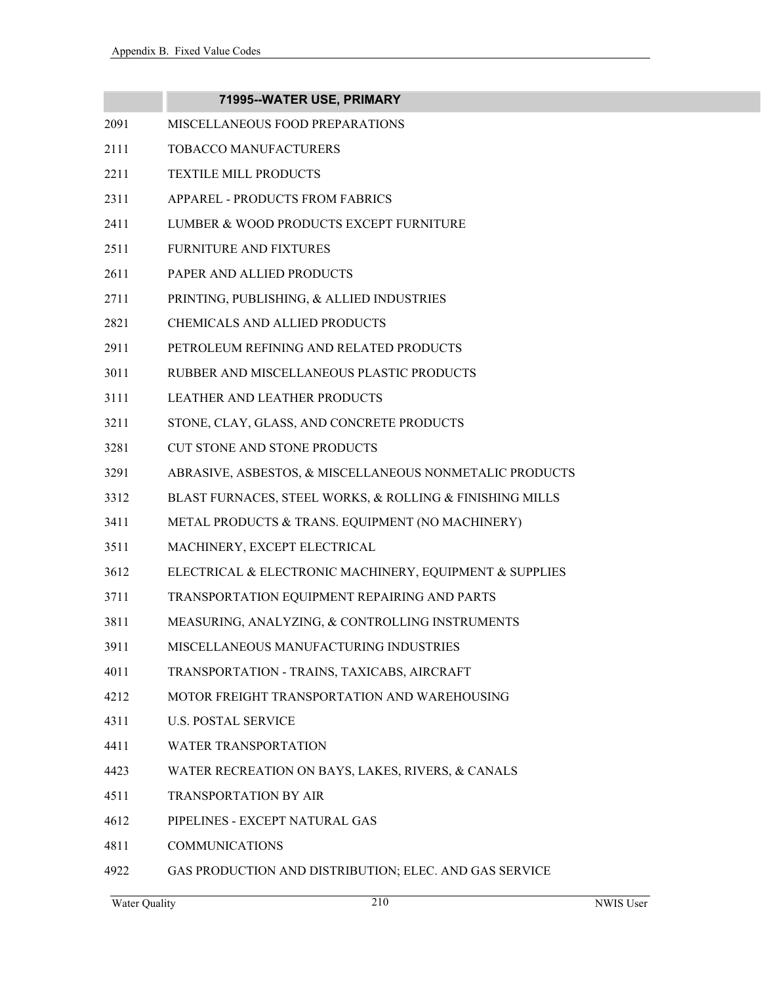|      | 71995--WATER USE, PRIMARY                                |
|------|----------------------------------------------------------|
| 2091 | MISCELLANEOUS FOOD PREPARATIONS                          |
| 2111 | TOBACCO MANUFACTURERS                                    |
| 2211 | TEXTILE MILL PRODUCTS                                    |
| 2311 | APPAREL - PRODUCTS FROM FABRICS                          |
| 2411 | LUMBER & WOOD PRODUCTS EXCEPT FURNITURE                  |
| 2511 | <b>FURNITURE AND FIXTURES</b>                            |
| 2611 | PAPER AND ALLIED PRODUCTS                                |
| 2711 | PRINTING, PUBLISHING, & ALLIED INDUSTRIES                |
| 2821 | <b>CHEMICALS AND ALLIED PRODUCTS</b>                     |
| 2911 | PETROLEUM REFINING AND RELATED PRODUCTS                  |
| 3011 | RUBBER AND MISCELLANEOUS PLASTIC PRODUCTS                |
| 3111 | <b>LEATHER AND LEATHER PRODUCTS</b>                      |
| 3211 | STONE, CLAY, GLASS, AND CONCRETE PRODUCTS                |
| 3281 | <b>CUT STONE AND STONE PRODUCTS</b>                      |
| 3291 | ABRASIVE, ASBESTOS, & MISCELLANEOUS NONMETALIC PRODUCTS  |
| 3312 | BLAST FURNACES, STEEL WORKS, & ROLLING & FINISHING MILLS |
| 3411 | METAL PRODUCTS & TRANS. EQUIPMENT (NO MACHINERY)         |
| 3511 | MACHINERY, EXCEPT ELECTRICAL                             |
| 3612 | ELECTRICAL & ELECTRONIC MACHINERY, EQUIPMENT & SUPPLIES  |
| 3711 | TRANSPORTATION EQUIPMENT REPAIRING AND PARTS             |
| 3811 | MEASURING, ANALYZING, & CONTROLLING INSTRUMENTS          |
| 3911 | MISCELLANEOUS MANUFACTURING INDUSTRIES                   |
| 4011 | TRANSPORTATION - TRAINS, TAXICABS, AIRCRAFT              |
| 4212 | MOTOR FREIGHT TRANSPORTATION AND WAREHOUSING             |
| 4311 | <b>U.S. POSTAL SERVICE</b>                               |
| 4411 | <b>WATER TRANSPORTATION</b>                              |
| 4423 | WATER RECREATION ON BAYS, LAKES, RIVERS, & CANALS        |
| 4511 | <b>TRANSPORTATION BY AIR</b>                             |
| 4612 | PIPELINES - EXCEPT NATURAL GAS                           |
| 4811 | <b>COMMUNICATIONS</b>                                    |
| 4922 | GAS PRODUCTION AND DISTRIBUTION; ELEC. AND GAS SERVICE   |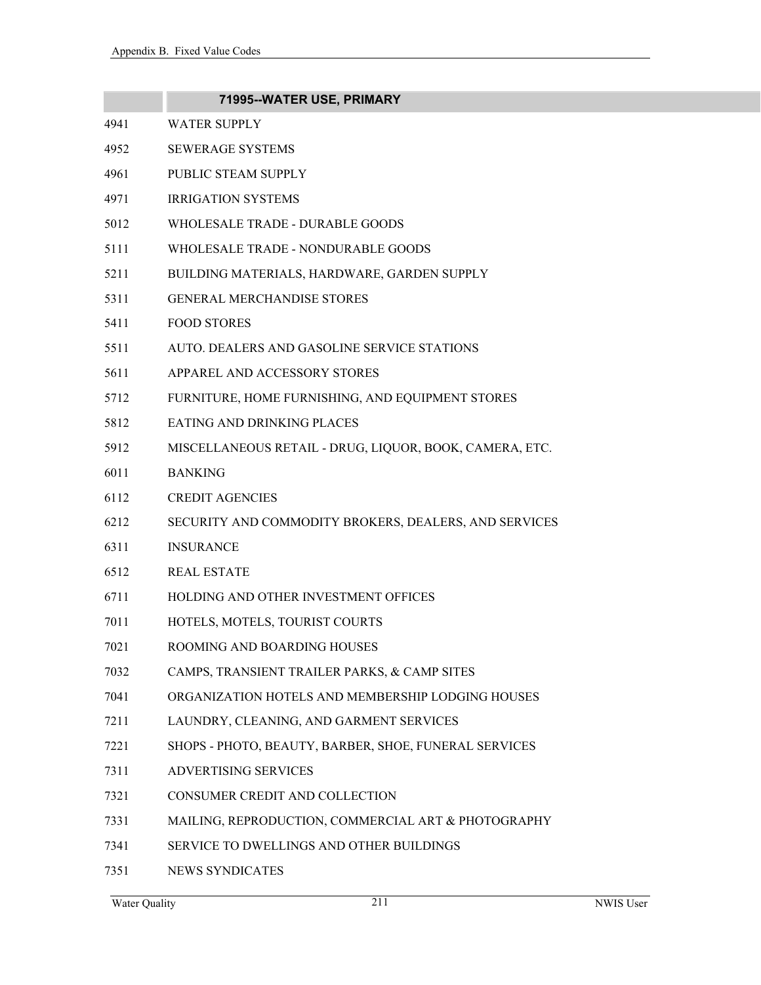|      | 71995--WATER USE, PRIMARY                               |
|------|---------------------------------------------------------|
| 4941 | <b>WATER SUPPLY</b>                                     |
| 4952 | <b>SEWERAGE SYSTEMS</b>                                 |
| 4961 | PUBLIC STEAM SUPPLY                                     |
| 4971 | <b>IRRIGATION SYSTEMS</b>                               |
| 5012 | WHOLESALE TRADE - DURABLE GOODS                         |
| 5111 | WHOLESALE TRADE - NONDURABLE GOODS                      |
| 5211 | BUILDING MATERIALS, HARDWARE, GARDEN SUPPLY             |
| 5311 | <b>GENERAL MERCHANDISE STORES</b>                       |
| 5411 | <b>FOOD STORES</b>                                      |
| 5511 | AUTO. DEALERS AND GASOLINE SERVICE STATIONS             |
| 5611 | APPAREL AND ACCESSORY STORES                            |
| 5712 | FURNITURE, HOME FURNISHING, AND EQUIPMENT STORES        |
| 5812 | <b>EATING AND DRINKING PLACES</b>                       |
| 5912 | MISCELLANEOUS RETAIL - DRUG, LIQUOR, BOOK, CAMERA, ETC. |
| 6011 | <b>BANKING</b>                                          |
| 6112 | <b>CREDIT AGENCIES</b>                                  |
| 6212 | SECURITY AND COMMODITY BROKERS, DEALERS, AND SERVICES   |
| 6311 | <b>INSURANCE</b>                                        |
| 6512 | <b>REAL ESTATE</b>                                      |
| 6711 | HOLDING AND OTHER INVESTMENT OFFICES                    |
| 7011 | HOTELS, MOTELS, TOURIST COURTS                          |
| 7021 | ROOMING AND BOARDING HOUSES                             |
| 7032 | CAMPS, TRANSIENT TRAILER PARKS, & CAMP SITES            |
| 7041 | ORGANIZATION HOTELS AND MEMBERSHIP LODGING HOUSES       |
| 7211 | LAUNDRY, CLEANING, AND GARMENT SERVICES                 |
| 7221 | SHOPS - PHOTO, BEAUTY, BARBER, SHOE, FUNERAL SERVICES   |
| 7311 | <b>ADVERTISING SERVICES</b>                             |
| 7321 | CONSUMER CREDIT AND COLLECTION                          |
| 7331 | MAILING, REPRODUCTION, COMMERCIAL ART & PHOTOGRAPHY     |
| 7341 | SERVICE TO DWELLINGS AND OTHER BUILDINGS                |
|      |                                                         |

7351 NEWS SYNDICATES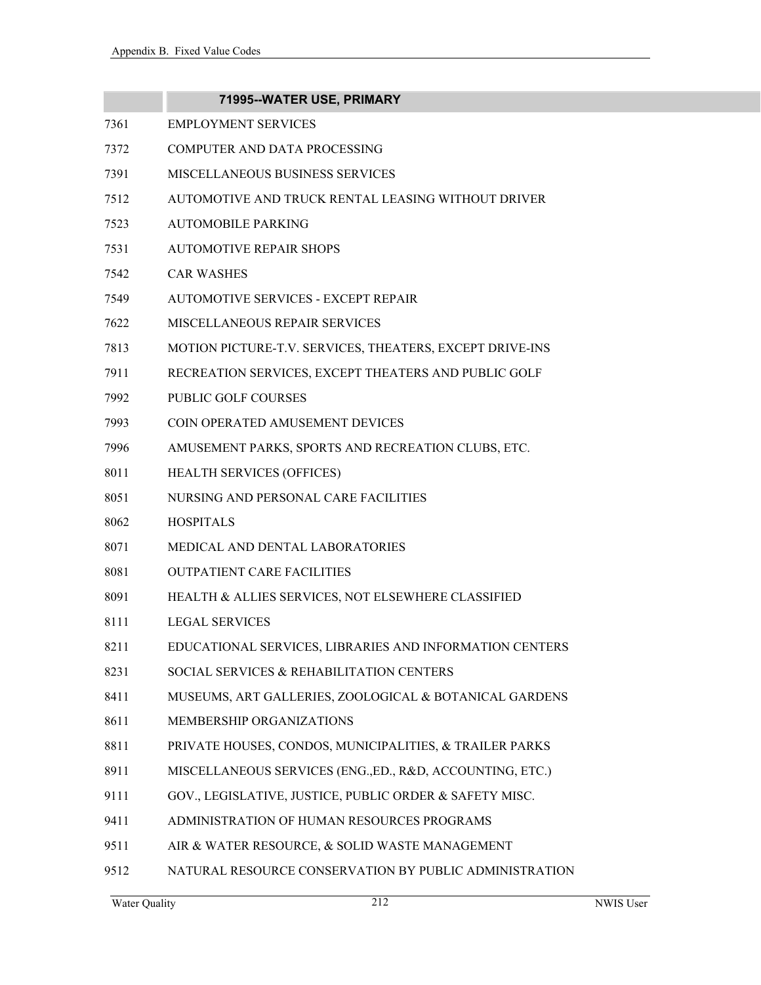|      | 71995--WATER USE, PRIMARY                                 |
|------|-----------------------------------------------------------|
| 7361 | <b>EMPLOYMENT SERVICES</b>                                |
| 7372 | COMPUTER AND DATA PROCESSING                              |
| 7391 | <b>MISCELLANEOUS BUSINESS SERVICES</b>                    |
| 7512 | AUTOMOTIVE AND TRUCK RENTAL LEASING WITHOUT DRIVER        |
| 7523 | <b>AUTOMOBILE PARKING</b>                                 |
| 7531 | <b>AUTOMOTIVE REPAIR SHOPS</b>                            |
| 7542 | <b>CAR WASHES</b>                                         |
| 7549 | AUTOMOTIVE SERVICES - EXCEPT REPAIR                       |
| 7622 | MISCELLANEOUS REPAIR SERVICES                             |
| 7813 | MOTION PICTURE-T.V. SERVICES, THEATERS, EXCEPT DRIVE-INS  |
| 7911 | RECREATION SERVICES, EXCEPT THEATERS AND PUBLIC GOLF      |
| 7992 | <b>PUBLIC GOLF COURSES</b>                                |
| 7993 | COIN OPERATED AMUSEMENT DEVICES                           |
| 7996 | AMUSEMENT PARKS, SPORTS AND RECREATION CLUBS, ETC.        |
| 8011 | HEALTH SERVICES (OFFICES)                                 |
| 8051 | NURSING AND PERSONAL CARE FACILITIES                      |
| 8062 | <b>HOSPITALS</b>                                          |
| 8071 | MEDICAL AND DENTAL LABORATORIES                           |
| 8081 | <b>OUTPATIENT CARE FACILITIES</b>                         |
| 8091 | HEALTH & ALLIES SERVICES, NOT ELSEWHERE CLASSIFIED        |
| 8111 | <b>LEGAL SERVICES</b>                                     |
| 8211 | EDUCATIONAL SERVICES, LIBRARIES AND INFORMATION CENTERS   |
| 8231 | SOCIAL SERVICES & REHABILITATION CENTERS                  |
| 8411 | MUSEUMS, ART GALLERIES, ZOOLOGICAL & BOTANICAL GARDENS    |
| 8611 | MEMBERSHIP ORGANIZATIONS                                  |
| 8811 | PRIVATE HOUSES, CONDOS, MUNICIPALITIES, & TRAILER PARKS   |
| 8911 | MISCELLANEOUS SERVICES (ENG., ED., R&D, ACCOUNTING, ETC.) |
| 9111 | GOV., LEGISLATIVE, JUSTICE, PUBLIC ORDER & SAFETY MISC.   |
| 9411 | ADMINISTRATION OF HUMAN RESOURCES PROGRAMS                |
| 9511 | AIR & WATER RESOURCE, & SOLID WASTE MANAGEMENT            |
| 9512 | NATURAL RESOURCE CONSERVATION BY PUBLIC ADMINISTRATION    |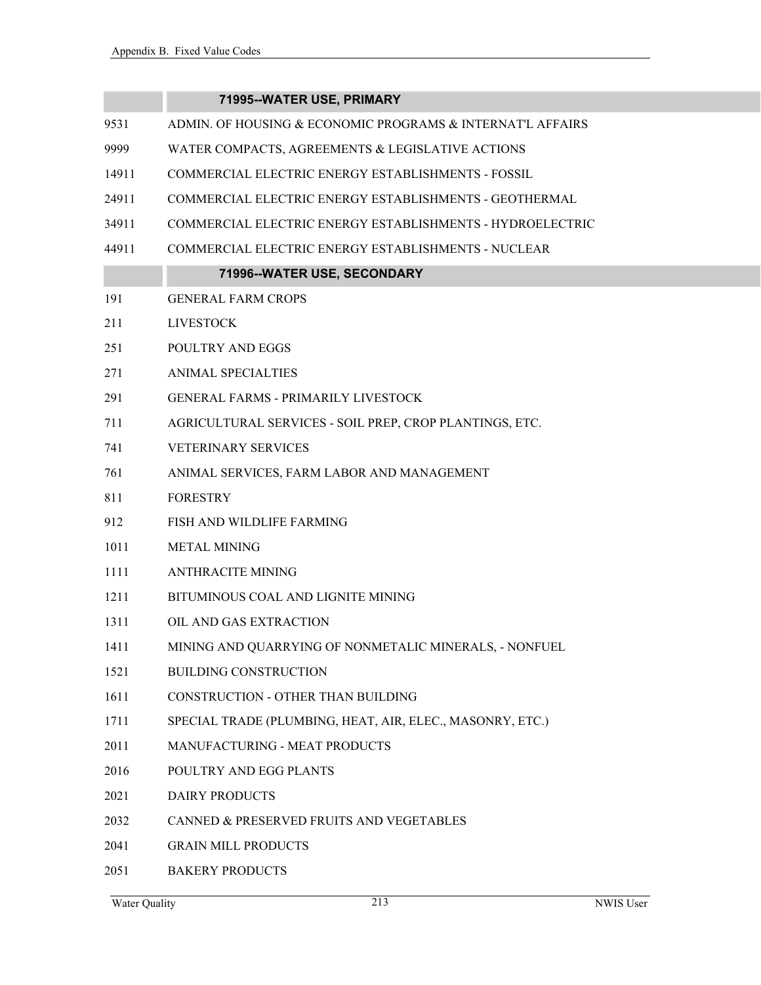### **71995--WATER USE, PRIMARY**

- 9531 ADMIN. OF HOUSING & ECONOMIC PROGRAMS & INTERNAT'L AFFAIRS
- 9999 WATER COMPACTS, AGREEMENTS & LEGISLATIVE ACTIONS
- 14911 COMMERCIAL ELECTRIC ENERGY ESTABLISHMENTS FOSSIL
- 24911 COMMERCIAL ELECTRIC ENERGY ESTABLISHMENTS GEOTHERMAL
- 34911 COMMERCIAL ELECTRIC ENERGY ESTABLISHMENTS HYDROELECTRIC
- 44911 COMMERCIAL ELECTRIC ENERGY ESTABLISHMENTS NUCLEAR

### **71996--WATER USE, SECONDARY**

- 191 GENERAL FARM CROPS
- 211 LIVESTOCK
- 251 POULTRY AND EGGS
- 271 ANIMAL SPECIALTIES
- 291 GENERAL FARMS PRIMARILY LIVESTOCK
- 711 AGRICULTURAL SERVICES SOIL PREP, CROP PLANTINGS, ETC.
- 741 VETERINARY SERVICES
- 761 ANIMAL SERVICES, FARM LABOR AND MANAGEMENT
- 811 FORESTRY
- 912 FISH AND WILDLIFE FARMING
- 1011 METAL MINING
- 1111 ANTHRACITE MINING
- 1211 BITUMINOUS COAL AND LIGNITE MINING
- 1311 OIL AND GAS EXTRACTION
- 1411 MINING AND QUARRYING OF NONMETALIC MINERALS, NONFUEL
- 1521 BUILDING CONSTRUCTION
- 1611 CONSTRUCTION OTHER THAN BUILDING
- 1711 SPECIAL TRADE (PLUMBING, HEAT, AIR, ELEC., MASONRY, ETC.)
- 2011 MANUFACTURING MEAT PRODUCTS
- 2016 POULTRY AND EGG PLANTS
- 2021 DAIRY PRODUCTS
- 2032 CANNED & PRESERVED FRUITS AND VEGETABLES
- 2041 GRAIN MILL PRODUCTS
- 2051 BAKERY PRODUCTS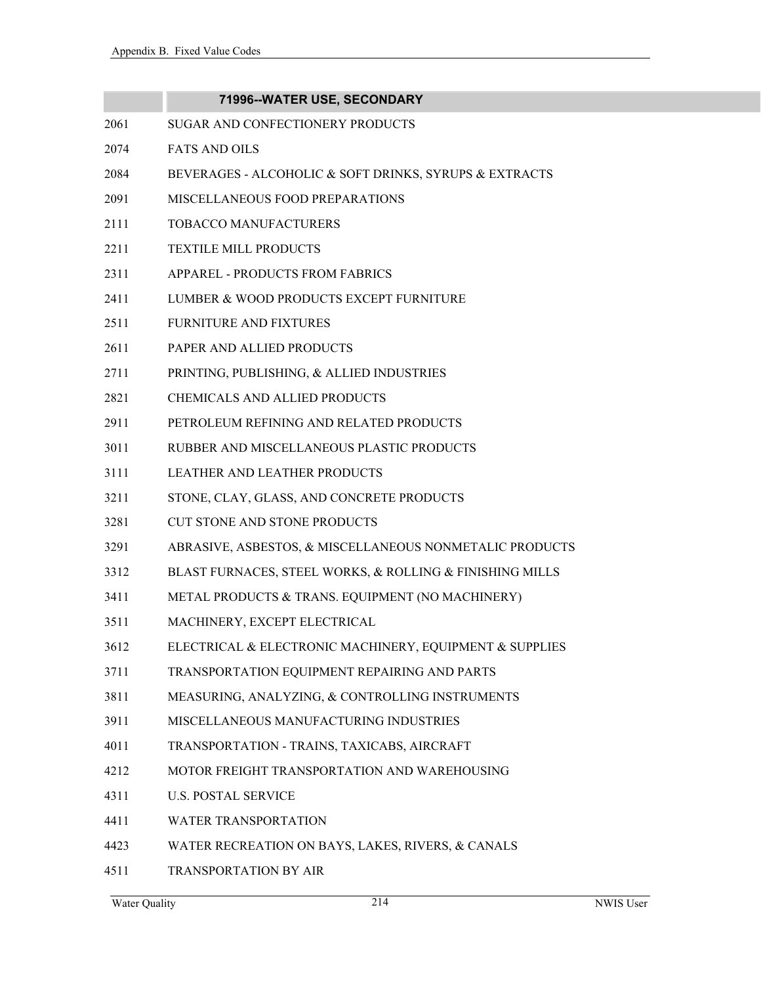|      | 71996--WATER USE, SECONDARY                              |
|------|----------------------------------------------------------|
| 2061 | SUGAR AND CONFECTIONERY PRODUCTS                         |
| 2074 | <b>FATS AND OILS</b>                                     |
| 2084 | BEVERAGES - ALCOHOLIC & SOFT DRINKS, SYRUPS & EXTRACTS   |
| 2091 | MISCELLANEOUS FOOD PREPARATIONS                          |
| 2111 | TOBACCO MANUFACTURERS                                    |
| 2211 | TEXTILE MILL PRODUCTS                                    |
| 2311 | APPAREL - PRODUCTS FROM FABRICS                          |
| 2411 | LUMBER & WOOD PRODUCTS EXCEPT FURNITURE                  |
| 2511 | <b>FURNITURE AND FIXTURES</b>                            |
| 2611 | PAPER AND ALLIED PRODUCTS                                |
| 2711 | PRINTING, PUBLISHING, & ALLIED INDUSTRIES                |
| 2821 | CHEMICALS AND ALLIED PRODUCTS                            |
| 2911 | PETROLEUM REFINING AND RELATED PRODUCTS                  |
| 3011 | RUBBER AND MISCELLANEOUS PLASTIC PRODUCTS                |
| 3111 | LEATHER AND LEATHER PRODUCTS                             |
| 3211 | STONE, CLAY, GLASS, AND CONCRETE PRODUCTS                |
| 3281 | CUT STONE AND STONE PRODUCTS                             |
| 3291 | ABRASIVE, ASBESTOS, & MISCELLANEOUS NONMETALIC PRODUCTS  |
| 3312 | BLAST FURNACES, STEEL WORKS, & ROLLING & FINISHING MILLS |
| 3411 | METAL PRODUCTS & TRANS. EQUIPMENT (NO MACHINERY)         |
| 3511 | MACHINERY, EXCEPT ELECTRICAL                             |
| 3612 | ELECTRICAL & ELECTRONIC MACHINERY, EQUIPMENT & SUPPLIES  |
| 3711 | TRANSPORTATION EQUIPMENT REPAIRING AND PARTS             |
| 3811 | MEASURING, ANALYZING, & CONTROLLING INSTRUMENTS          |
| 3911 | MISCELLANEOUS MANUFACTURING INDUSTRIES                   |
| 4011 | TRANSPORTATION - TRAINS, TAXICABS, AIRCRAFT              |
| 4212 | MOTOR FREIGHT TRANSPORTATION AND WAREHOUSING             |
| 4311 | <b>U.S. POSTAL SERVICE</b>                               |
| 4411 | <b>WATER TRANSPORTATION</b>                              |
| 4423 | WATER RECREATION ON BAYS, LAKES, RIVERS, & CANALS        |

4511 TRANSPORTATION BY AIR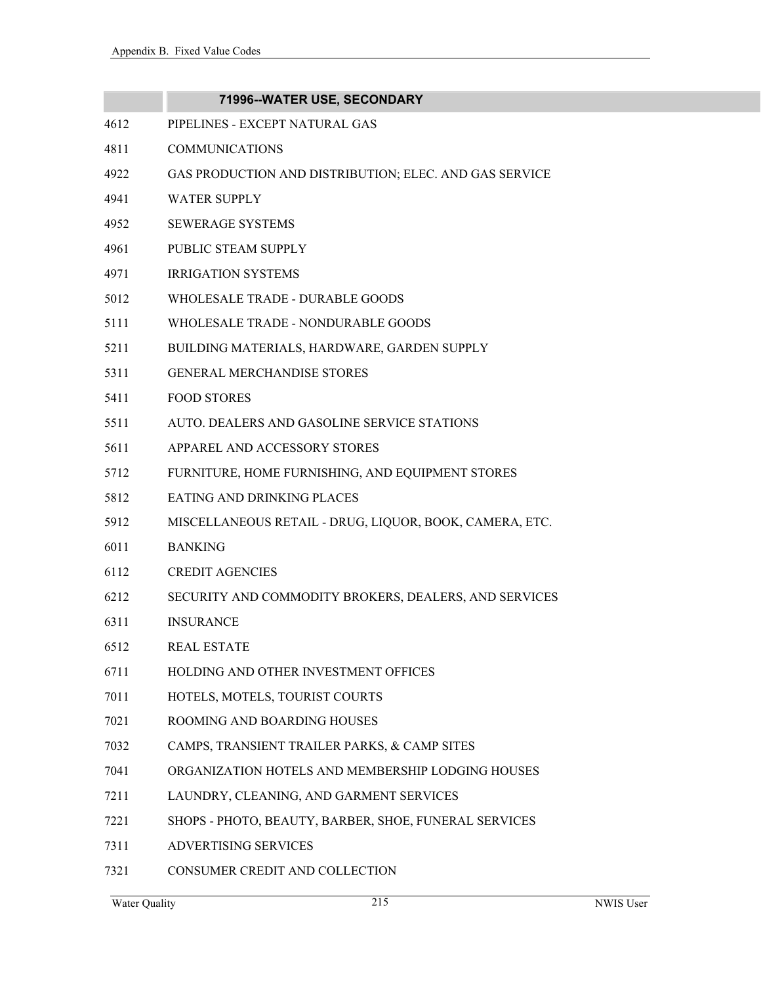|      | 71996--WATER USE, SECONDARY                             |
|------|---------------------------------------------------------|
| 4612 | PIPELINES - EXCEPT NATURAL GAS                          |
| 4811 | <b>COMMUNICATIONS</b>                                   |
| 4922 | GAS PRODUCTION AND DISTRIBUTION; ELEC. AND GAS SERVICE  |
| 4941 | <b>WATER SUPPLY</b>                                     |
| 4952 | <b>SEWERAGE SYSTEMS</b>                                 |
| 4961 | PUBLIC STEAM SUPPLY                                     |
| 4971 | <b>IRRIGATION SYSTEMS</b>                               |
| 5012 | WHOLESALE TRADE - DURABLE GOODS                         |
| 5111 | WHOLESALE TRADE - NONDURABLE GOODS                      |
| 5211 | BUILDING MATERIALS, HARDWARE, GARDEN SUPPLY             |
| 5311 | <b>GENERAL MERCHANDISE STORES</b>                       |
| 5411 | <b>FOOD STORES</b>                                      |
| 5511 | AUTO. DEALERS AND GASOLINE SERVICE STATIONS             |
| 5611 | APPAREL AND ACCESSORY STORES                            |
| 5712 | FURNITURE, HOME FURNISHING, AND EQUIPMENT STORES        |
| 5812 | EATING AND DRINKING PLACES                              |
| 5912 | MISCELLANEOUS RETAIL - DRUG, LIQUOR, BOOK, CAMERA, ETC. |
| 6011 | <b>BANKING</b>                                          |
| 6112 | <b>CREDIT AGENCIES</b>                                  |
| 6212 | SECURITY AND COMMODITY BROKERS, DEALERS, AND SERVICES   |
| 6311 | <b>INSURANCE</b>                                        |
| 6512 | REAL ESTATE                                             |
| 6711 | HOLDING AND OTHER INVESTMENT OFFICES                    |
| 7011 | HOTELS, MOTELS, TOURIST COURTS                          |
| 7021 | ROOMING AND BOARDING HOUSES                             |
| 7032 | CAMPS, TRANSIENT TRAILER PARKS, & CAMP SITES            |
| 7041 | ORGANIZATION HOTELS AND MEMBERSHIP LODGING HOUSES       |
| 7211 | LAUNDRY, CLEANING, AND GARMENT SERVICES                 |
| 7221 | SHOPS - PHOTO, BEAUTY, BARBER, SHOE, FUNERAL SERVICES   |
| 7311 | <b>ADVERTISING SERVICES</b>                             |
| 7321 | CONSUMER CREDIT AND COLLECTION                          |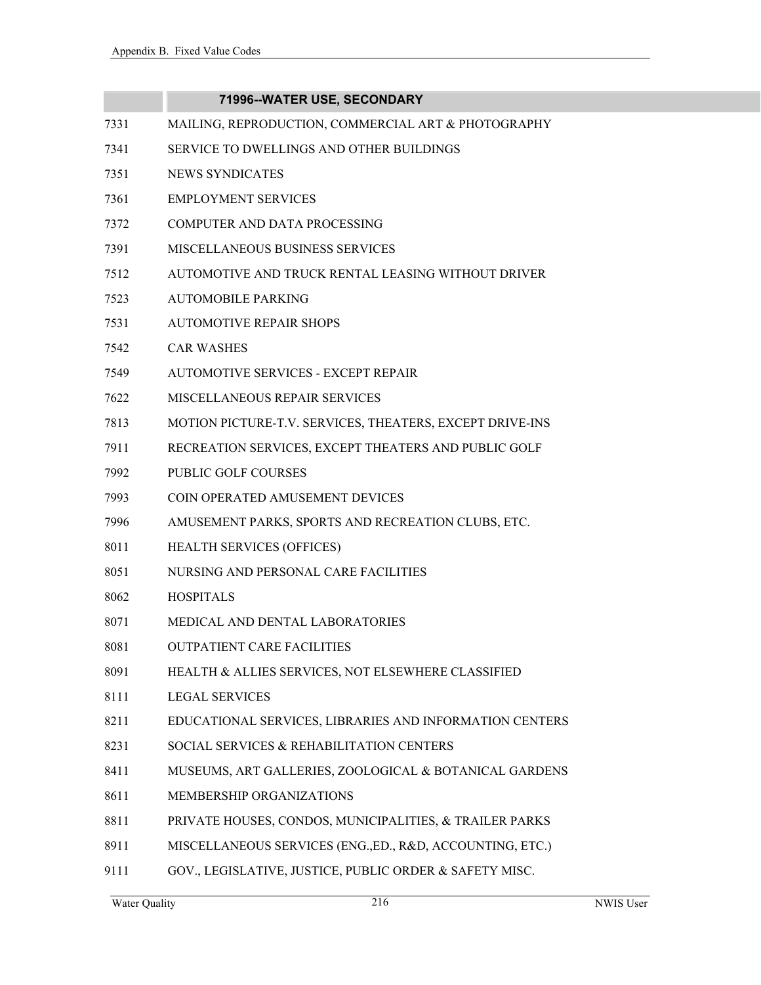|      | 71996--WATER USE, SECONDARY                               |
|------|-----------------------------------------------------------|
| 7331 | MAILING, REPRODUCTION, COMMERCIAL ART & PHOTOGRAPHY       |
| 7341 | SERVICE TO DWELLINGS AND OTHER BUILDINGS                  |
| 7351 | <b>NEWS SYNDICATES</b>                                    |
| 7361 | <b>EMPLOYMENT SERVICES</b>                                |
| 7372 | COMPUTER AND DATA PROCESSING                              |
| 7391 | MISCELLANEOUS BUSINESS SERVICES                           |
| 7512 | AUTOMOTIVE AND TRUCK RENTAL LEASING WITHOUT DRIVER        |
| 7523 | <b>AUTOMOBILE PARKING</b>                                 |
| 7531 | <b>AUTOMOTIVE REPAIR SHOPS</b>                            |
| 7542 | <b>CAR WASHES</b>                                         |
| 7549 | AUTOMOTIVE SERVICES - EXCEPT REPAIR                       |
| 7622 | MISCELLANEOUS REPAIR SERVICES                             |
| 7813 | MOTION PICTURE-T.V. SERVICES, THEATERS, EXCEPT DRIVE-INS  |
| 7911 | RECREATION SERVICES, EXCEPT THEATERS AND PUBLIC GOLF      |
| 7992 | <b>PUBLIC GOLF COURSES</b>                                |
| 7993 | COIN OPERATED AMUSEMENT DEVICES                           |
| 7996 | AMUSEMENT PARKS, SPORTS AND RECREATION CLUBS, ETC.        |
| 8011 | HEALTH SERVICES (OFFICES)                                 |
| 8051 | NURSING AND PERSONAL CARE FACILITIES                      |
| 8062 | <b>HOSPITALS</b>                                          |
| 8071 | MEDICAL AND DENTAL LABORATORIES                           |
| 8081 | <b>OUTPATIENT CARE FACILITIES</b>                         |
| 8091 | HEALTH & ALLIES SERVICES, NOT ELSEWHERE CLASSIFIED        |
| 8111 | <b>LEGAL SERVICES</b>                                     |
| 8211 | EDUCATIONAL SERVICES, LIBRARIES AND INFORMATION CENTERS   |
| 8231 | SOCIAL SERVICES & REHABILITATION CENTERS                  |
| 8411 | MUSEUMS, ART GALLERIES, ZOOLOGICAL & BOTANICAL GARDENS    |
| 8611 | MEMBERSHIP ORGANIZATIONS                                  |
| 8811 | PRIVATE HOUSES, CONDOS, MUNICIPALITIES, & TRAILER PARKS   |
| 8911 | MISCELLANEOUS SERVICES (ENG., ED., R&D, ACCOUNTING, ETC.) |
| 9111 | GOV., LEGISLATIVE, JUSTICE, PUBLIC ORDER & SAFETY MISC.   |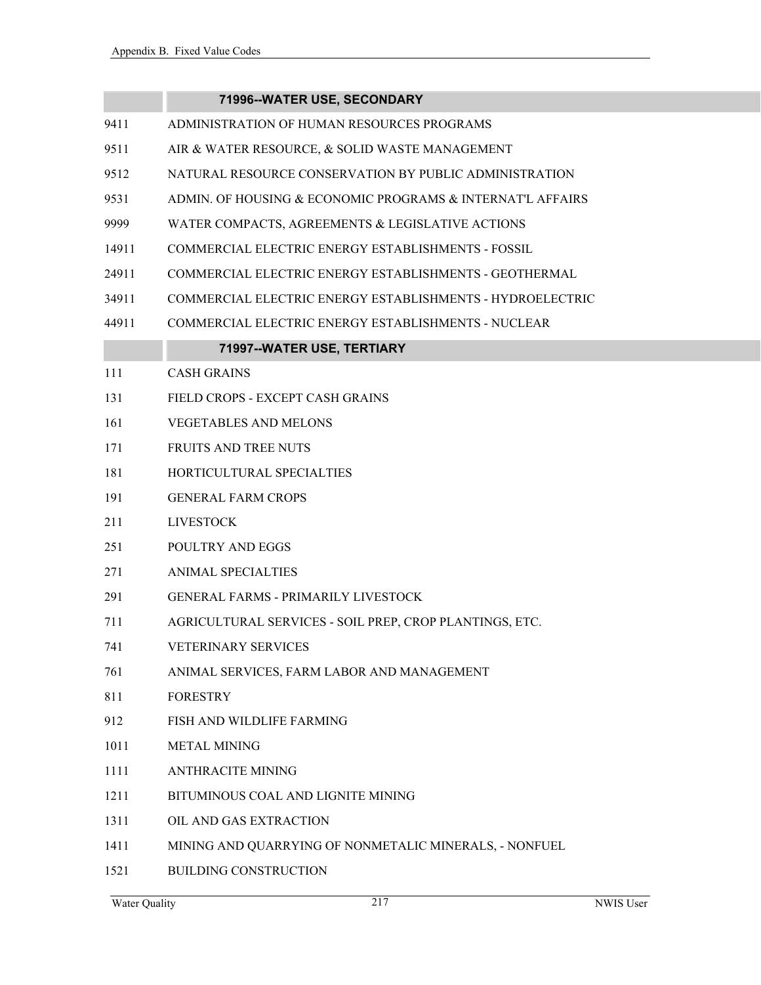### **71996--WATER USE, SECONDARY**

- 9411 ADMINISTRATION OF HUMAN RESOURCES PROGRAMS
- 9511 AIR & WATER RESOURCE, & SOLID WASTE MANAGEMENT
- 9512 NATURAL RESOURCE CONSERVATION BY PUBLIC ADMINISTRATION
- 9531 ADMIN. OF HOUSING & ECONOMIC PROGRAMS & INTERNAT'L AFFAIRS
- 9999 WATER COMPACTS, AGREEMENTS & LEGISLATIVE ACTIONS
- 14911 COMMERCIAL ELECTRIC ENERGY ESTABLISHMENTS FOSSIL
- 24911 COMMERCIAL ELECTRIC ENERGY ESTABLISHMENTS GEOTHERMAL
- 34911 COMMERCIAL ELECTRIC ENERGY ESTABLISHMENTS HYDROELECTRIC
- 44911 COMMERCIAL ELECTRIC ENERGY ESTABLISHMENTS NUCLEAR

### **71997--WATER USE, TERTIARY**

- 111 CASH GRAINS
- 131 FIELD CROPS EXCEPT CASH GRAINS
- 161 VEGETABLES AND MELONS
- 171 FRUITS AND TREE NUTS
- 181 HORTICULTURAL SPECIALTIES
- 191 GENERAL FARM CROPS
- 211 LIVESTOCK
- 251 POULTRY AND EGGS
- 271 ANIMAL SPECIALTIES
- 291 GENERAL FARMS PRIMARILY LIVESTOCK
- 711 AGRICULTURAL SERVICES SOIL PREP, CROP PLANTINGS, ETC.
- 741 VETERINARY SERVICES
- 761 ANIMAL SERVICES, FARM LABOR AND MANAGEMENT
- 811 FORESTRY
- 912 FISH AND WILDLIFE FARMING
- 1011 METAL MINING
- 1111 ANTHRACITE MINING
- 1211 BITUMINOUS COAL AND LIGNITE MINING
- 1311 OIL AND GAS EXTRACTION
- 1411 MINING AND QUARRYING OF NONMETALIC MINERALS, NONFUEL
- 1521 BUILDING CONSTRUCTION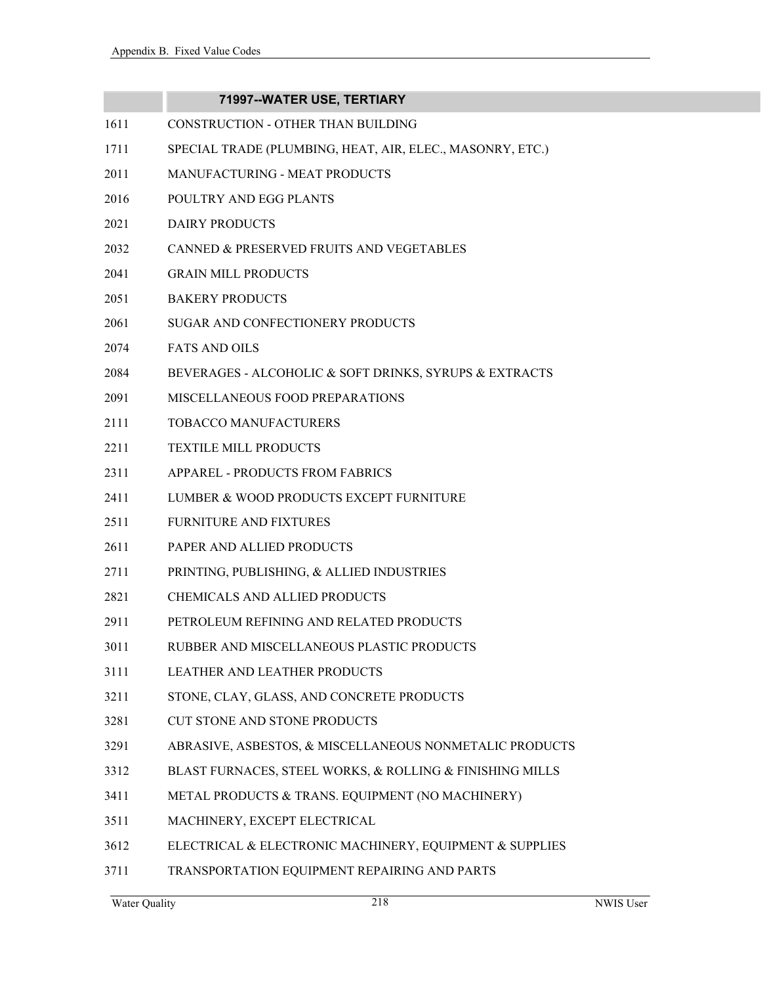## **71997--WATER USE, TERTIARY**

- 1611 CONSTRUCTION OTHER THAN BUILDING
- 1711 SPECIAL TRADE (PLUMBING, HEAT, AIR, ELEC., MASONRY, ETC.)
- 2011 MANUFACTURING MEAT PRODUCTS
- 2016 POULTRY AND EGG PLANTS
- 2021 DAIRY PRODUCTS
- 2032 CANNED & PRESERVED FRUITS AND VEGETABLES
- 2041 GRAIN MILL PRODUCTS
- 2051 BAKERY PRODUCTS
- 2061 SUGAR AND CONFECTIONERY PRODUCTS
- 2074 FATS AND OILS
- 2084 BEVERAGES ALCOHOLIC & SOFT DRINKS, SYRUPS & EXTRACTS
- 2091 MISCELLANEOUS FOOD PREPARATIONS
- 2111 TOBACCO MANUFACTURERS
- 2211 TEXTILE MILL PRODUCTS
- 2311 APPAREL PRODUCTS FROM FABRICS
- 2411 LUMBER & WOOD PRODUCTS EXCEPT FURNITURE
- 2511 FURNITURE AND FIXTURES
- 2611 PAPER AND ALLIED PRODUCTS
- 2711 PRINTING, PUBLISHING, & ALLIED INDUSTRIES
- 2821 CHEMICALS AND ALLIED PRODUCTS
- 2911 PETROLEUM REFINING AND RELATED PRODUCTS
- 3011 RUBBER AND MISCELLANEOUS PLASTIC PRODUCTS
- 3111 LEATHER AND LEATHER PRODUCTS
- 3211 STONE, CLAY, GLASS, AND CONCRETE PRODUCTS
- 3281 CUT STONE AND STONE PRODUCTS
- 3291 ABRASIVE, ASBESTOS, & MISCELLANEOUS NONMETALIC PRODUCTS
- 3312 BLAST FURNACES, STEEL WORKS, & ROLLING & FINISHING MILLS
- 3411 METAL PRODUCTS & TRANS. EQUIPMENT (NO MACHINERY)
- 3511 MACHINERY, EXCEPT ELECTRICAL
- 3612 ELECTRICAL & ELECTRONIC MACHINERY, EQUIPMENT & SUPPLIES
- 3711 TRANSPORTATION EQUIPMENT REPAIRING AND PARTS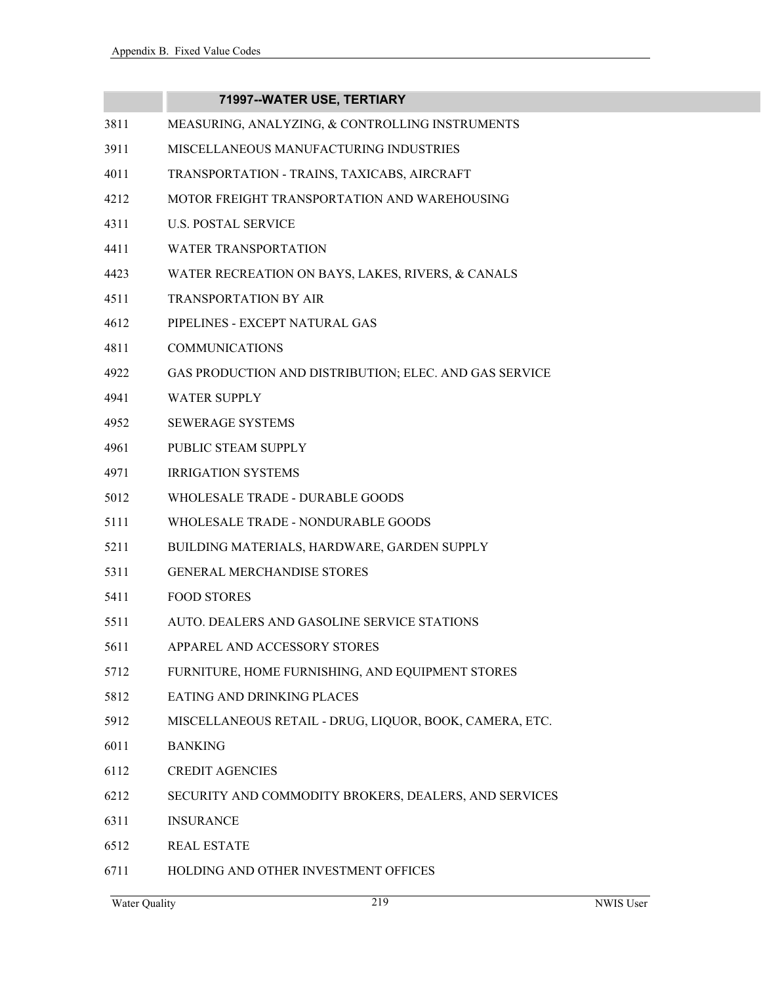|      | 71997--WATER USE, TERTIARY                              |
|------|---------------------------------------------------------|
| 3811 | MEASURING, ANALYZING, & CONTROLLING INSTRUMENTS         |
| 3911 | MISCELLANEOUS MANUFACTURING INDUSTRIES                  |
| 4011 | TRANSPORTATION - TRAINS, TAXICABS, AIRCRAFT             |
| 4212 | MOTOR FREIGHT TRANSPORTATION AND WAREHOUSING            |
| 4311 | <b>U.S. POSTAL SERVICE</b>                              |
| 4411 | <b>WATER TRANSPORTATION</b>                             |
| 4423 | WATER RECREATION ON BAYS, LAKES, RIVERS, & CANALS       |
| 4511 | <b>TRANSPORTATION BY AIR</b>                            |
| 4612 | PIPELINES - EXCEPT NATURAL GAS                          |
| 4811 | <b>COMMUNICATIONS</b>                                   |
| 4922 | GAS PRODUCTION AND DISTRIBUTION; ELEC. AND GAS SERVICE  |
| 4941 | <b>WATER SUPPLY</b>                                     |
| 4952 | <b>SEWERAGE SYSTEMS</b>                                 |
| 4961 | PUBLIC STEAM SUPPLY                                     |
| 4971 | <b>IRRIGATION SYSTEMS</b>                               |
| 5012 | WHOLESALE TRADE - DURABLE GOODS                         |
| 5111 | WHOLESALE TRADE - NONDURABLE GOODS                      |
| 5211 | BUILDING MATERIALS, HARDWARE, GARDEN SUPPLY             |
| 5311 | <b>GENERAL MERCHANDISE STORES</b>                       |
| 5411 | <b>FOOD STORES</b>                                      |
| 5511 | AUTO. DEALERS AND GASOLINE SERVICE STATIONS             |
| 5611 | APPAREL AND ACCESSORY STORES                            |
| 5712 | FURNITURE, HOME FURNISHING, AND EQUIPMENT STORES        |
| 5812 | EATING AND DRINKING PLACES                              |
| 5912 | MISCELLANEOUS RETAIL - DRUG, LIQUOR, BOOK, CAMERA, ETC. |
| 6011 | <b>BANKING</b>                                          |
| 6112 | <b>CREDIT AGENCIES</b>                                  |
| 6212 | SECURITY AND COMMODITY BROKERS, DEALERS, AND SERVICES   |
| 6311 | <b>INSURANCE</b>                                        |
| 6512 | <b>REAL ESTATE</b>                                      |
| 6711 | HOLDING AND OTHER INVESTMENT OFFICES                    |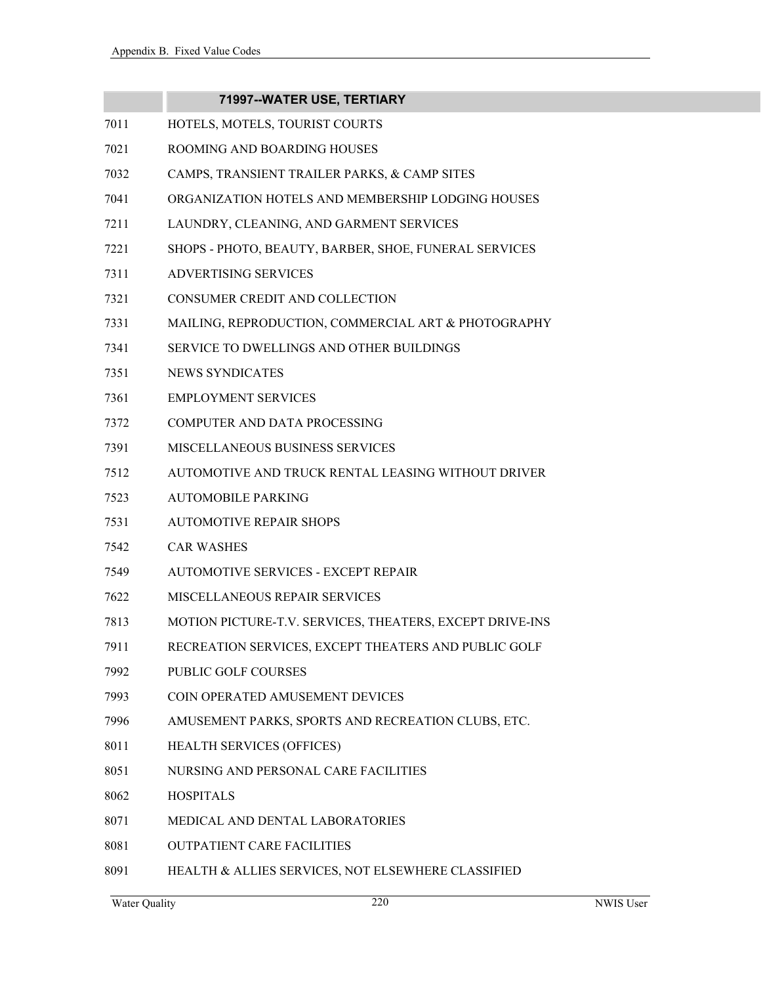|      | 71997--WATER USE, TERTIARY                               |
|------|----------------------------------------------------------|
| 7011 | HOTELS, MOTELS, TOURIST COURTS                           |
| 7021 | ROOMING AND BOARDING HOUSES                              |
| 7032 | CAMPS, TRANSIENT TRAILER PARKS, & CAMP SITES             |
| 7041 | ORGANIZATION HOTELS AND MEMBERSHIP LODGING HOUSES        |
| 7211 | LAUNDRY, CLEANING, AND GARMENT SERVICES                  |
| 7221 | SHOPS - PHOTO, BEAUTY, BARBER, SHOE, FUNERAL SERVICES    |
| 7311 | <b>ADVERTISING SERVICES</b>                              |
| 7321 | CONSUMER CREDIT AND COLLECTION                           |
| 7331 | MAILING, REPRODUCTION, COMMERCIAL ART & PHOTOGRAPHY      |
| 7341 | <b>SERVICE TO DWELLINGS AND OTHER BUILDINGS</b>          |
| 7351 | <b>NEWS SYNDICATES</b>                                   |
| 7361 | <b>EMPLOYMENT SERVICES</b>                               |
| 7372 | <b>COMPUTER AND DATA PROCESSING</b>                      |
| 7391 | MISCELLANEOUS BUSINESS SERVICES                          |
| 7512 | AUTOMOTIVE AND TRUCK RENTAL LEASING WITHOUT DRIVER       |
| 7523 | <b>AUTOMOBILE PARKING</b>                                |
| 7531 | <b>AUTOMOTIVE REPAIR SHOPS</b>                           |
| 7542 | <b>CAR WASHES</b>                                        |
| 7549 | AUTOMOTIVE SERVICES - EXCEPT REPAIR                      |
| 7622 | MISCELLANEOUS REPAIR SERVICES                            |
| 7813 | MOTION PICTURE-T.V. SERVICES, THEATERS, EXCEPT DRIVE-INS |
| 7911 | RECREATION SERVICES, EXCEPT THEATERS AND PUBLIC GOLF     |
| 7992 | PUBLIC GOLF COURSES                                      |
| 7993 | COIN OPERATED AMUSEMENT DEVICES                          |
| 7996 | AMUSEMENT PARKS, SPORTS AND RECREATION CLUBS, ETC.       |
| 8011 | <b>HEALTH SERVICES (OFFICES)</b>                         |
| 8051 | NURSING AND PERSONAL CARE FACILITIES                     |
| 8062 | <b>HOSPITALS</b>                                         |
| 8071 | MEDICAL AND DENTAL LABORATORIES                          |
| 8081 | <b>OUTPATIENT CARE FACILITIES</b>                        |

8091 HEALTH & ALLIES SERVICES, NOT ELSEWHERE CLASSIFIED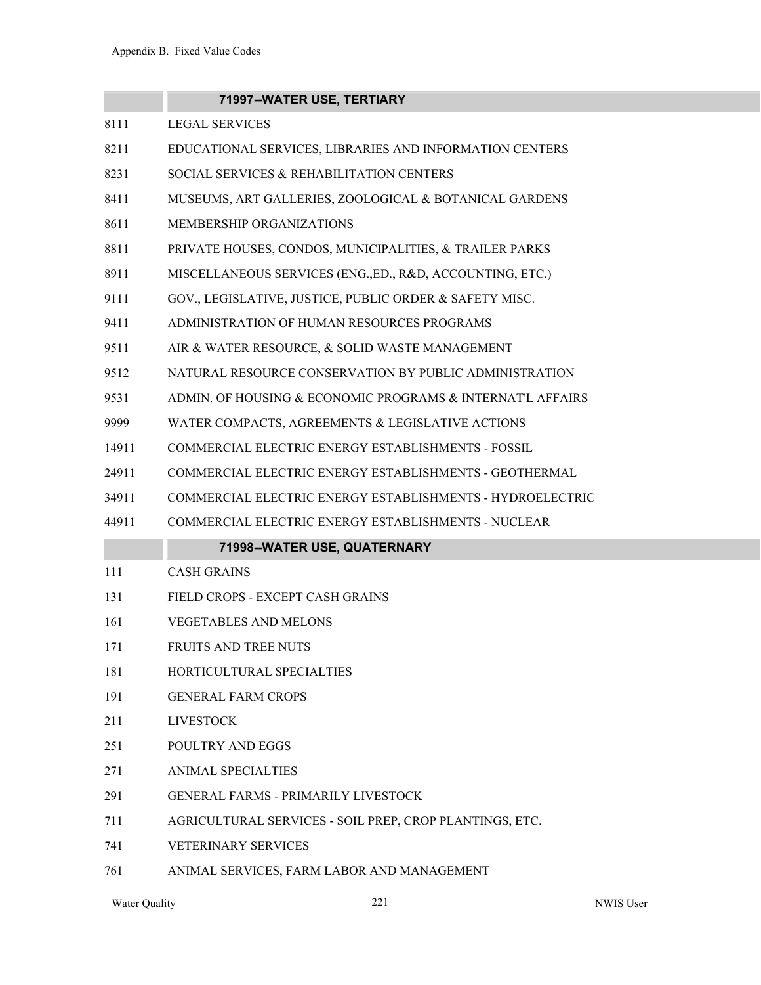|       | 71997--WATER USE, TERTIARY                                 |
|-------|------------------------------------------------------------|
| 8111  | <b>LEGAL SERVICES</b>                                      |
| 8211  | EDUCATIONAL SERVICES, LIBRARIES AND INFORMATION CENTERS    |
| 8231  | SOCIAL SERVICES & REHABILITATION CENTERS                   |
| 8411  | MUSEUMS, ART GALLERIES, ZOOLOGICAL & BOTANICAL GARDENS     |
| 8611  | MEMBERSHIP ORGANIZATIONS                                   |
| 8811  | PRIVATE HOUSES, CONDOS, MUNICIPALITIES, & TRAILER PARKS    |
| 8911  | MISCELLANEOUS SERVICES (ENG., ED., R&D, ACCOUNTING, ETC.)  |
| 9111  | GOV., LEGISLATIVE, JUSTICE, PUBLIC ORDER & SAFETY MISC.    |
| 9411  | ADMINISTRATION OF HUMAN RESOURCES PROGRAMS                 |
| 9511  | AIR & WATER RESOURCE, & SOLID WASTE MANAGEMENT             |
| 9512  | NATURAL RESOURCE CONSERVATION BY PUBLIC ADMINISTRATION     |
| 9531  | ADMIN. OF HOUSING & ECONOMIC PROGRAMS & INTERNAT'L AFFAIRS |
| 9999  | WATER COMPACTS, AGREEMENTS & LEGISLATIVE ACTIONS           |
| 14911 | COMMERCIAL ELECTRIC ENERGY ESTABLISHMENTS - FOSSIL         |
| 24911 | COMMERCIAL ELECTRIC ENERGY ESTABLISHMENTS - GEOTHERMAL     |
| 34911 | COMMERCIAL ELECTRIC ENERGY ESTABLISHMENTS - HYDROELECTRIC  |
| 44911 | COMMERCIAL ELECTRIC ENERGY ESTABLISHMENTS - NUCLEAR        |
|       | 71998--WATER USE, QUATERNARY                               |
| 111   | <b>CASH GRAINS</b>                                         |
| 131   | FIELD CROPS - EXCEPT CASH GRAINS                           |
| 161   | <b>VEGETABLES AND MELONS</b>                               |
| 171   | FRUITS AND TREE NUTS                                       |
| 181   | HORTICULTURAL SPECIALTIES                                  |
| 191   | <b>GENERAL FARM CROPS</b>                                  |
| 211   | <b>LIVESTOCK</b>                                           |
| 251   | POULTRY AND EGGS                                           |
| 271   | <b>ANIMAL SPECIALTIES</b>                                  |
| 291   | <b>GENERAL FARMS - PRIMARILY LIVESTOCK</b>                 |
| 711   | AGRICULTURAL SERVICES - SOIL PREP, CROP PLANTINGS, ETC.    |
| 741   | <b>VETERINARY SERVICES</b>                                 |
|       |                                                            |

761 ANIMAL SERVICES, FARM LABOR AND MANAGEMENT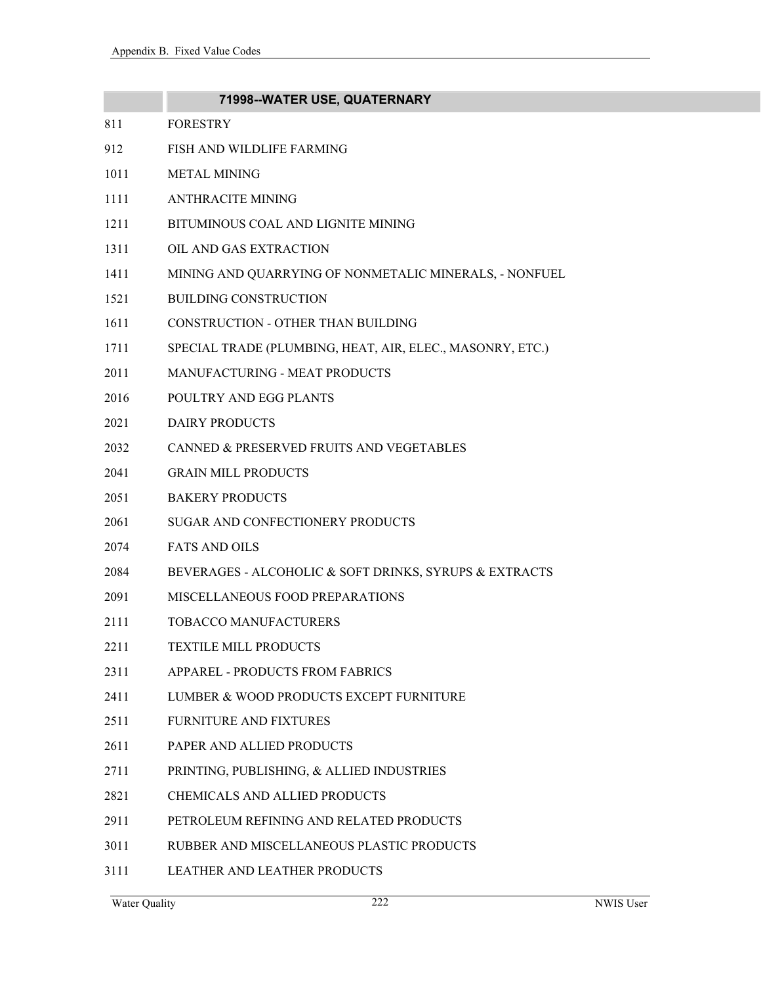|      | 71998--WATER USE, QUATERNARY                              |
|------|-----------------------------------------------------------|
| 811  | <b>FORESTRY</b>                                           |
| 912  | FISH AND WILDLIFE FARMING                                 |
| 1011 | <b>METAL MINING</b>                                       |
| 1111 | <b>ANTHRACITE MINING</b>                                  |
| 1211 | BITUMINOUS COAL AND LIGNITE MINING                        |
| 1311 | OIL AND GAS EXTRACTION                                    |
| 1411 | MINING AND QUARRYING OF NONMETALIC MINERALS, - NONFUEL    |
| 1521 | <b>BUILDING CONSTRUCTION</b>                              |
| 1611 | CONSTRUCTION - OTHER THAN BUILDING                        |
| 1711 | SPECIAL TRADE (PLUMBING, HEAT, AIR, ELEC., MASONRY, ETC.) |
| 2011 | MANUFACTURING - MEAT PRODUCTS                             |
| 2016 | POULTRY AND EGG PLANTS                                    |
| 2021 | <b>DAIRY PRODUCTS</b>                                     |
| 2032 | CANNED & PRESERVED FRUITS AND VEGETABLES                  |
| 2041 | <b>GRAIN MILL PRODUCTS</b>                                |
| 2051 | <b>BAKERY PRODUCTS</b>                                    |
| 2061 | SUGAR AND CONFECTIONERY PRODUCTS                          |
| 2074 | <b>FATS AND OILS</b>                                      |
| 2084 | BEVERAGES - ALCOHOLIC & SOFT DRINKS, SYRUPS & EXTRACTS    |
| 2091 | MISCELLANEOUS FOOD PREPARATIONS                           |
| 2111 | <b>TOBACCO MANUFACTURERS</b>                              |
| 2211 | <b>TEXTILE MILL PRODUCTS</b>                              |
| 2311 | APPAREL - PRODUCTS FROM FABRICS                           |
| 2411 | LUMBER & WOOD PRODUCTS EXCEPT FURNITURE                   |
| 2511 | <b>FURNITURE AND FIXTURES</b>                             |
| 2611 | PAPER AND ALLIED PRODUCTS                                 |
| 2711 | PRINTING, PUBLISHING, & ALLIED INDUSTRIES                 |
| 2821 | <b>CHEMICALS AND ALLIED PRODUCTS</b>                      |
| 2911 | PETROLEUM REFINING AND RELATED PRODUCTS                   |
| 3011 | RUBBER AND MISCELLANEOUS PLASTIC PRODUCTS                 |
| 3111 | LEATHER AND LEATHER PRODUCTS                              |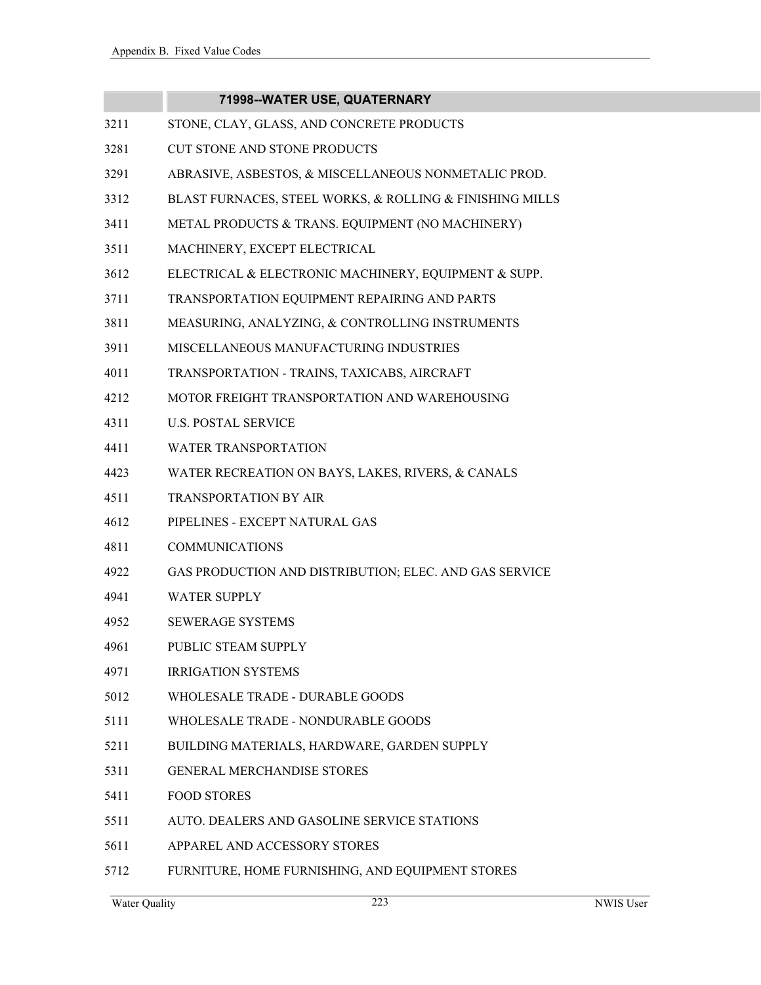|      | 71998--WATER USE, QUATERNARY                             |
|------|----------------------------------------------------------|
| 3211 | STONE, CLAY, GLASS, AND CONCRETE PRODUCTS                |
| 3281 | <b>CUT STONE AND STONE PRODUCTS</b>                      |
| 3291 | ABRASIVE, ASBESTOS, & MISCELLANEOUS NONMETALIC PROD.     |
| 3312 | BLAST FURNACES, STEEL WORKS, & ROLLING & FINISHING MILLS |
| 3411 | METAL PRODUCTS & TRANS. EQUIPMENT (NO MACHINERY)         |
| 3511 | MACHINERY, EXCEPT ELECTRICAL                             |
| 3612 | ELECTRICAL & ELECTRONIC MACHINERY, EQUIPMENT & SUPP.     |
| 3711 | TRANSPORTATION EQUIPMENT REPAIRING AND PARTS             |
| 3811 | MEASURING, ANALYZING, & CONTROLLING INSTRUMENTS          |
| 3911 | MISCELLANEOUS MANUFACTURING INDUSTRIES                   |
| 4011 | TRANSPORTATION - TRAINS, TAXICABS, AIRCRAFT              |
| 4212 | MOTOR FREIGHT TRANSPORTATION AND WAREHOUSING             |
| 4311 | <b>U.S. POSTAL SERVICE</b>                               |
| 4411 | <b>WATER TRANSPORTATION</b>                              |
| 4423 | WATER RECREATION ON BAYS, LAKES, RIVERS, & CANALS        |
| 4511 | TRANSPORTATION BY AIR                                    |
| 4612 | PIPELINES - EXCEPT NATURAL GAS                           |
| 4811 | <b>COMMUNICATIONS</b>                                    |
| 4922 | GAS PRODUCTION AND DISTRIBUTION; ELEC. AND GAS SERVICE   |
| 4941 | <b>WATER SUPPLY</b>                                      |
| 4952 | <b>SEWERAGE SYSTEMS</b>                                  |
| 4961 | PUBLIC STEAM SUPPLY                                      |
| 4971 | <b>IRRIGATION SYSTEMS</b>                                |
| 5012 | WHOLESALE TRADE - DURABLE GOODS                          |
| 5111 | WHOLESALE TRADE - NONDURABLE GOODS                       |
| 5211 | BUILDING MATERIALS, HARDWARE, GARDEN SUPPLY              |
| 5311 | <b>GENERAL MERCHANDISE STORES</b>                        |
| 5411 | <b>FOOD STORES</b>                                       |
| 5511 | AUTO. DEALERS AND GASOLINE SERVICE STATIONS              |
| 5611 | APPAREL AND ACCESSORY STORES                             |
| 5712 | FURNITURE, HOME FURNISHING, AND EQUIPMENT STORES         |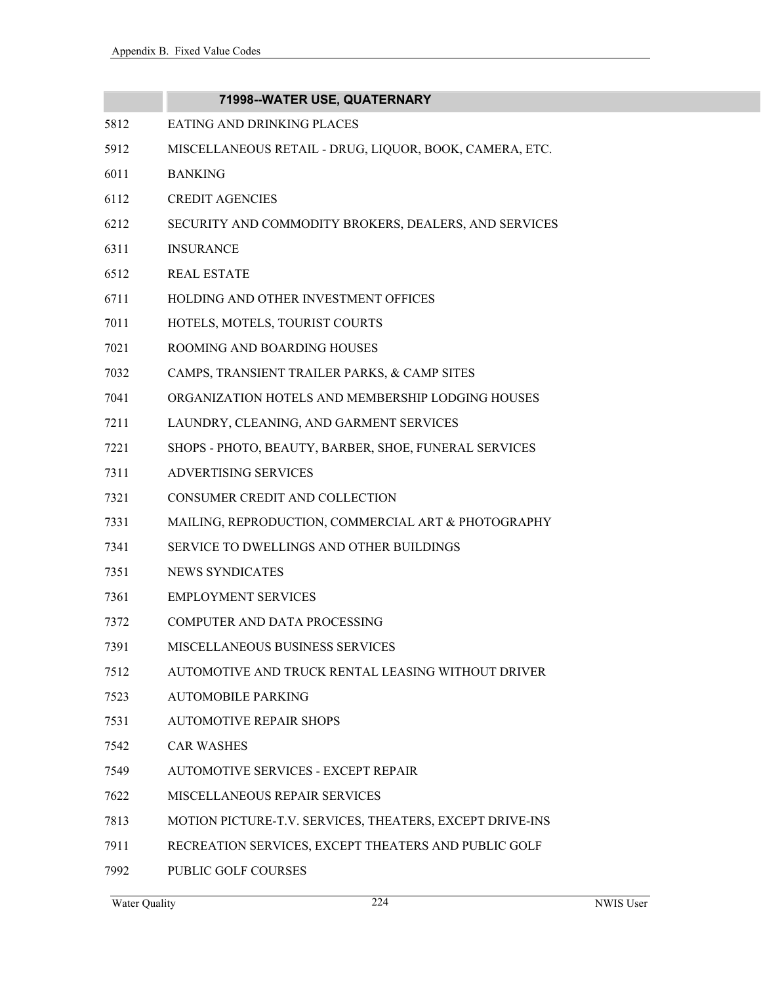|      | 71998--WATER USE, QUATERNARY                             |
|------|----------------------------------------------------------|
| 5812 | EATING AND DRINKING PLACES                               |
| 5912 | MISCELLANEOUS RETAIL - DRUG, LIQUOR, BOOK, CAMERA, ETC.  |
| 6011 | <b>BANKING</b>                                           |
| 6112 | <b>CREDIT AGENCIES</b>                                   |
| 6212 | SECURITY AND COMMODITY BROKERS, DEALERS, AND SERVICES    |
| 6311 | <b>INSURANCE</b>                                         |
| 6512 | <b>REAL ESTATE</b>                                       |
| 6711 | HOLDING AND OTHER INVESTMENT OFFICES                     |
| 7011 | HOTELS, MOTELS, TOURIST COURTS                           |
| 7021 | ROOMING AND BOARDING HOUSES                              |
| 7032 | CAMPS, TRANSIENT TRAILER PARKS, & CAMP SITES             |
| 7041 | ORGANIZATION HOTELS AND MEMBERSHIP LODGING HOUSES        |
| 7211 | LAUNDRY, CLEANING, AND GARMENT SERVICES                  |
| 7221 | SHOPS - PHOTO, BEAUTY, BARBER, SHOE, FUNERAL SERVICES    |
| 7311 | <b>ADVERTISING SERVICES</b>                              |
| 7321 | CONSUMER CREDIT AND COLLECTION                           |
| 7331 | MAILING, REPRODUCTION, COMMERCIAL ART & PHOTOGRAPHY      |
| 7341 | SERVICE TO DWELLINGS AND OTHER BUILDINGS                 |
| 7351 | NEWS SYNDICATES                                          |
| 7361 | <b>EMPLOYMENT SERVICES</b>                               |
| 7372 | <b>COMPUTER AND DATA PROCESSING</b>                      |
| 7391 | <b>MISCELLANEOUS BUSINESS SERVICES</b>                   |
| 7512 | AUTOMOTIVE AND TRUCK RENTAL LEASING WITHOUT DRIVER       |
| 7523 | <b>AUTOMOBILE PARKING</b>                                |
| 7531 | <b>AUTOMOTIVE REPAIR SHOPS</b>                           |
| 7542 | <b>CAR WASHES</b>                                        |
| 7549 | <b>AUTOMOTIVE SERVICES - EXCEPT REPAIR</b>               |
| 7622 | MISCELLANEOUS REPAIR SERVICES                            |
| 7813 | MOTION PICTURE-T.V. SERVICES, THEATERS, EXCEPT DRIVE-INS |
| 7911 | RECREATION SERVICES, EXCEPT THEATERS AND PUBLIC GOLF     |
| 7992 | PUBLIC GOLF COURSES                                      |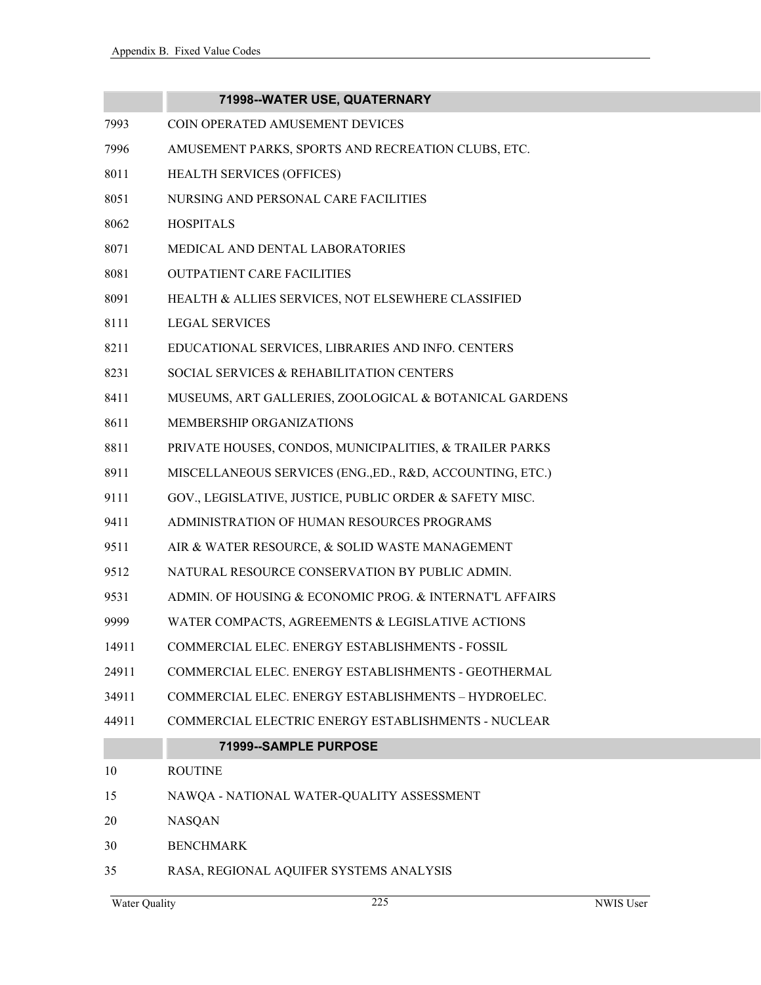|       | 71998--WATER USE, QUATERNARY                              |
|-------|-----------------------------------------------------------|
| 7993  | COIN OPERATED AMUSEMENT DEVICES                           |
| 7996  | AMUSEMENT PARKS, SPORTS AND RECREATION CLUBS, ETC.        |
| 8011  | HEALTH SERVICES (OFFICES)                                 |
| 8051  | NURSING AND PERSONAL CARE FACILITIES                      |
| 8062  | <b>HOSPITALS</b>                                          |
| 8071  | MEDICAL AND DENTAL LABORATORIES                           |
| 8081  | <b>OUTPATIENT CARE FACILITIES</b>                         |
| 8091  | HEALTH & ALLIES SERVICES, NOT ELSEWHERE CLASSIFIED        |
| 8111  | <b>LEGAL SERVICES</b>                                     |
| 8211  | EDUCATIONAL SERVICES, LIBRARIES AND INFO. CENTERS         |
| 8231  | SOCIAL SERVICES & REHABILITATION CENTERS                  |
| 8411  | MUSEUMS, ART GALLERIES, ZOOLOGICAL & BOTANICAL GARDENS    |
| 8611  | MEMBERSHIP ORGANIZATIONS                                  |
| 8811  | PRIVATE HOUSES, CONDOS, MUNICIPALITIES, & TRAILER PARKS   |
| 8911  | MISCELLANEOUS SERVICES (ENG., ED., R&D, ACCOUNTING, ETC.) |
| 9111  | GOV., LEGISLATIVE, JUSTICE, PUBLIC ORDER & SAFETY MISC.   |
| 9411  | ADMINISTRATION OF HUMAN RESOURCES PROGRAMS                |
| 9511  | AIR & WATER RESOURCE, & SOLID WASTE MANAGEMENT            |
| 9512  | NATURAL RESOURCE CONSERVATION BY PUBLIC ADMIN.            |
| 9531  | ADMIN. OF HOUSING & ECONOMIC PROG. & INTERNAT'L AFFAIRS   |
| 9999  | WATER COMPACTS, AGREEMENTS & LEGISLATIVE ACTIONS          |
| 14911 | COMMERCIAL ELEC. ENERGY ESTABLISHMENTS - FOSSIL           |
| 24911 | COMMERCIAL ELEC. ENERGY ESTABLISHMENTS - GEOTHERMAL       |
| 34911 | COMMERCIAL ELEC. ENERGY ESTABLISHMENTS - HYDROELEC.       |
| 44911 | COMMERCIAL ELECTRIC ENERGY ESTABLISHMENTS - NUCLEAR       |
|       | 71999--SAMPLE PURPOSE                                     |
| 10    | <b>ROUTINE</b>                                            |
| 15    | NAWQA - NATIONAL WATER-QUALITY ASSESSMENT                 |
| 20    | <b>NASQAN</b>                                             |
| 30    | <b>BENCHMARK</b>                                          |
| 35    | RASA, REGIONAL AQUIFER SYSTEMS ANALYSIS                   |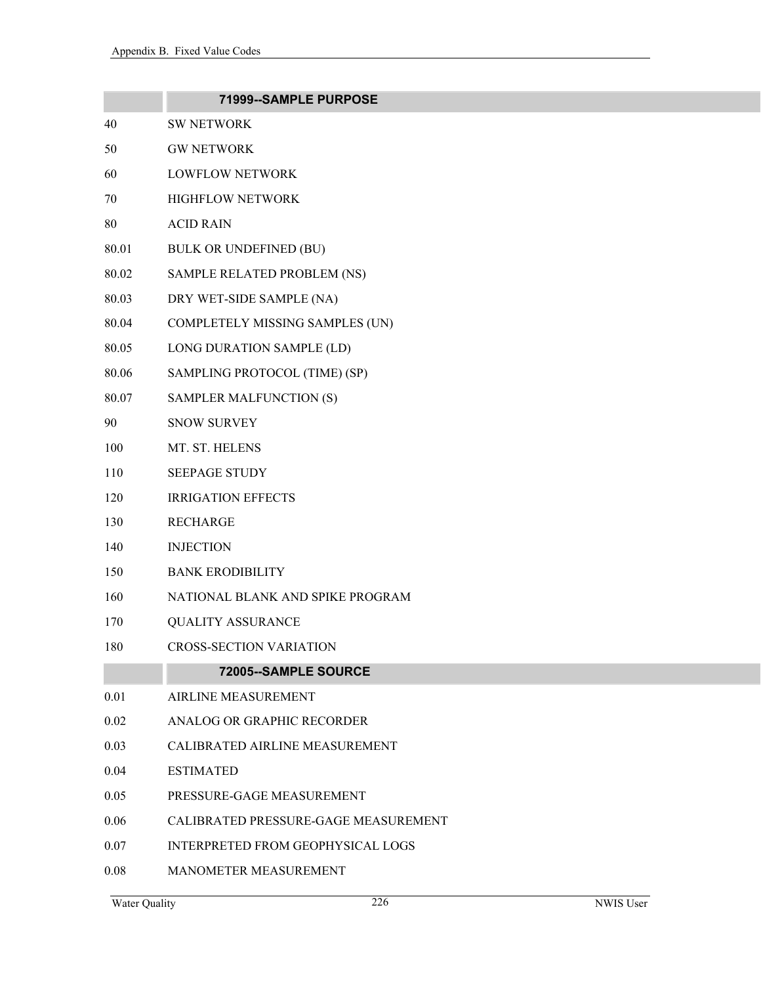|       | 71999--SAMPLE PURPOSE                 |
|-------|---------------------------------------|
| 40    | <b>SW NETWORK</b>                     |
| 50    | <b>GW NETWORK</b>                     |
| 60    | <b>LOWFLOW NETWORK</b>                |
| 70    | <b>HIGHFLOW NETWORK</b>               |
| 80    | <b>ACID RAIN</b>                      |
| 80.01 | <b>BULK OR UNDEFINED (BU)</b>         |
| 80.02 | SAMPLE RELATED PROBLEM (NS)           |
| 80.03 | DRY WET-SIDE SAMPLE (NA)              |
| 80.04 | COMPLETELY MISSING SAMPLES (UN)       |
| 80.05 | LONG DURATION SAMPLE (LD)             |
| 80.06 | SAMPLING PROTOCOL (TIME) (SP)         |
| 80.07 | SAMPLER MALFUNCTION (S)               |
| 90    | <b>SNOW SURVEY</b>                    |
| 100   | MT. ST. HELENS                        |
| 110   | <b>SEEPAGE STUDY</b>                  |
| 120   | <b>IRRIGATION EFFECTS</b>             |
| 130   | <b>RECHARGE</b>                       |
| 140   | <b>INJECTION</b>                      |
| 150   | <b>BANK ERODIBILITY</b>               |
| 160   | NATIONAL BLANK AND SPIKE PROGRAM      |
| 170   | <b>QUALITY ASSURANCE</b>              |
| 180   | <b>CROSS-SECTION VARIATION</b>        |
|       | 72005--SAMPLE SOURCE                  |
| 0.01  | <b>AIRLINE MEASUREMENT</b>            |
| 0.02  | ANALOG OR GRAPHIC RECORDER            |
| 0.03  | <b>CALIBRATED AIRLINE MEASUREMENT</b> |
| 0.04  | <b>ESTIMATED</b>                      |
| 0.05  | PRESSURE-GAGE MEASUREMENT             |
| 0.06  | CALIBRATED PRESSURE-GAGE MEASUREMENT  |
| 0.07  | INTERPRETED FROM GEOPHYSICAL LOGS     |
| 0.08  | <b>MANOMETER MEASUREMENT</b>          |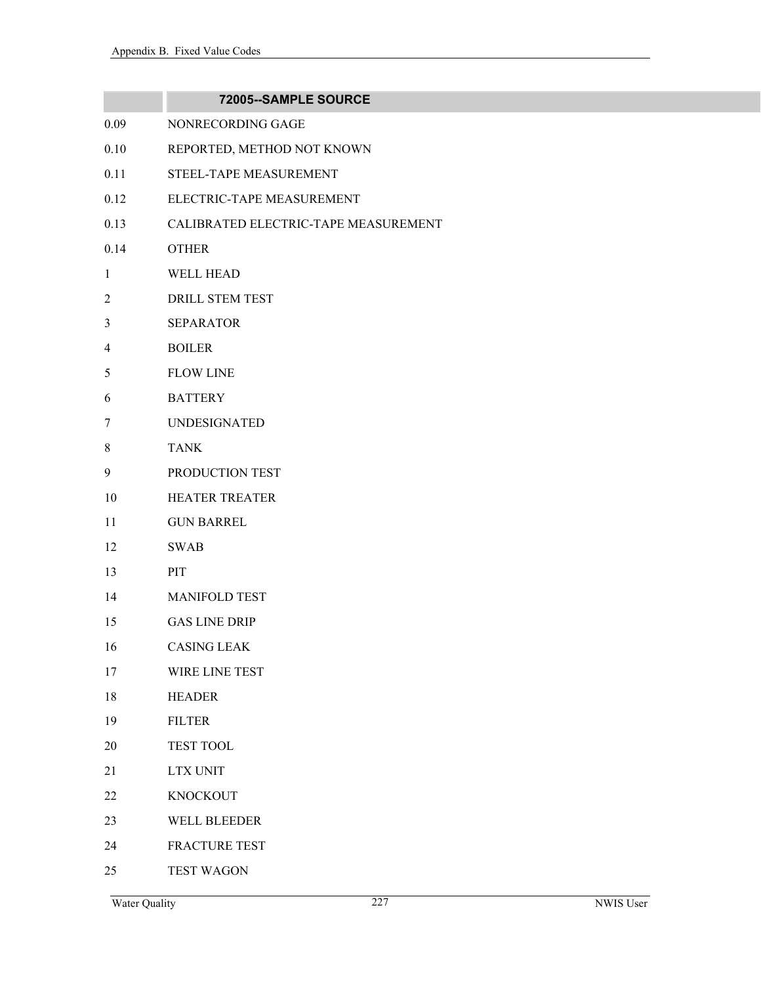|                | 72005--SAMPLE SOURCE                 |
|----------------|--------------------------------------|
| 0.09           | NONRECORDING GAGE                    |
| 0.10           | REPORTED, METHOD NOT KNOWN           |
| 0.11           | STEEL-TAPE MEASUREMENT               |
| 0.12           | ELECTRIC-TAPE MEASUREMENT            |
| 0.13           | CALIBRATED ELECTRIC-TAPE MEASUREMENT |
| 0.14           | <b>OTHER</b>                         |
| $\mathbf{1}$   | <b>WELL HEAD</b>                     |
| $\overline{2}$ | DRILL STEM TEST                      |
| 3              | <b>SEPARATOR</b>                     |
| $\overline{4}$ | <b>BOILER</b>                        |
| 5              | <b>FLOW LINE</b>                     |
| 6              | <b>BATTERY</b>                       |
| 7              | <b>UNDESIGNATED</b>                  |
| 8              | <b>TANK</b>                          |
| 9              | PRODUCTION TEST                      |
| 10             | <b>HEATER TREATER</b>                |
| 11             | <b>GUN BARREL</b>                    |
| 12             | <b>SWAB</b>                          |
| 13             | PIT                                  |
| 14             | <b>MANIFOLD TEST</b>                 |
| 15             | <b>GAS LINE DRIP</b>                 |
| 16             | <b>CASING LEAK</b>                   |
| 17             | WIRE LINE TEST                       |
| 18             | <b>HEADER</b>                        |
| 19             | <b>FILTER</b>                        |
| 20             | TEST TOOL                            |
| 21             | <b>LTX UNIT</b>                      |
| 22             | <b>KNOCKOUT</b>                      |
| 23             | WELL BLEEDER                         |
| 24             | FRACTURE TEST                        |
| 25             | <b>TEST WAGON</b>                    |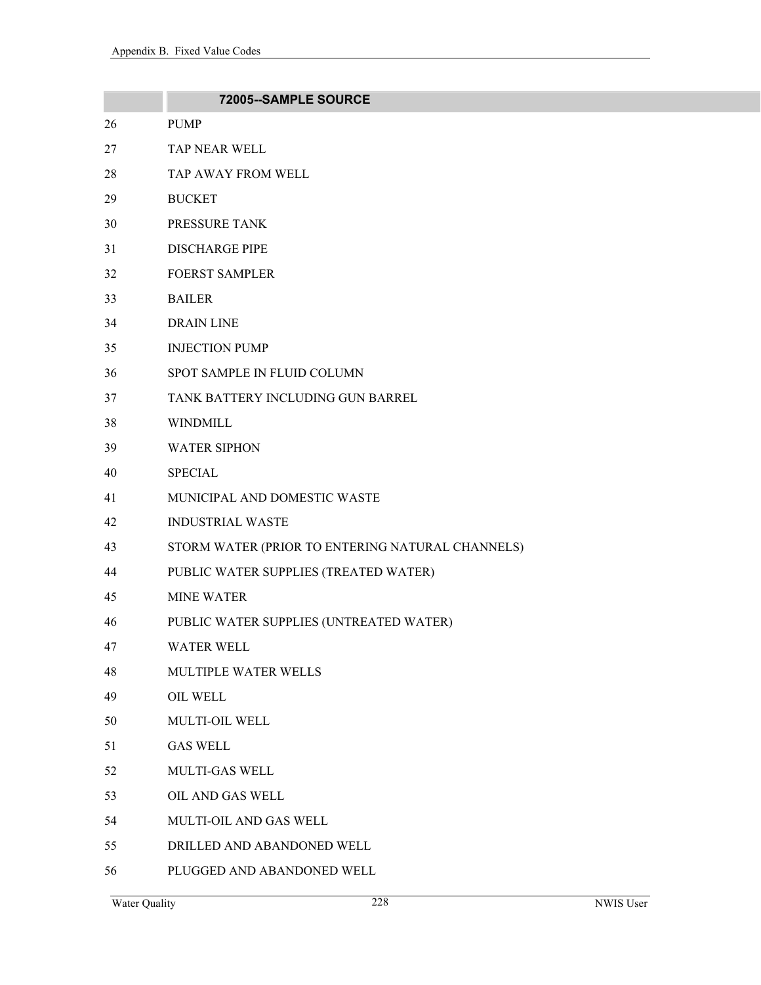|    | 72005--SAMPLE SOURCE                             |
|----|--------------------------------------------------|
| 26 | <b>PUMP</b>                                      |
| 27 | TAP NEAR WELL                                    |
| 28 | TAP AWAY FROM WELL                               |
| 29 | <b>BUCKET</b>                                    |
| 30 | PRESSURE TANK                                    |
| 31 | <b>DISCHARGE PIPE</b>                            |
| 32 | <b>FOERST SAMPLER</b>                            |
| 33 | <b>BAILER</b>                                    |
| 34 | <b>DRAIN LINE</b>                                |
| 35 | <b>INJECTION PUMP</b>                            |
| 36 | SPOT SAMPLE IN FLUID COLUMN                      |
| 37 | TANK BATTERY INCLUDING GUN BARREL                |
| 38 | <b>WINDMILL</b>                                  |
| 39 | <b>WATER SIPHON</b>                              |
| 40 | <b>SPECIAL</b>                                   |
| 41 | MUNICIPAL AND DOMESTIC WASTE                     |
| 42 | <b>INDUSTRIAL WASTE</b>                          |
| 43 | STORM WATER (PRIOR TO ENTERING NATURAL CHANNELS) |
| 44 | PUBLIC WATER SUPPLIES (TREATED WATER)            |
| 45 | <b>MINE WATER</b>                                |
| 46 | PUBLIC WATER SUPPLIES (UNTREATED WATER)          |
| 47 | WATER WELL                                       |
| 48 | MULTIPLE WATER WELLS                             |
| 49 | OIL WELL                                         |
| 50 | MULTI-OIL WELL                                   |
| 51 | <b>GAS WELL</b>                                  |
| 52 | <b>MULTI-GAS WELL</b>                            |
| 53 | OIL AND GAS WELL                                 |
| 54 | MULTI-OIL AND GAS WELL                           |
| 55 | DRILLED AND ABANDONED WELL                       |
| 56 | PLUGGED AND ABANDONED WELL                       |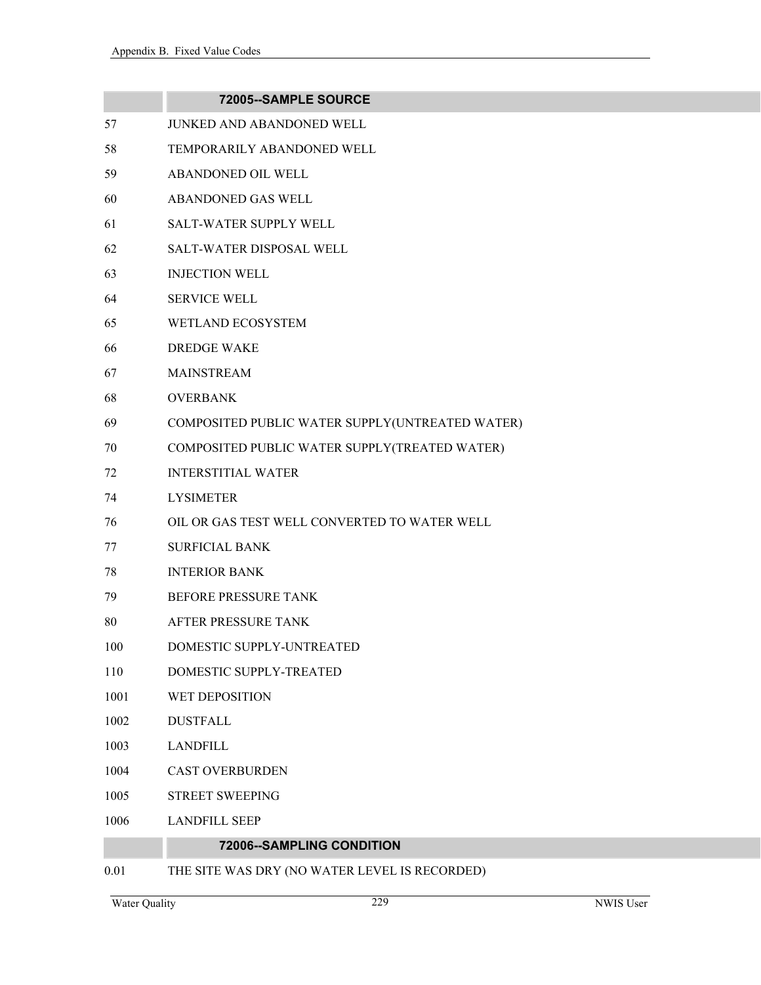|      | 72005--SAMPLE SOURCE                            |
|------|-------------------------------------------------|
| 57   | JUNKED AND ABANDONED WELL                       |
| 58   | TEMPORARILY ABANDONED WELL                      |
| 59   | ABANDONED OIL WELL                              |
| 60   | ABANDONED GAS WELL                              |
| 61   | <b>SALT-WATER SUPPLY WELL</b>                   |
| 62   | SALT-WATER DISPOSAL WELL                        |
| 63   | <b>INJECTION WELL</b>                           |
| 64   | <b>SERVICE WELL</b>                             |
| 65   | WETLAND ECOSYSTEM                               |
| 66   | <b>DREDGE WAKE</b>                              |
| 67   | <b>MAINSTREAM</b>                               |
| 68   | <b>OVERBANK</b>                                 |
| 69   | COMPOSITED PUBLIC WATER SUPPLY(UNTREATED WATER) |
| 70   | COMPOSITED PUBLIC WATER SUPPLY(TREATED WATER)   |
| 72   | <b>INTERSTITIAL WATER</b>                       |
| 74   | <b>LYSIMETER</b>                                |
| 76   | OIL OR GAS TEST WELL CONVERTED TO WATER WELL    |
| 77   | <b>SURFICIAL BANK</b>                           |
| 78   | <b>INTERIOR BANK</b>                            |
| 79   | <b>BEFORE PRESSURE TANK</b>                     |
| 80   | AFTER PRESSURE TANK                             |
| 100  | DOMESTIC SUPPLY-UNTREATED                       |
| 110  | DOMESTIC SUPPLY-TREATED                         |
| 1001 | WET DEPOSITION                                  |
| 1002 | <b>DUSTFALL</b>                                 |
| 1003 | <b>LANDFILL</b>                                 |
| 1004 | <b>CAST OVERBURDEN</b>                          |
| 1005 | <b>STREET SWEEPING</b>                          |
| 1006 | <b>LANDFILL SEEP</b>                            |
|      | 72006--SAMPLING CONDITION                       |
| 0.01 | THE SITE WAS DRY (NO WATER LEVEL IS RECORDED)   |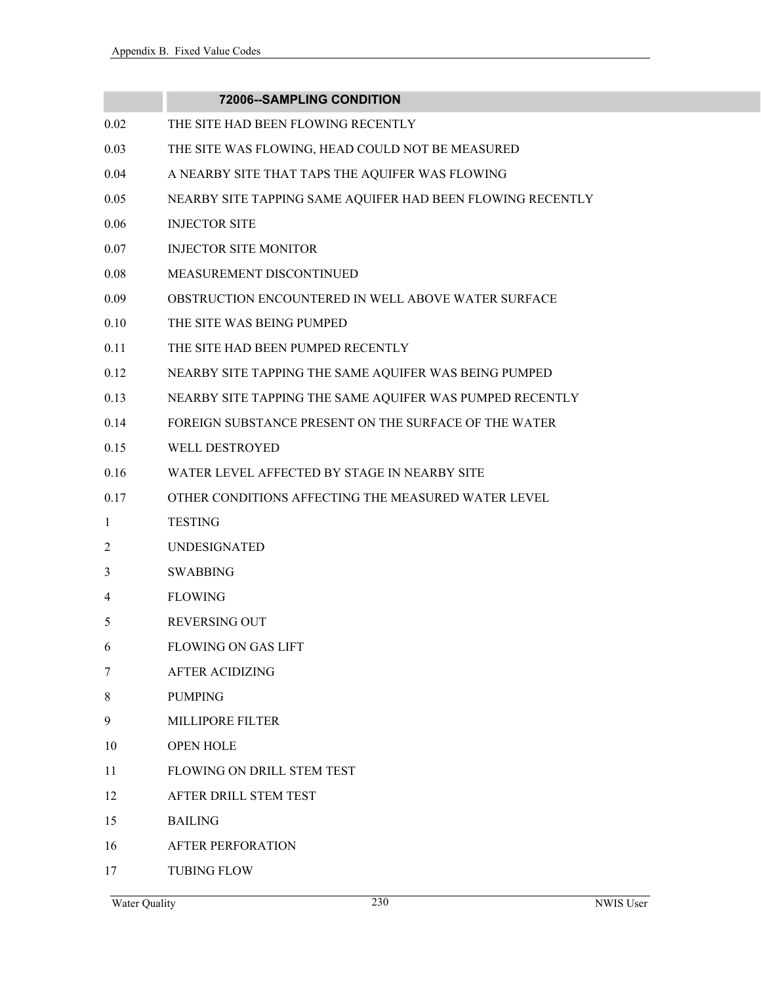|      | <b>72006--SAMPLING CONDITION</b>                           |
|------|------------------------------------------------------------|
| 0.02 | THE SITE HAD BEEN FLOWING RECENTLY                         |
| 0.03 | THE SITE WAS FLOWING, HEAD COULD NOT BE MEASURED           |
| 0.04 | A NEARBY SITE THAT TAPS THE AQUIFER WAS FLOWING            |
| 0.05 | NEARBY SITE TAPPING SAME AQUIFER HAD BEEN FLOWING RECENTLY |
| 0.06 | <b>INJECTOR SITE</b>                                       |
| 0.07 | <b>INJECTOR SITE MONITOR</b>                               |
| 0.08 | MEASUREMENT DISCONTINUED                                   |
| 0.09 | OBSTRUCTION ENCOUNTERED IN WELL ABOVE WATER SURFACE        |
| 0.10 | THE SITE WAS BEING PUMPED                                  |
| 0.11 | THE SITE HAD BEEN PUMPED RECENTLY                          |
| 0.12 | NEARBY SITE TAPPING THE SAME AQUIFER WAS BEING PUMPED      |
| 0.13 | NEARBY SITE TAPPING THE SAME AQUIFER WAS PUMPED RECENTLY   |
| 0.14 | FOREIGN SUBSTANCE PRESENT ON THE SURFACE OF THE WATER      |
| 0.15 | <b>WELL DESTROYED</b>                                      |
| 0.16 | WATER LEVEL AFFECTED BY STAGE IN NEARBY SITE               |
| 0.17 | OTHER CONDITIONS AFFECTING THE MEASURED WATER LEVEL        |
| 1    | <b>TESTING</b>                                             |
| 2    | <b>UNDESIGNATED</b>                                        |
| 3    | <b>SWABBING</b>                                            |
| 4    | <b>FLOWING</b>                                             |
| 5    | <b>REVERSING OUT</b>                                       |
| 6    | <b>FLOWING ON GAS LIFT</b>                                 |
| 7    | <b>AFTER ACIDIZING</b>                                     |
| 8    | <b>PUMPING</b>                                             |
| 9    | <b>MILLIPORE FILTER</b>                                    |
| 10   | <b>OPEN HOLE</b>                                           |
| 11   | <b>FLOWING ON DRILL STEM TEST</b>                          |
| 12   | AFTER DRILL STEM TEST                                      |
| 15   | <b>BAILING</b>                                             |
| 16   | <b>AFTER PERFORATION</b>                                   |
| 17   | <b>TUBING FLOW</b>                                         |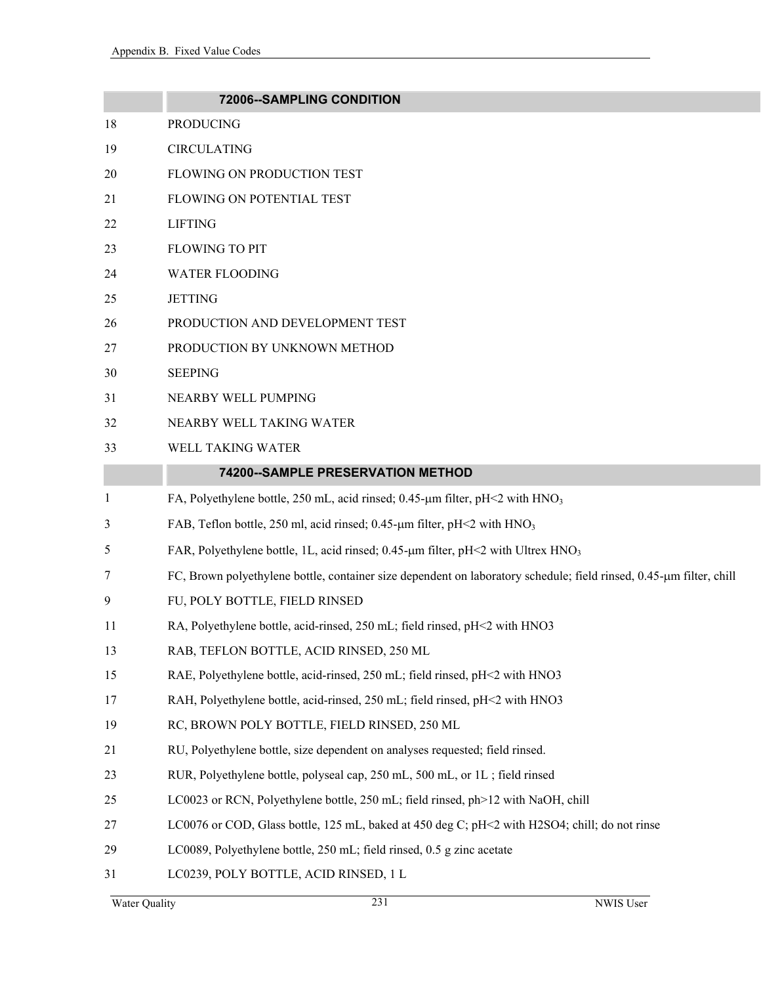|              | 72006--SAMPLING CONDITION                                                                                           |
|--------------|---------------------------------------------------------------------------------------------------------------------|
| 18           | <b>PRODUCING</b>                                                                                                    |
| 19           | <b>CIRCULATING</b>                                                                                                  |
| 20           | FLOWING ON PRODUCTION TEST                                                                                          |
| 21           | FLOWING ON POTENTIAL TEST                                                                                           |
| 22           | <b>LIFTING</b>                                                                                                      |
| 23           | <b>FLOWING TO PIT</b>                                                                                               |
| 24           | <b>WATER FLOODING</b>                                                                                               |
| 25           | <b>JETTING</b>                                                                                                      |
| 26           | PRODUCTION AND DEVELOPMENT TEST                                                                                     |
| 27           | PRODUCTION BY UNKNOWN METHOD                                                                                        |
| 30           | <b>SEEPING</b>                                                                                                      |
| 31           | NEARBY WELL PUMPING                                                                                                 |
| 32           | NEARBY WELL TAKING WATER                                                                                            |
| 33           | WELL TAKING WATER                                                                                                   |
|              | 74200--SAMPLE PRESERVATION METHOD                                                                                   |
| $\mathbf{1}$ | FA, Polyethylene bottle, 250 mL, acid rinsed; 0.45-µm filter, pH<2 with HNO <sub>3</sub>                            |
| 3            | FAB, Teflon bottle, 250 ml, acid rinsed; 0.45- $\mu$ m filter, pH<2 with HNO <sub>3</sub>                           |
| 5            | FAR, Polyethylene bottle, 1L, acid rinsed; 0.45-µm filter, pH<2 with Ultrex HNO <sub>3</sub>                        |
| 7            | FC, Brown polyethylene bottle, container size dependent on laboratory schedule; field rinsed, 0.45-µm filter, chill |
| 9            | FU, POLY BOTTLE, FIELD RINSED                                                                                       |
| 11           | RA, Polyethylene bottle, acid-rinsed, 250 mL; field rinsed, pH<2 with HNO3                                          |
| 13           | RAB, TEFLON BOTTLE, ACID RINSED, 250 ML                                                                             |
| 15           | RAE, Polyethylene bottle, acid-rinsed, 250 mL; field rinsed, pH<2 with HNO3                                         |
| 17           | RAH, Polyethylene bottle, acid-rinsed, 250 mL; field rinsed, pH<2 with HNO3                                         |
| 19           | RC, BROWN POLY BOTTLE, FIELD RINSED, 250 ML                                                                         |
| 21           | RU, Polyethylene bottle, size dependent on analyses requested; field rinsed.                                        |
| 23           | RUR, Polyethylene bottle, polyseal cap, 250 mL, 500 mL, or 1L; field rinsed                                         |
| 25           | LC0023 or RCN, Polyethylene bottle, 250 mL; field rinsed, ph>12 with NaOH, chill                                    |
| 27           | LC0076 or COD, Glass bottle, 125 mL, baked at 450 deg C; pH<2 with H2SO4; chill; do not rinse                       |
| 29           | LC0089, Polyethylene bottle, 250 mL; field rinsed, 0.5 g zinc acetate                                               |
| 31           | LC0239, POLY BOTTLE, ACID RINSED, 1 L                                                                               |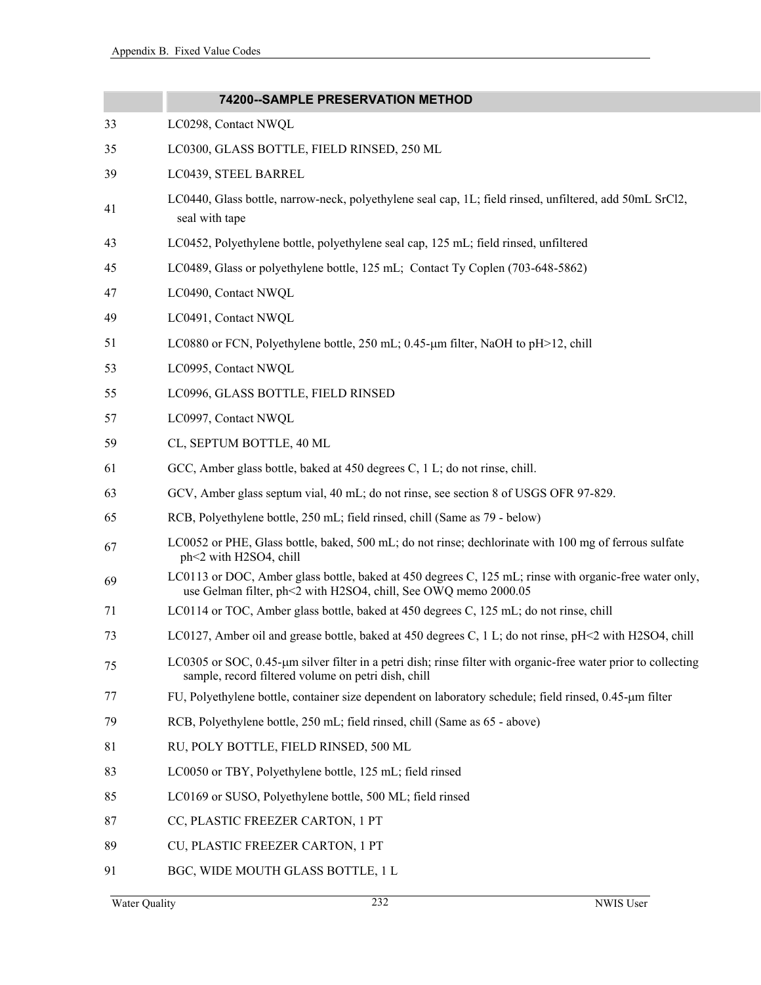|    | 74200--SAMPLE PRESERVATION METHOD                                                                                                                                         |
|----|---------------------------------------------------------------------------------------------------------------------------------------------------------------------------|
| 33 | LC0298, Contact NWQL                                                                                                                                                      |
| 35 | LC0300, GLASS BOTTLE, FIELD RINSED, 250 ML                                                                                                                                |
| 39 | LC0439, STEEL BARREL                                                                                                                                                      |
| 41 | LC0440, Glass bottle, narrow-neck, polyethylene seal cap, 1L; field rinsed, unfiltered, add 50mL SrCl2,<br>seal with tape                                                 |
| 43 | LC0452, Polyethylene bottle, polyethylene seal cap, 125 mL; field rinsed, unfiltered                                                                                      |
| 45 | LC0489, Glass or polyethylene bottle, 125 mL; Contact Ty Coplen (703-648-5862)                                                                                            |
| 47 | LC0490, Contact NWQL                                                                                                                                                      |
| 49 | LC0491, Contact NWQL                                                                                                                                                      |
| 51 | LC0880 or FCN, Polyethylene bottle, 250 mL; $0.45$ -µm filter, NaOH to pH>12, chill                                                                                       |
| 53 | LC0995, Contact NWQL                                                                                                                                                      |
| 55 | LC0996, GLASS BOTTLE, FIELD RINSED                                                                                                                                        |
| 57 | LC0997, Contact NWQL                                                                                                                                                      |
| 59 | CL, SEPTUM BOTTLE, 40 ML                                                                                                                                                  |
| 61 | GCC, Amber glass bottle, baked at 450 degrees C, 1 L; do not rinse, chill.                                                                                                |
| 63 | GCV, Amber glass septum vial, 40 mL; do not rinse, see section 8 of USGS OFR 97-829.                                                                                      |
| 65 | RCB, Polyethylene bottle, 250 mL; field rinsed, chill (Same as 79 - below)                                                                                                |
| 67 | LC0052 or PHE, Glass bottle, baked, 500 mL; do not rinse; dechlorinate with 100 mg of ferrous sulfate<br>ph<2 with H2SO4, chill                                           |
| 69 | LC0113 or DOC, Amber glass bottle, baked at 450 degrees C, 125 mL; rinse with organic-free water only,<br>use Gelman filter, ph<2 with H2SO4, chill, See OWQ memo 2000.05 |
| 71 | LC0114 or TOC, Amber glass bottle, baked at 450 degrees C, 125 mL; do not rinse, chill                                                                                    |
| 73 | LC0127, Amber oil and grease bottle, baked at 450 degrees C, 1 L; do not rinse, pH<2 with H2SO4, chill                                                                    |
| 75 | LC0305 or SOC, 0.45-µm silver filter in a petri dish; rinse filter with organic-free water prior to collecting<br>sample, record filtered volume on petri dish, chill     |
| 77 | FU, Polyethylene bottle, container size dependent on laboratory schedule; field rinsed, 0.45-µm filter                                                                    |
| 79 | RCB, Polyethylene bottle, 250 mL; field rinsed, chill (Same as 65 - above)                                                                                                |
| 81 | RU, POLY BOTTLE, FIELD RINSED, 500 ML                                                                                                                                     |
| 83 | LC0050 or TBY, Polyethylene bottle, 125 mL; field rinsed                                                                                                                  |
| 85 | LC0169 or SUSO, Polyethylene bottle, 500 ML; field rinsed                                                                                                                 |
| 87 | CC, PLASTIC FREEZER CARTON, 1 PT                                                                                                                                          |
| 89 | CU, PLASTIC FREEZER CARTON, 1 PT                                                                                                                                          |
| 91 | BGC, WIDE MOUTH GLASS BOTTLE, 1 L                                                                                                                                         |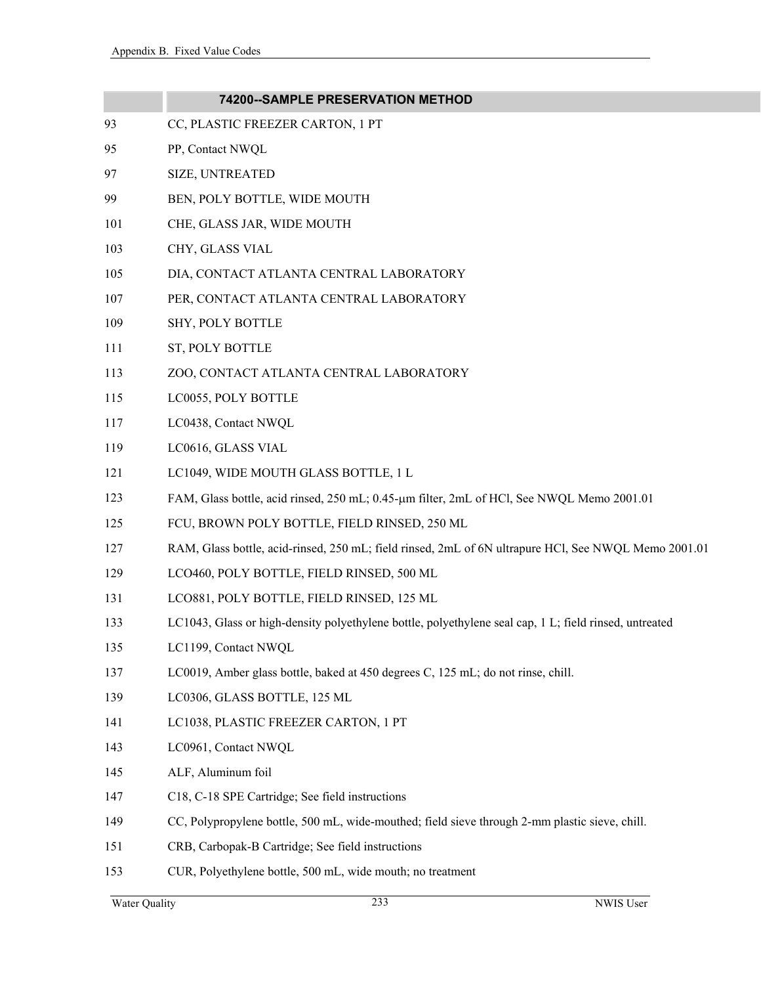|     | 74200--SAMPLE PRESERVATION METHOD                                                                      |
|-----|--------------------------------------------------------------------------------------------------------|
| 93  | CC, PLASTIC FREEZER CARTON, 1 PT                                                                       |
| 95  | PP, Contact NWQL                                                                                       |
| 97  | <b>SIZE, UNTREATED</b>                                                                                 |
| 99  | BEN, POLY BOTTLE, WIDE MOUTH                                                                           |
| 101 | CHE, GLASS JAR, WIDE MOUTH                                                                             |
| 103 | CHY, GLASS VIAL                                                                                        |
| 105 | DIA, CONTACT ATLANTA CENTRAL LABORATORY                                                                |
| 107 | PER, CONTACT ATLANTA CENTRAL LABORATORY                                                                |
| 109 | SHY, POLY BOTTLE                                                                                       |
| 111 | ST, POLY BOTTLE                                                                                        |
| 113 | ZOO, CONTACT ATLANTA CENTRAL LABORATORY                                                                |
| 115 | LC0055, POLY BOTTLE                                                                                    |
| 117 | LC0438, Contact NWQL                                                                                   |
| 119 | LC0616, GLASS VIAL                                                                                     |
| 121 | LC1049, WIDE MOUTH GLASS BOTTLE, 1 L                                                                   |
| 123 | FAM, Glass bottle, acid rinsed, 250 mL; 0.45-µm filter, 2mL of HCl, See NWQL Memo 2001.01              |
| 125 | FCU, BROWN POLY BOTTLE, FIELD RINSED, 250 ML                                                           |
| 127 | RAM, Glass bottle, acid-rinsed, 250 mL; field rinsed, 2mL of 6N ultrapure HCl, See NWQL Memo 2001.01   |
| 129 | LCO460, POLY BOTTLE, FIELD RINSED, 500 ML                                                              |
| 131 | LCO881, POLY BOTTLE, FIELD RINSED, 125 ML                                                              |
| 133 | LC1043, Glass or high-density polyethylene bottle, polyethylene seal cap, 1 L; field rinsed, untreated |
| 135 | LC1199, Contact NWQL                                                                                   |
| 137 | LC0019, Amber glass bottle, baked at 450 degrees C, 125 mL; do not rinse, chill.                       |
| 139 | LC0306, GLASS BOTTLE, 125 ML                                                                           |
| 141 | LC1038, PLASTIC FREEZER CARTON, 1 PT                                                                   |
| 143 | LC0961, Contact NWQL                                                                                   |
| 145 | ALF, Aluminum foil                                                                                     |
| 147 | C18, C-18 SPE Cartridge; See field instructions                                                        |
| 149 | CC, Polypropylene bottle, 500 mL, wide-mouthed; field sieve through 2-mm plastic sieve, chill.         |
| 151 | CRB, Carbopak-B Cartridge; See field instructions                                                      |
| 153 | CUR, Polyethylene bottle, 500 mL, wide mouth; no treatment                                             |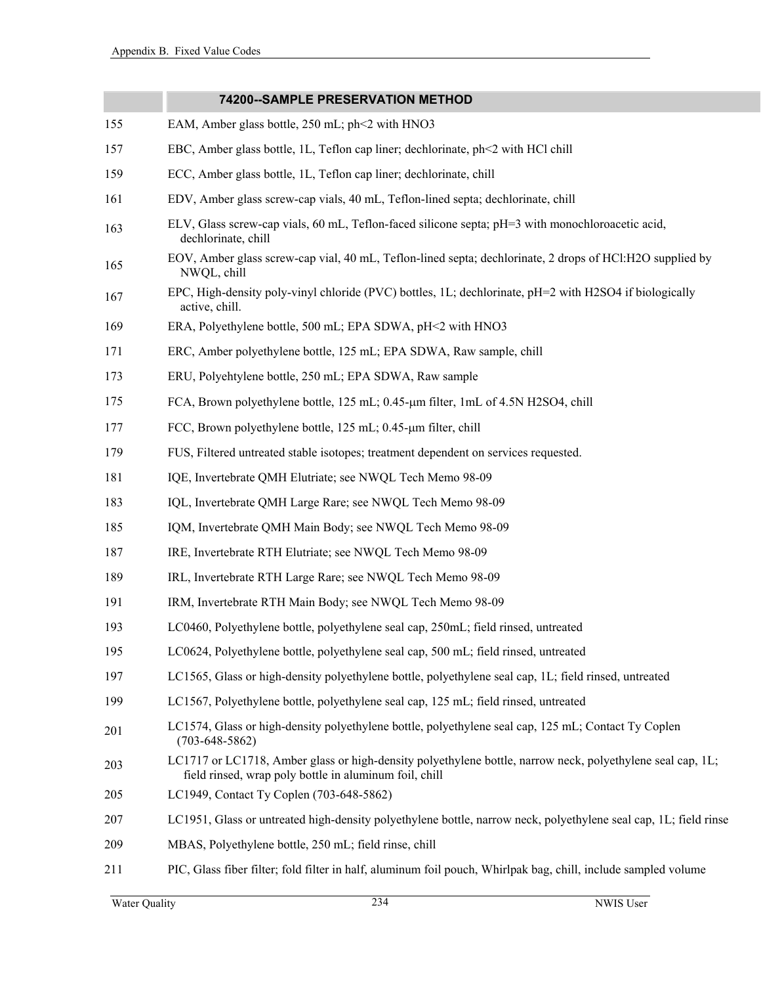|     | 74200--SAMPLE PRESERVATION METHOD                                                                                                                                    |
|-----|----------------------------------------------------------------------------------------------------------------------------------------------------------------------|
| 155 | EAM, Amber glass bottle, 250 mL; ph<2 with HNO3                                                                                                                      |
| 157 | EBC, Amber glass bottle, 1L, Teflon cap liner; dechlorinate, ph<2 with HCl chill                                                                                     |
| 159 | ECC, Amber glass bottle, 1L, Teflon cap liner; dechlorinate, chill                                                                                                   |
| 161 | EDV, Amber glass screw-cap vials, 40 mL, Teflon-lined septa; dechlorinate, chill                                                                                     |
| 163 | ELV, Glass screw-cap vials, 60 mL, Teflon-faced silicone septa; pH=3 with monochloroacetic acid,<br>dechlorinate, chill                                              |
| 165 | EOV, Amber glass screw-cap vial, 40 mL, Teflon-lined septa; dechlorinate, 2 drops of HCl:H2O supplied by<br>NWQL, chill                                              |
| 167 | EPC, High-density poly-vinyl chloride (PVC) bottles, 1L; dechlorinate, pH=2 with H2SO4 if biologically<br>active, chill.                                             |
| 169 | ERA, Polyethylene bottle, 500 mL; EPA SDWA, pH<2 with HNO3                                                                                                           |
| 171 | ERC, Amber polyethylene bottle, 125 mL; EPA SDWA, Raw sample, chill                                                                                                  |
| 173 | ERU, Polyehtylene bottle, 250 mL; EPA SDWA, Raw sample                                                                                                               |
| 175 | FCA, Brown polyethylene bottle, 125 mL; 0.45-µm filter, 1mL of 4.5N H2SO4, chill                                                                                     |
| 177 | FCC, Brown polyethylene bottle, 125 mL; 0.45-µm filter, chill                                                                                                        |
| 179 | FUS, Filtered untreated stable isotopes; treatment dependent on services requested.                                                                                  |
| 181 | IQE, Invertebrate QMH Elutriate; see NWQL Tech Memo 98-09                                                                                                            |
| 183 | IQL, Invertebrate QMH Large Rare; see NWQL Tech Memo 98-09                                                                                                           |
| 185 | IQM, Invertebrate QMH Main Body; see NWQL Tech Memo 98-09                                                                                                            |
| 187 | IRE, Invertebrate RTH Elutriate; see NWQL Tech Memo 98-09                                                                                                            |
| 189 | IRL, Invertebrate RTH Large Rare; see NWQL Tech Memo 98-09                                                                                                           |
| 191 | IRM, Invertebrate RTH Main Body; see NWQL Tech Memo 98-09                                                                                                            |
| 193 | LC0460, Polyethylene bottle, polyethylene seal cap, 250mL; field rinsed, untreated                                                                                   |
| 195 | LC0624, Polyethylene bottle, polyethylene seal cap, 500 mL; field rinsed, untreated                                                                                  |
| 197 | LC1565, Glass or high-density polyethylene bottle, polyethylene seal cap, 1L; field rinsed, untreated                                                                |
| 199 | LC1567, Polyethylene bottle, polyethylene seal cap, 125 mL; field rinsed, untreated                                                                                  |
| 201 | LC1574, Glass or high-density polyethylene bottle, polyethylene seal cap, 125 mL; Contact Ty Coplen<br>$(703 - 648 - 5862)$                                          |
| 203 | LC1717 or LC1718, Amber glass or high-density polyethylene bottle, narrow neck, polyethylene seal cap, 1L;<br>field rinsed, wrap poly bottle in aluminum foil, chill |
| 205 | LC1949, Contact Ty Coplen (703-648-5862)                                                                                                                             |
| 207 | LC1951, Glass or untreated high-density polyethylene bottle, narrow neck, polyethylene seal cap, 1L; field rinse                                                     |
| 209 | MBAS, Polyethylene bottle, 250 mL; field rinse, chill                                                                                                                |
| 211 | PIC, Glass fiber filter; fold filter in half, aluminum foil pouch, Whirlpak bag, chill, include sampled volume                                                       |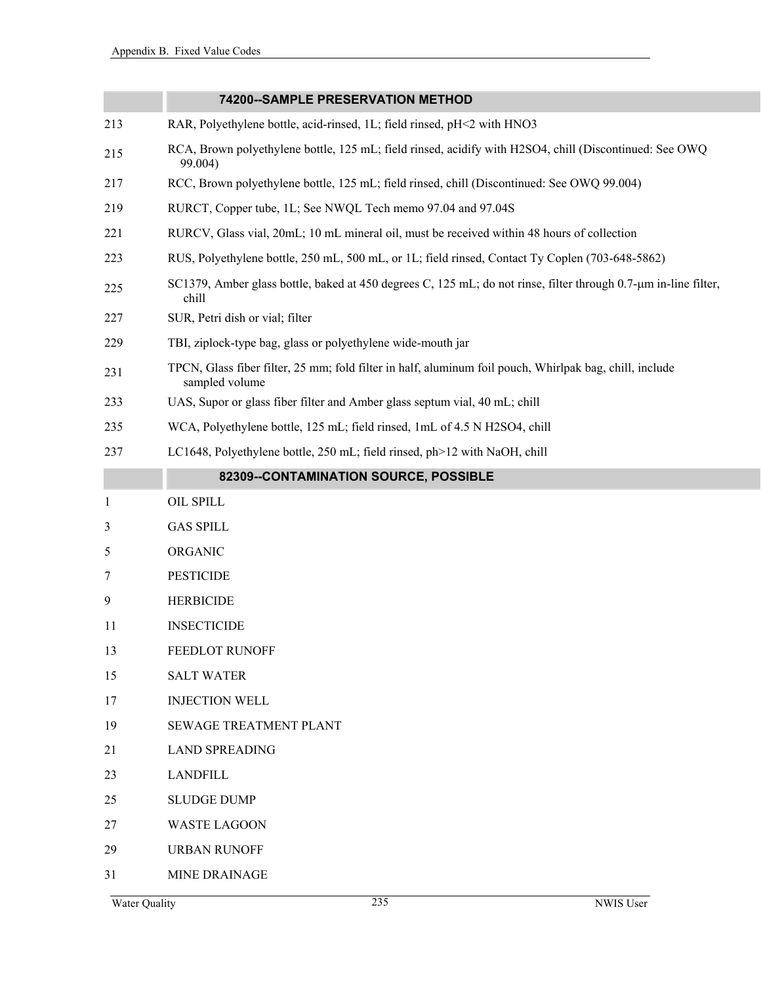|              | 74200--SAMPLE PRESERVATION METHOD                                                                                         |
|--------------|---------------------------------------------------------------------------------------------------------------------------|
| 213          | RAR, Polyethylene bottle, acid-rinsed, 1L; field rinsed, pH<2 with HNO3                                                   |
| 215          | RCA, Brown polyethylene bottle, 125 mL; field rinsed, acidify with H2SO4, chill (Discontinued: See OWQ)<br>99.004)        |
| 217          | RCC, Brown polyethylene bottle, 125 mL; field rinsed, chill (Discontinued: See OWQ 99.004)                                |
| 219          | RURCT, Copper tube, 1L; See NWQL Tech memo 97.04 and 97.04S                                                               |
| 221          | RURCV, Glass vial, 20mL; 10 mL mineral oil, must be received within 48 hours of collection                                |
| 223          | RUS, Polyethylene bottle, 250 mL, 500 mL, or 1L; field rinsed, Contact Ty Coplen (703-648-5862)                           |
| 225          | SC1379, Amber glass bottle, baked at 450 degrees C, 125 mL; do not rinse, filter through 0.7-µm in-line filter,<br>chill  |
| 227          | SUR, Petri dish or vial; filter                                                                                           |
| 229          | TBI, ziplock-type bag, glass or polyethylene wide-mouth jar                                                               |
| 231          | TPCN, Glass fiber filter, 25 mm; fold filter in half, aluminum foil pouch, Whirlpak bag, chill, include<br>sampled volume |
| 233          | UAS, Supor or glass fiber filter and Amber glass septum vial, 40 mL; chill                                                |
| 235          | WCA, Polyethylene bottle, 125 mL; field rinsed, 1mL of 4.5 N H2SO4, chill                                                 |
| 237          | LC1648, Polyethylene bottle, 250 mL; field rinsed, ph>12 with NaOH, chill                                                 |
|              | 82309--CONTAMINATION SOURCE, POSSIBLE                                                                                     |
| $\mathbf{1}$ | OIL SPILL                                                                                                                 |
| 3            | <b>GAS SPILL</b>                                                                                                          |
| 5            | ORGANIC                                                                                                                   |
| 7            | <b>PESTICIDE</b>                                                                                                          |
| 9            | <b>HERBICIDE</b>                                                                                                          |
| 11           | <b>INSECTICIDE</b>                                                                                                        |
| 13           | FEEDLOT RUNOFF                                                                                                            |
| 15           | <b>SALT WATER</b>                                                                                                         |
| 17           | <b>INJECTION WELL</b>                                                                                                     |
| 19           | <b>SEWAGE TREATMENT PLANT</b>                                                                                             |
| 21           | <b>LAND SPREADING</b>                                                                                                     |
| 23           | <b>LANDFILL</b>                                                                                                           |
| 25           | <b>SLUDGE DUMP</b>                                                                                                        |
| 27           | <b>WASTE LAGOON</b>                                                                                                       |
| 29           | <b>URBAN RUNOFF</b>                                                                                                       |

31 MINE DRAINAGE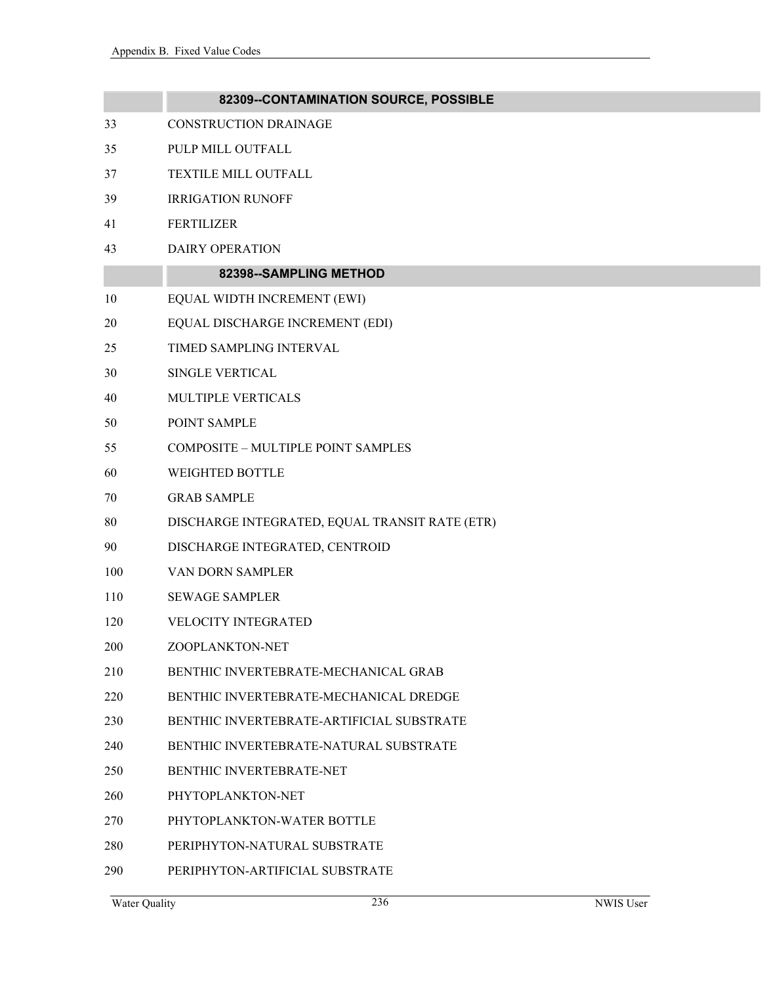|     | 82309--CONTAMINATION SOURCE, POSSIBLE          |
|-----|------------------------------------------------|
| 33  | <b>CONSTRUCTION DRAINAGE</b>                   |
| 35  | PULP MILL OUTFALL                              |
| 37  | TEXTILE MILL OUTFALL                           |
| 39  | <b>IRRIGATION RUNOFF</b>                       |
| 41  | <b>FERTILIZER</b>                              |
| 43  | <b>DAIRY OPERATION</b>                         |
|     | 82398--SAMPLING METHOD                         |
| 10  | EQUAL WIDTH INCREMENT (EWI)                    |
| 20  | EQUAL DISCHARGE INCREMENT (EDI)                |
| 25  | TIMED SAMPLING INTERVAL                        |
| 30  | <b>SINGLE VERTICAL</b>                         |
| 40  | MULTIPLE VERTICALS                             |
| 50  | POINT SAMPLE                                   |
| 55  | COMPOSITE - MULTIPLE POINT SAMPLES             |
| 60  | WEIGHTED BOTTLE                                |
| 70  | <b>GRAB SAMPLE</b>                             |
| 80  | DISCHARGE INTEGRATED, EQUAL TRANSIT RATE (ETR) |
| 90  | DISCHARGE INTEGRATED, CENTROID                 |
| 100 | VAN DORN SAMPLER                               |
| 110 | <b>SEWAGE SAMPLER</b>                          |
| 120 | VELOCITY INTEGRATED                            |
| 200 | ZOOPLANKTON-NET                                |
| 210 | BENTHIC INVERTEBRATE-MECHANICAL GRAB           |
| 220 | BENTHIC INVERTEBRATE-MECHANICAL DREDGE         |
| 230 | BENTHIC INVERTEBRATE-ARTIFICIAL SUBSTRATE      |
| 240 | BENTHIC INVERTEBRATE-NATURAL SUBSTRATE         |
| 250 | BENTHIC INVERTEBRATE-NET                       |
| 260 | PHYTOPLANKTON-NET                              |
| 270 | PHYTOPLANKTON-WATER BOTTLE                     |
| 280 | PERIPHYTON-NATURAL SUBSTRATE                   |
| 290 | PERIPHYTON-ARTIFICIAL SUBSTRATE                |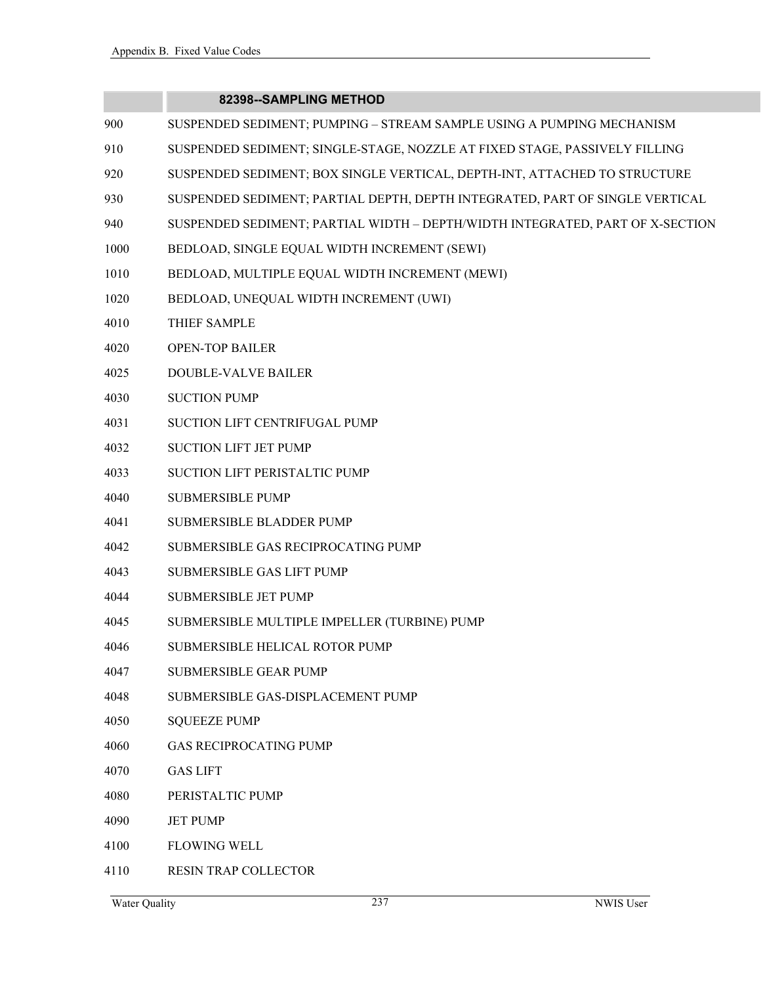# **82398--SAMPLING METHOD**

| 900  | SUSPENDED SEDIMENT; PUMPING - STREAM SAMPLE USING A PUMPING MECHANISM         |
|------|-------------------------------------------------------------------------------|
| 910  | SUSPENDED SEDIMENT; SINGLE-STAGE, NOZZLE AT FIXED STAGE, PASSIVELY FILLING    |
| 920  | SUSPENDED SEDIMENT; BOX SINGLE VERTICAL, DEPTH-INT, ATTACHED TO STRUCTURE     |
| 930  | SUSPENDED SEDIMENT; PARTIAL DEPTH, DEPTH INTEGRATED, PART OF SINGLE VERTICAL  |
| 940  | SUSPENDED SEDIMENT; PARTIAL WIDTH - DEPTH/WIDTH INTEGRATED, PART OF X-SECTION |
| 1000 | BEDLOAD, SINGLE EQUAL WIDTH INCREMENT (SEWI)                                  |
| 1010 | BEDLOAD, MULTIPLE EQUAL WIDTH INCREMENT (MEWI)                                |
| 1020 | BEDLOAD, UNEQUAL WIDTH INCREMENT (UWI)                                        |
| 4010 | THIEF SAMPLE                                                                  |
| 4020 | <b>OPEN-TOP BAILER</b>                                                        |
| 4025 | DOUBLE-VALVE BAILER                                                           |
| 4030 | <b>SUCTION PUMP</b>                                                           |
| 4031 | SUCTION LIFT CENTRIFUGAL PUMP                                                 |
| 4032 | <b>SUCTION LIFT JET PUMP</b>                                                  |
| 4033 | SUCTION LIFT PERISTALTIC PUMP                                                 |
| 4040 | <b>SUBMERSIBLE PUMP</b>                                                       |
| 4041 | SUBMERSIBLE BLADDER PUMP                                                      |
| 4042 | SUBMERSIBLE GAS RECIPROCATING PUMP                                            |
| 4043 | SUBMERSIBLE GAS LIFT PUMP                                                     |
| 4044 | <b>SUBMERSIBLE JET PUMP</b>                                                   |
| 4045 | SUBMERSIBLE MULTIPLE IMPELLER (TURBINE) PUMP                                  |
| 4046 | SUBMERSIBLE HELICAL ROTOR PUMP                                                |
| 4047 | SUBMERSIBLE GEAR PUMP                                                         |
| 4048 | SUBMERSIBLE GAS-DISPLACEMENT PUMP                                             |
| 4050 | <b>SQUEEZE PUMP</b>                                                           |
| 4060 | <b>GAS RECIPROCATING PUMP</b>                                                 |
| 4070 | <b>GAS LIFT</b>                                                               |
| 4080 | PERISTALTIC PUMP                                                              |
| 4090 | <b>JET PUMP</b>                                                               |
| 4100 | <b>FLOWING WELL</b>                                                           |

4110 RESIN TRAP COLLECTOR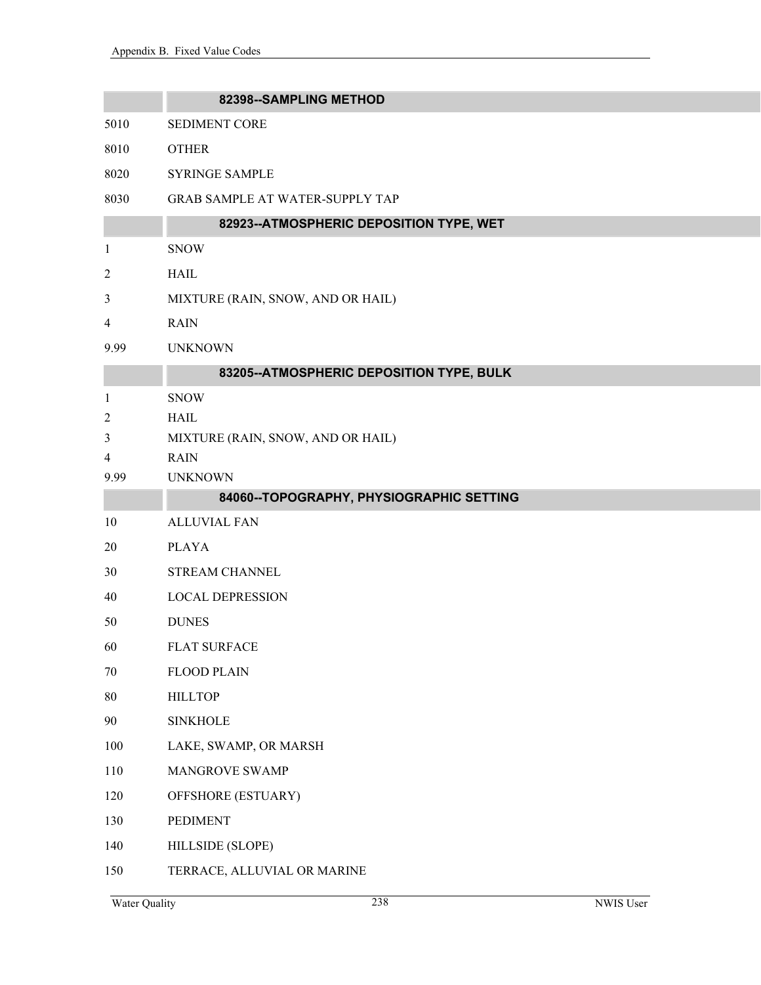|                         | 82398--SAMPLING METHOD                   |  |
|-------------------------|------------------------------------------|--|
| 5010                    | <b>SEDIMENT CORE</b>                     |  |
| 8010                    | <b>OTHER</b>                             |  |
| 8020                    | <b>SYRINGE SAMPLE</b>                    |  |
| 8030                    | GRAB SAMPLE AT WATER-SUPPLY TAP          |  |
|                         | 82923--ATMOSPHERIC DEPOSITION TYPE, WET  |  |
| $\mathbf{1}$            | <b>SNOW</b>                              |  |
| $\overline{\mathbf{c}}$ | <b>HAIL</b>                              |  |
| 3                       | MIXTURE (RAIN, SNOW, AND OR HAIL)        |  |
| 4                       | <b>RAIN</b>                              |  |
| 9.99                    | <b>UNKNOWN</b>                           |  |
|                         | 83205--ATMOSPHERIC DEPOSITION TYPE, BULK |  |
| 1                       | <b>SNOW</b>                              |  |
| 2                       | <b>HAIL</b>                              |  |
| 3                       | MIXTURE (RAIN, SNOW, AND OR HAIL)        |  |
| 4                       | <b>RAIN</b>                              |  |
| 9.99                    | <b>UNKNOWN</b>                           |  |
|                         | 84060--TOPOGRAPHY, PHYSIOGRAPHIC SETTING |  |
| 10                      | <b>ALLUVIAL FAN</b>                      |  |
| 20                      | <b>PLAYA</b>                             |  |
| 30                      | STREAM CHANNEL                           |  |
| 40                      | <b>LOCAL DEPRESSION</b>                  |  |
| 50                      | <b>DUNES</b>                             |  |
| 60                      | <b>FLAT SURFACE</b>                      |  |
| $70\,$                  | <b>FLOOD PLAIN</b>                       |  |
| $80\,$                  | <b>HILLTOP</b>                           |  |
| 90                      | <b>SINKHOLE</b>                          |  |
| 100                     | LAKE, SWAMP, OR MARSH                    |  |
| 110                     | MANGROVE SWAMP                           |  |
| 120                     | OFFSHORE (ESTUARY)                       |  |
| 130                     | <b>PEDIMENT</b>                          |  |
| 140                     | HILLSIDE (SLOPE)                         |  |
| 150                     | TERRACE, ALLUVIAL OR MARINE              |  |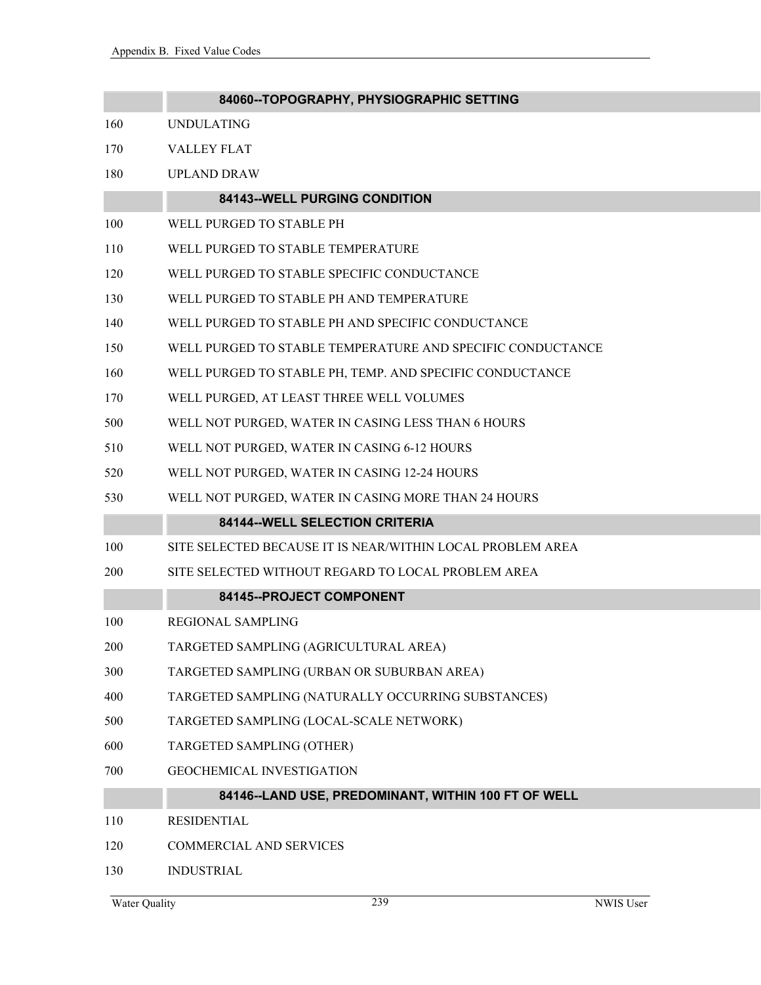|     | 84060--TOPOGRAPHY, PHYSIOGRAPHIC SETTING                   |
|-----|------------------------------------------------------------|
| 160 | <b>UNDULATING</b>                                          |
| 170 | <b>VALLEY FLAT</b>                                         |
| 180 | <b>UPLAND DRAW</b>                                         |
|     | 84143--WELL PURGING CONDITION                              |
| 100 | WELL PURGED TO STABLE PH                                   |
| 110 | WELL PURGED TO STABLE TEMPERATURE                          |
| 120 | WELL PURGED TO STABLE SPECIFIC CONDUCTANCE                 |
| 130 | WELL PURGED TO STABLE PH AND TEMPERATURE                   |
| 140 | WELL PURGED TO STABLE PH AND SPECIFIC CONDUCTANCE          |
| 150 | WELL PURGED TO STABLE TEMPERATURE AND SPECIFIC CONDUCTANCE |
| 160 | WELL PURGED TO STABLE PH, TEMP. AND SPECIFIC CONDUCTANCE   |
| 170 | WELL PURGED, AT LEAST THREE WELL VOLUMES                   |
| 500 | WELL NOT PURGED, WATER IN CASING LESS THAN 6 HOURS         |
| 510 | WELL NOT PURGED, WATER IN CASING 6-12 HOURS                |
| 520 | WELL NOT PURGED, WATER IN CASING 12-24 HOURS               |
| 530 | WELL NOT PURGED, WATER IN CASING MORE THAN 24 HOURS        |
|     | 84144--WELL SELECTION CRITERIA                             |
| 100 | SITE SELECTED BECAUSE IT IS NEAR/WITHIN LOCAL PROBLEM AREA |
| 200 | SITE SELECTED WITHOUT REGARD TO LOCAL PROBLEM AREA         |
|     | 84145--PROJECT COMPONENT                                   |
| 100 | <b>REGIONAL SAMPLING</b>                                   |
| 200 | TARGETED SAMPLING (AGRICULTURAL AREA)                      |
| 300 | TARGETED SAMPLING (URBAN OR SUBURBAN AREA)                 |
| 400 | TARGETED SAMPLING (NATURALLY OCCURRING SUBSTANCES)         |
| 500 | TARGETED SAMPLING (LOCAL-SCALE NETWORK)                    |
| 600 | TARGETED SAMPLING (OTHER)                                  |
| 700 | <b>GEOCHEMICAL INVESTIGATION</b>                           |
|     | 84146--LAND USE, PREDOMINANT, WITHIN 100 FT OF WELL        |
| 110 | <b>RESIDENTIAL</b>                                         |
| 120 | <b>COMMERCIAL AND SERVICES</b>                             |
| 130 | <b>INDUSTRIAL</b>                                          |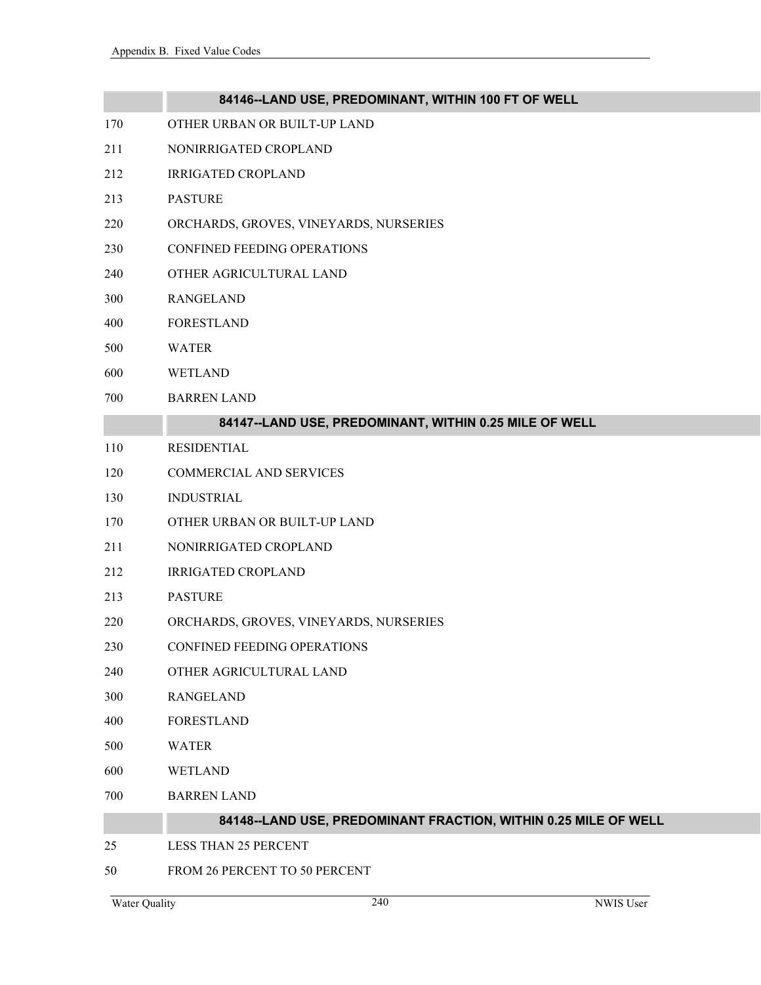|     | 84146--LAND USE, PREDOMINANT, WITHIN 100 FT OF WELL             |
|-----|-----------------------------------------------------------------|
| 170 | OTHER URBAN OR BUILT-UP LAND                                    |
| 211 | NONIRRIGATED CROPLAND                                           |
| 212 | <b>IRRIGATED CROPLAND</b>                                       |
| 213 | <b>PASTURE</b>                                                  |
| 220 | ORCHARDS, GROVES, VINEYARDS, NURSERIES                          |
| 230 | CONFINED FEEDING OPERATIONS                                     |
| 240 | OTHER AGRICULTURAL LAND                                         |
| 300 | <b>RANGELAND</b>                                                |
| 400 | <b>FORESTLAND</b>                                               |
| 500 | <b>WATER</b>                                                    |
| 600 | <b>WETLAND</b>                                                  |
| 700 | <b>BARREN LAND</b>                                              |
|     | 84147--LAND USE, PREDOMINANT, WITHIN 0.25 MILE OF WELL          |
| 110 | <b>RESIDENTIAL</b>                                              |
| 120 | <b>COMMERCIAL AND SERVICES</b>                                  |
| 130 | <b>INDUSTRIAL</b>                                               |
| 170 | OTHER URBAN OR BUILT-UP LAND                                    |
| 211 | NONIRRIGATED CROPLAND                                           |
| 212 | <b>IRRIGATED CROPLAND</b>                                       |
| 213 | <b>PASTURE</b>                                                  |
| 220 | ORCHARDS, GROVES, VINEYARDS, NURSERIES                          |
| 230 | CONFINED FEEDING OPERATIONS                                     |
| 240 | OTHER AGRICULTURAL LAND                                         |
| 300 | <b>RANGELAND</b>                                                |
| 400 | <b>FORESTLAND</b>                                               |
| 500 | <b>WATER</b>                                                    |
| 600 | <b>WETLAND</b>                                                  |
| 700 | <b>BARREN LAND</b>                                              |
|     | 84148--LAND USE, PREDOMINANT FRACTION, WITHIN 0.25 MILE OF WELL |
| 25  | <b>LESS THAN 25 PERCENT</b>                                     |
| 50  | FROM 26 PERCENT TO 50 PERCENT                                   |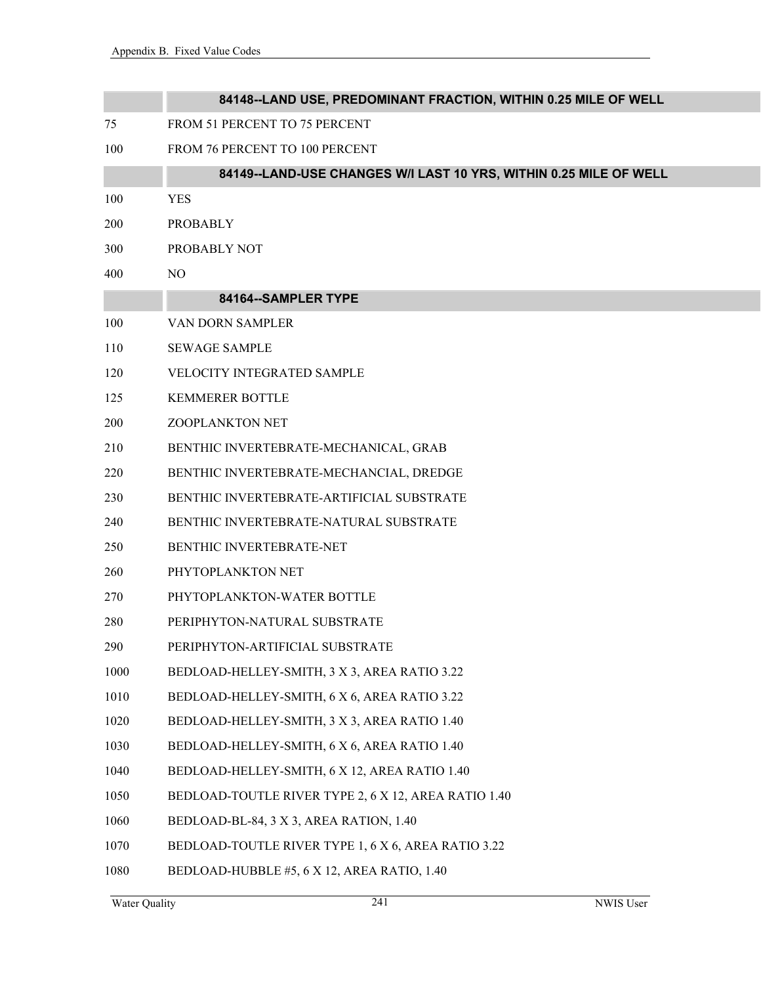|      | 84148--LAND USE, PREDOMINANT FRACTION, WITHIN 0.25 MILE OF WELL   |
|------|-------------------------------------------------------------------|
| 75   | FROM 51 PERCENT TO 75 PERCENT                                     |
| 100  | FROM 76 PERCENT TO 100 PERCENT                                    |
|      | 84149--LAND-USE CHANGES W/I LAST 10 YRS, WITHIN 0.25 MILE OF WELL |
| 100  | <b>YES</b>                                                        |
| 200  | <b>PROBABLY</b>                                                   |
| 300  | PROBABLY NOT                                                      |
| 400  | NO                                                                |
|      | 84164--SAMPLER TYPE                                               |
| 100  | VAN DORN SAMPLER                                                  |
| 110  | <b>SEWAGE SAMPLE</b>                                              |
| 120  | VELOCITY INTEGRATED SAMPLE                                        |
| 125  | <b>KEMMERER BOTTLE</b>                                            |
| 200  | ZOOPLANKTON NET                                                   |
| 210  | BENTHIC INVERTEBRATE-MECHANICAL, GRAB                             |
| 220  | BENTHIC INVERTEBRATE-MECHANCIAL, DREDGE                           |
| 230  | BENTHIC INVERTEBRATE-ARTIFICIAL SUBSTRATE                         |
| 240  | BENTHIC INVERTEBRATE-NATURAL SUBSTRATE                            |
| 250  | BENTHIC INVERTEBRATE-NET                                          |
| 260  | PHYTOPLANKTON NET                                                 |
| 270  | PHYTOPLANKTON-WATER BOTTLE                                        |
| 280  | PERIPHYTON-NATURAL SUBSTRATE                                      |
| 290  | PERIPHYTON-ARTIFICIAL SUBSTRATE                                   |
| 1000 | BEDLOAD-HELLEY-SMITH, 3 X 3, AREA RATIO 3.22                      |
| 1010 | BEDLOAD-HELLEY-SMITH, 6 X 6, AREA RATIO 3.22                      |
| 1020 | BEDLOAD-HELLEY-SMITH, 3 X 3, AREA RATIO 1.40                      |
| 1030 | BEDLOAD-HELLEY-SMITH, 6 X 6, AREA RATIO 1.40                      |
| 1040 | BEDLOAD-HELLEY-SMITH, 6 X 12, AREA RATIO 1.40                     |
| 1050 | BEDLOAD-TOUTLE RIVER TYPE 2, 6 X 12, AREA RATIO 1.40              |
| 1060 | BEDLOAD-BL-84, 3 X 3, AREA RATION, 1.40                           |
| 1070 | BEDLOAD-TOUTLE RIVER TYPE 1, 6 X 6, AREA RATIO 3.22               |
| 1080 | BEDLOAD-HUBBLE #5, 6 X 12, AREA RATIO, 1.40                       |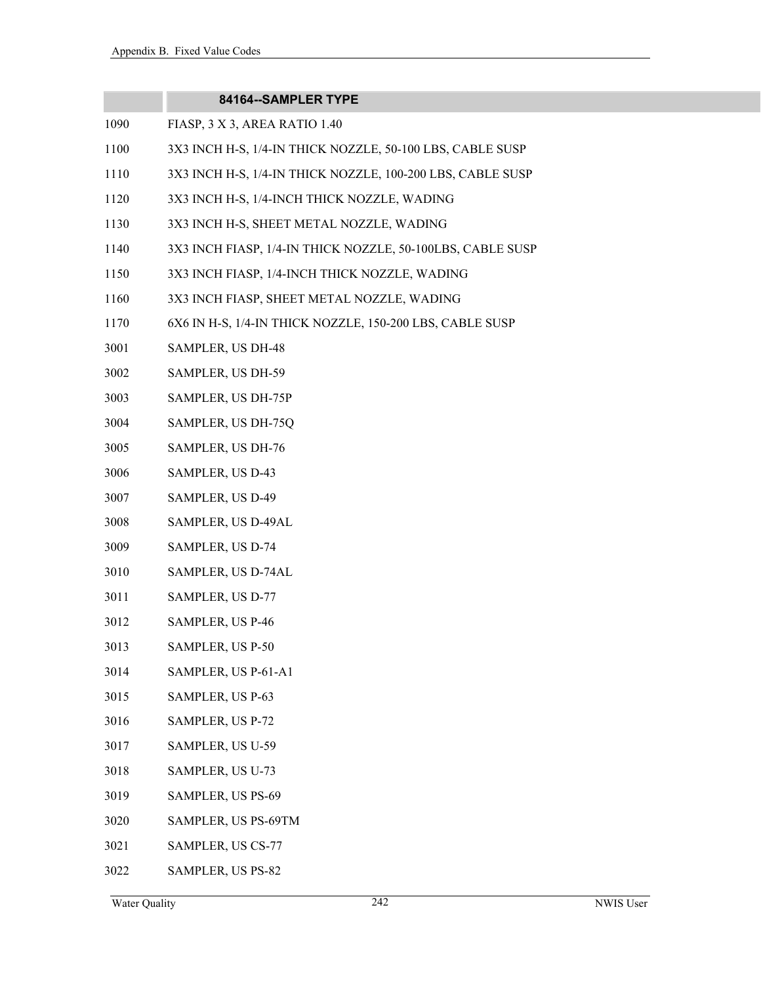|      | 84164--SAMPLER TYPE                                        |
|------|------------------------------------------------------------|
| 1090 | FIASP, 3 X 3, AREA RATIO 1.40                              |
| 1100 | 3X3 INCH H-S, 1/4-IN THICK NOZZLE, 50-100 LBS, CABLE SUSP  |
| 1110 | 3X3 INCH H-S, 1/4-IN THICK NOZZLE, 100-200 LBS, CABLE SUSP |
| 1120 | 3X3 INCH H-S, 1/4-INCH THICK NOZZLE, WADING                |
| 1130 | 3X3 INCH H-S, SHEET METAL NOZZLE, WADING                   |
| 1140 | 3X3 INCH FIASP, 1/4-IN THICK NOZZLE, 50-100LBS, CABLE SUSP |
| 1150 | 3X3 INCH FIASP, 1/4-INCH THICK NOZZLE, WADING              |
| 1160 | 3X3 INCH FIASP, SHEET METAL NOZZLE, WADING                 |
| 1170 | 6X6 IN H-S, 1/4-IN THICK NOZZLE, 150-200 LBS, CABLE SUSP   |
| 3001 | SAMPLER, US DH-48                                          |
| 3002 | SAMPLER, US DH-59                                          |
| 3003 | SAMPLER, US DH-75P                                         |
| 3004 | SAMPLER, US DH-75Q                                         |
| 3005 | SAMPLER, US DH-76                                          |
| 3006 | SAMPLER, US D-43                                           |
| 3007 | SAMPLER, US D-49                                           |
| 3008 | SAMPLER, US D-49AL                                         |
| 3009 | SAMPLER, US D-74                                           |
| 3010 | SAMPLER, US D-74AL                                         |
| 3011 | SAMPLER, US D-77                                           |
| 3012 | SAMPLER, US P-46                                           |
| 3013 | SAMPLER, US P-50                                           |
| 3014 | SAMPLER, US P-61-A1                                        |
| 3015 | SAMPLER, US P-63                                           |
| 3016 | SAMPLER, US P-72                                           |
| 3017 | SAMPLER, US U-59                                           |
| 3018 | SAMPLER, US U-73                                           |
| 3019 | SAMPLER, US PS-69                                          |
| 3020 | SAMPLER, US PS-69TM                                        |
| 3021 | SAMPLER, US CS-77                                          |
| 3022 | SAMPLER, US PS-82                                          |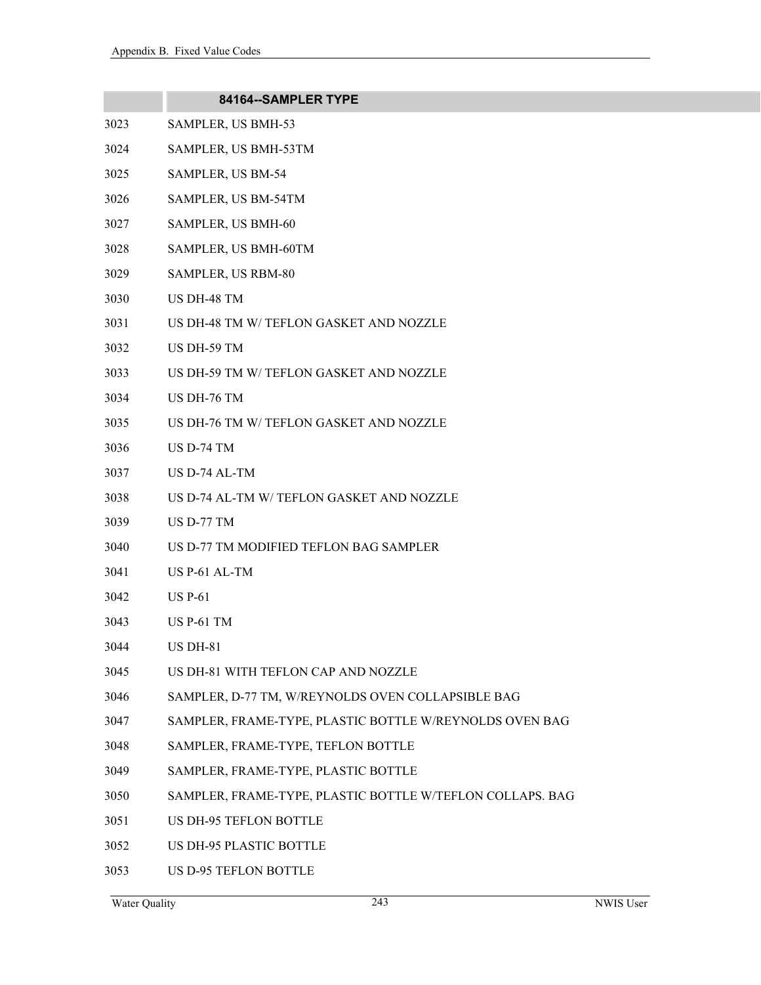|      | 84164--SAMPLER TYPE                                       |
|------|-----------------------------------------------------------|
| 3023 | SAMPLER, US BMH-53                                        |
| 3024 | SAMPLER, US BMH-53TM                                      |
| 3025 | SAMPLER, US BM-54                                         |
| 3026 | SAMPLER, US BM-54TM                                       |
| 3027 | SAMPLER, US BMH-60                                        |
| 3028 | SAMPLER, US BMH-60TM                                      |
| 3029 | SAMPLER, US RBM-80                                        |
| 3030 | US DH-48 TM                                               |
| 3031 | US DH-48 TM W/ TEFLON GASKET AND NOZZLE                   |
| 3032 | US DH-59 TM                                               |
| 3033 | US DH-59 TM W/ TEFLON GASKET AND NOZZLE                   |
| 3034 | US DH-76 TM                                               |
| 3035 | US DH-76 TM W/ TEFLON GASKET AND NOZZLE                   |
| 3036 | US D-74 TM                                                |
| 3037 | US D-74 AL-TM                                             |
| 3038 | US D-74 AL-TM W/ TEFLON GASKET AND NOZZLE                 |
| 3039 | US D-77 TM                                                |
| 3040 | US D-77 TM MODIFIED TEFLON BAG SAMPLER                    |
| 3041 | US P-61 AL-TM                                             |
| 3042 | <b>US P-61</b>                                            |
| 3043 | US P-61 TM                                                |
| 3044 | <b>US DH-81</b>                                           |
| 3045 | US DH-81 WITH TEFLON CAP AND NOZZLE                       |
| 3046 | SAMPLER, D-77 TM, W/REYNOLDS OVEN COLLAPSIBLE BAG         |
| 3047 | SAMPLER, FRAME-TYPE, PLASTIC BOTTLE W/REYNOLDS OVEN BAG   |
| 3048 | SAMPLER, FRAME-TYPE, TEFLON BOTTLE                        |
| 3049 | SAMPLER, FRAME-TYPE, PLASTIC BOTTLE                       |
| 3050 | SAMPLER, FRAME-TYPE, PLASTIC BOTTLE W/TEFLON COLLAPS. BAG |
| 3051 | <b>US DH-95 TEFLON BOTTLE</b>                             |
| 3052 | US DH-95 PLASTIC BOTTLE                                   |
| 3053 | US D-95 TEFLON BOTTLE                                     |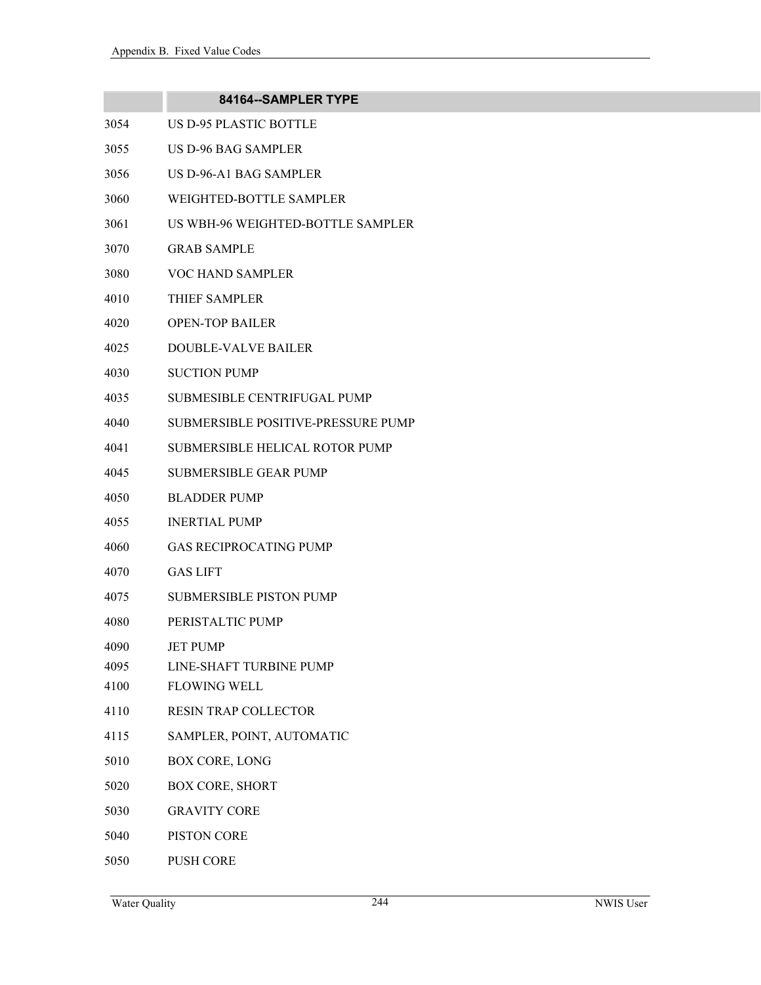|      | 84164--SAMPLER TYPE                |
|------|------------------------------------|
| 3054 | US D-95 PLASTIC BOTTLE             |
| 3055 | US D-96 BAG SAMPLER                |
| 3056 | US D-96-A1 BAG SAMPLER             |
| 3060 | WEIGHTED-BOTTLE SAMPLER            |
| 3061 | US WBH-96 WEIGHTED-BOTTLE SAMPLER  |
| 3070 | <b>GRAB SAMPLE</b>                 |
| 3080 | VOC HAND SAMPLER                   |
| 4010 | THIEF SAMPLER                      |
| 4020 | <b>OPEN-TOP BAILER</b>             |
| 4025 | DOUBLE-VALVE BAILER                |
| 4030 | <b>SUCTION PUMP</b>                |
| 4035 | <b>SUBMESIBLE CENTRIFUGAL PUMP</b> |
| 4040 | SUBMERSIBLE POSITIVE-PRESSURE PUMP |
| 4041 | SUBMERSIBLE HELICAL ROTOR PUMP     |
| 4045 | <b>SUBMERSIBLE GEAR PUMP</b>       |
| 4050 | <b>BLADDER PUMP</b>                |
| 4055 | <b>INERTIAL PUMP</b>               |
| 4060 | <b>GAS RECIPROCATING PUMP</b>      |
| 4070 | <b>GAS LIFT</b>                    |
| 4075 | <b>SUBMERSIBLE PISTON PUMP</b>     |
| 4080 | PERISTALTIC PUMP                   |
| 4090 | <b>JET PUMP</b>                    |
| 4095 | LINE-SHAFT TURBINE PUMP            |
| 4100 | <b>FLOWING WELL</b>                |
| 4110 | RESIN TRAP COLLECTOR               |
| 4115 | SAMPLER, POINT, AUTOMATIC          |
| 5010 | <b>BOX CORE, LONG</b>              |
| 5020 | <b>BOX CORE, SHORT</b>             |
| 5030 | <b>GRAVITY CORE</b>                |
| 5040 | PISTON CORE                        |
| 5050 | <b>PUSH CORE</b>                   |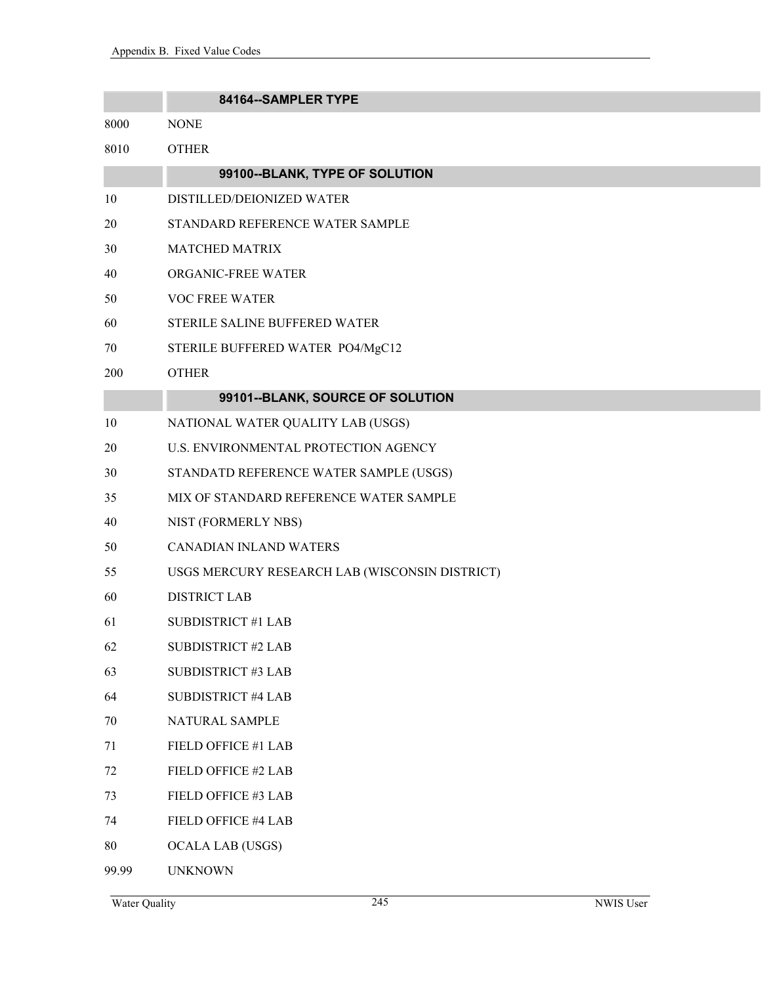|       | 84164--SAMPLER TYPE                            |
|-------|------------------------------------------------|
| 8000  | <b>NONE</b>                                    |
| 8010  | <b>OTHER</b>                                   |
|       | 99100--BLANK, TYPE OF SOLUTION                 |
| 10    | DISTILLED/DEIONIZED WATER                      |
| 20    | STANDARD REFERENCE WATER SAMPLE                |
| 30    | <b>MATCHED MATRIX</b>                          |
| 40    | ORGANIC-FREE WATER                             |
| 50    | <b>VOC FREE WATER</b>                          |
| 60    | STERILE SALINE BUFFERED WATER                  |
| 70    | STERILE BUFFERED WATER PO4/MgC12               |
| 200   | <b>OTHER</b>                                   |
|       | 99101--BLANK, SOURCE OF SOLUTION               |
| 10    | NATIONAL WATER QUALITY LAB (USGS)              |
| 20    | U.S. ENVIRONMENTAL PROTECTION AGENCY           |
| 30    | STANDATD REFERENCE WATER SAMPLE (USGS)         |
| 35    | MIX OF STANDARD REFERENCE WATER SAMPLE         |
| 40    | NIST (FORMERLY NBS)                            |
| 50    | CANADIAN INLAND WATERS                         |
| 55    | USGS MERCURY RESEARCH LAB (WISCONSIN DISTRICT) |
| 60    | <b>DISTRICT LAB</b>                            |
| 61    | <b>SUBDISTRICT #1 LAB</b>                      |
| 62    | <b>SUBDISTRICT #2 LAB</b>                      |
| 63    | <b>SUBDISTRICT #3 LAB</b>                      |
| 64    | <b>SUBDISTRICT #4 LAB</b>                      |
| 70    | NATURAL SAMPLE                                 |
| 71    | FIELD OFFICE #1 LAB                            |
| 72    | FIELD OFFICE #2 LAB                            |
| 73    | FIELD OFFICE #3 LAB                            |
| 74    | FIELD OFFICE #4 LAB                            |
| 80    | <b>OCALA LAB (USGS)</b>                        |
| 99.99 | <b>UNKNOWN</b>                                 |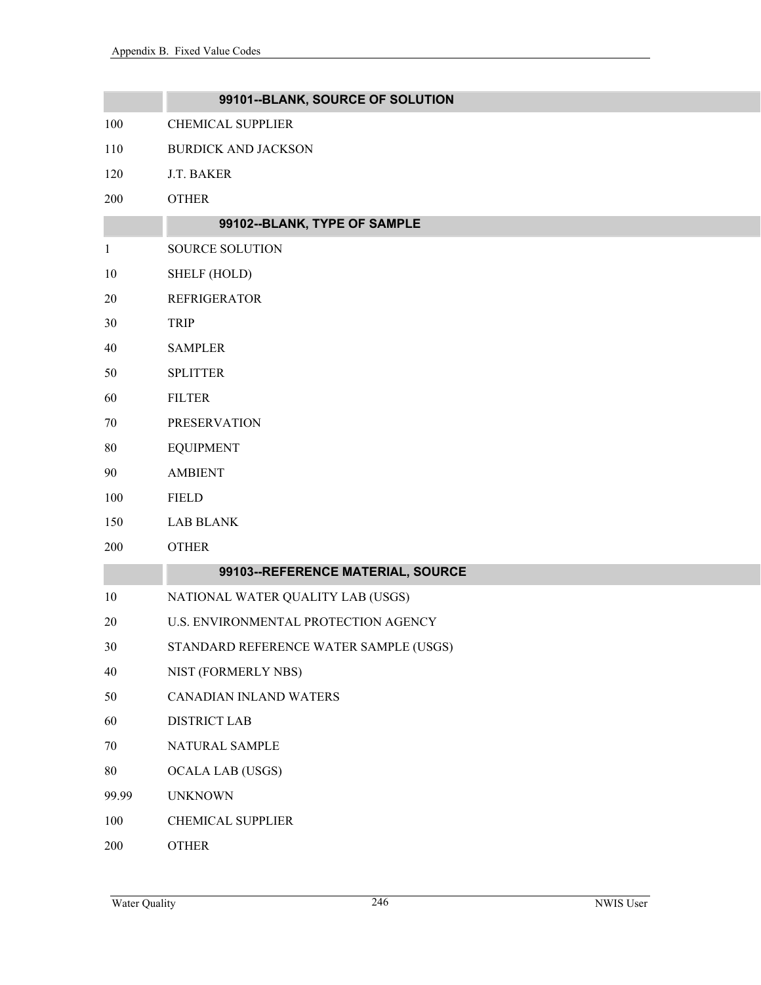|              | 99101--BLANK, SOURCE OF SOLUTION       |
|--------------|----------------------------------------|
| 100          | <b>CHEMICAL SUPPLIER</b>               |
| 110          | <b>BURDICK AND JACKSON</b>             |
| 120          | J.T. BAKER                             |
| 200          | <b>OTHER</b>                           |
|              | 99102--BLANK, TYPE OF SAMPLE           |
| $\mathbf{1}$ | <b>SOURCE SOLUTION</b>                 |
| 10           | SHELF (HOLD)                           |
| $20\,$       | <b>REFRIGERATOR</b>                    |
| 30           | <b>TRIP</b>                            |
| 40           | <b>SAMPLER</b>                         |
| 50           | <b>SPLITTER</b>                        |
| 60           | <b>FILTER</b>                          |
| 70           | <b>PRESERVATION</b>                    |
| $80\,$       | <b>EQUIPMENT</b>                       |
| 90           | <b>AMBIENT</b>                         |
| 100          | <b>FIELD</b>                           |
| 150          | <b>LAB BLANK</b>                       |
| 200          | <b>OTHER</b>                           |
|              | 99103--REFERENCE MATERIAL, SOURCE      |
| 10           | NATIONAL WATER QUALITY LAB (USGS)      |
| 20           | U.S. ENVIRONMENTAL PROTECTION AGENCY   |
| 30           | STANDARD REFERENCE WATER SAMPLE (USGS) |
| 40           | NIST (FORMERLY NBS)                    |
| 50           | CANADIAN INLAND WATERS                 |
| 60           | <b>DISTRICT LAB</b>                    |
| $70\,$       | NATURAL SAMPLE                         |
| 80           | <b>OCALA LAB (USGS)</b>                |
| 99.99        | <b>UNKNOWN</b>                         |
| 100          | <b>CHEMICAL SUPPLIER</b>               |
| 200          | <b>OTHER</b>                           |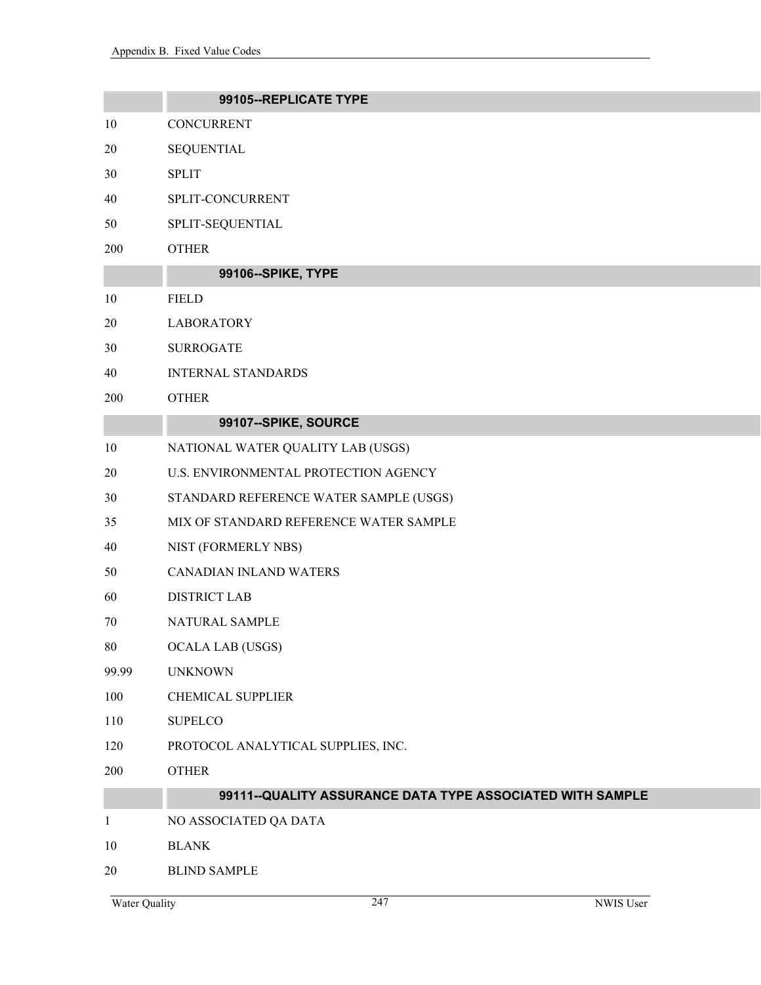|              | 99105--REPLICATE TYPE                                     |
|--------------|-----------------------------------------------------------|
| 10           | CONCURRENT                                                |
| 20           | <b>SEQUENTIAL</b>                                         |
| 30           | <b>SPLIT</b>                                              |
| 40           | SPLIT-CONCURRENT                                          |
| 50           | SPLIT-SEQUENTIAL                                          |
| 200          | <b>OTHER</b>                                              |
|              | 99106--SPIKE, TYPE                                        |
| 10           | <b>FIELD</b>                                              |
| 20           | <b>LABORATORY</b>                                         |
| 30           | <b>SURROGATE</b>                                          |
| 40           | <b>INTERNAL STANDARDS</b>                                 |
| 200          | <b>OTHER</b>                                              |
|              | 99107--SPIKE, SOURCE                                      |
| 10           | NATIONAL WATER QUALITY LAB (USGS)                         |
| 20           | U.S. ENVIRONMENTAL PROTECTION AGENCY                      |
| 30           | STANDARD REFERENCE WATER SAMPLE (USGS)                    |
| 35           | MIX OF STANDARD REFERENCE WATER SAMPLE                    |
| 40           | NIST (FORMERLY NBS)                                       |
| 50           | <b>CANADIAN INLAND WATERS</b>                             |
| 60           | <b>DISTRICT LAB</b>                                       |
| 70           | NATURAL SAMPLE                                            |
| 80           | <b>OCALA LAB (USGS)</b>                                   |
| 99.99        | <b>UNKNOWN</b>                                            |
| 100          | <b>CHEMICAL SUPPLIER</b>                                  |
| 110          | <b>SUPELCO</b>                                            |
| 120          | PROTOCOL ANALYTICAL SUPPLIES, INC.                        |
| 200          | <b>OTHER</b>                                              |
|              | 99111--QUALITY ASSURANCE DATA TYPE ASSOCIATED WITH SAMPLE |
| $\mathbf{1}$ | NO ASSOCIATED QA DATA                                     |
| 10           | <b>BLANK</b>                                              |
| 20           | <b>BLIND SAMPLE</b>                                       |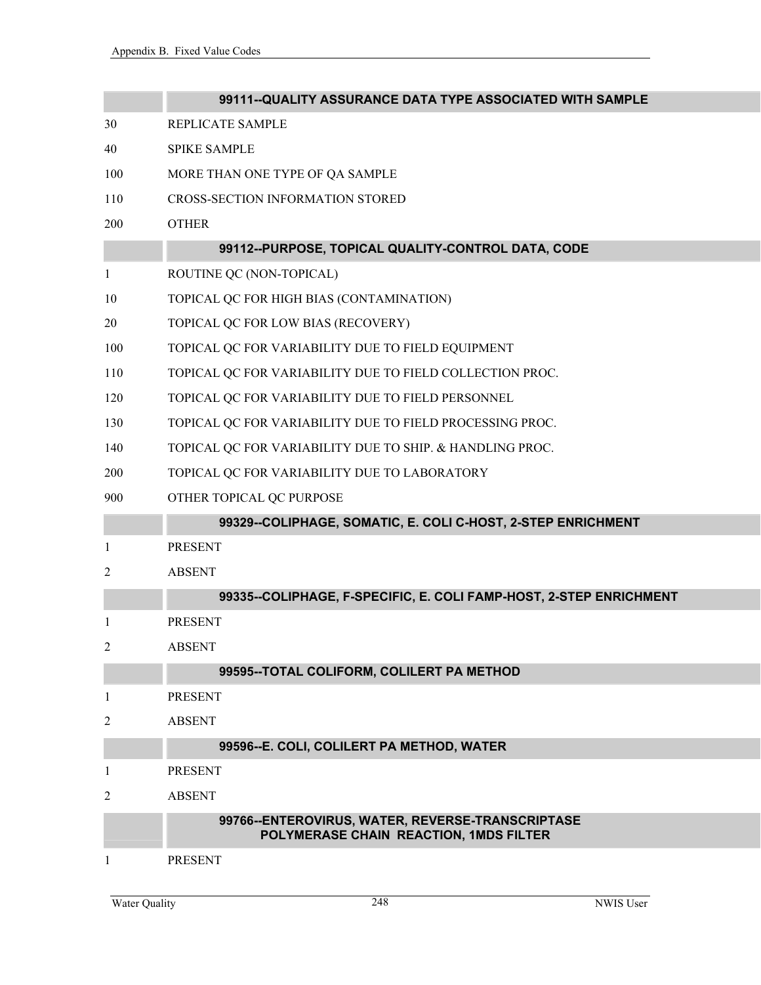|     | 99111--QUALITY ASSURANCE DATA TYPE ASSOCIATED WITH SAMPLE                                 |
|-----|-------------------------------------------------------------------------------------------|
| 30  | REPLICATE SAMPLE                                                                          |
| 40  | <b>SPIKE SAMPLE</b>                                                                       |
| 100 | MORE THAN ONE TYPE OF QA SAMPLE                                                           |
| 110 | <b>CROSS-SECTION INFORMATION STORED</b>                                                   |
| 200 | <b>OTHER</b>                                                                              |
|     | 99112--PURPOSE, TOPICAL QUALITY-CONTROL DATA, CODE                                        |
| 1   | ROUTINE QC (NON-TOPICAL)                                                                  |
| 10  | TOPICAL QC FOR HIGH BIAS (CONTAMINATION)                                                  |
| 20  | TOPICAL QC FOR LOW BIAS (RECOVERY)                                                        |
| 100 | TOPICAL QC FOR VARIABILITY DUE TO FIELD EQUIPMENT                                         |
| 110 | TOPICAL QC FOR VARIABILITY DUE TO FIELD COLLECTION PROC.                                  |
| 120 | TOPICAL QC FOR VARIABILITY DUE TO FIELD PERSONNEL                                         |
| 130 | TOPICAL QC FOR VARIABILITY DUE TO FIELD PROCESSING PROC.                                  |
| 140 | TOPICAL QC FOR VARIABILITY DUE TO SHIP. & HANDLING PROC.                                  |
| 200 | TOPICAL QC FOR VARIABILITY DUE TO LABORATORY                                              |
| 900 | OTHER TOPICAL QC PURPOSE                                                                  |
|     | 99329--COLIPHAGE, SOMATIC, E. COLI C-HOST, 2-STEP ENRICHMENT                              |
| 1   | <b>PRESENT</b>                                                                            |
| 2   | <b>ABSENT</b>                                                                             |
|     | 99335--COLIPHAGE, F-SPECIFIC, E. COLI FAMP-HOST, 2-STEP ENRICHMENT                        |
| -1  | <b>PRESENT</b>                                                                            |
| 2   | <b>ABSENT</b>                                                                             |
|     | 99595--TOTAL COLIFORM, COLILERT PA METHOD                                                 |
| 1   | <b>PRESENT</b>                                                                            |
| 2   | <b>ABSENT</b>                                                                             |
|     | 99596--E. COLI, COLILERT PA METHOD, WATER                                                 |
| 1   | <b>PRESENT</b>                                                                            |
| 2   | <b>ABSENT</b>                                                                             |
|     | 99766-ENTEROVIRUS, WATER, REVERSE-TRANSCRIPTASE<br>POLYMERASE CHAIN REACTION, 1MDS FILTER |
| 1   | <b>PRESENT</b>                                                                            |